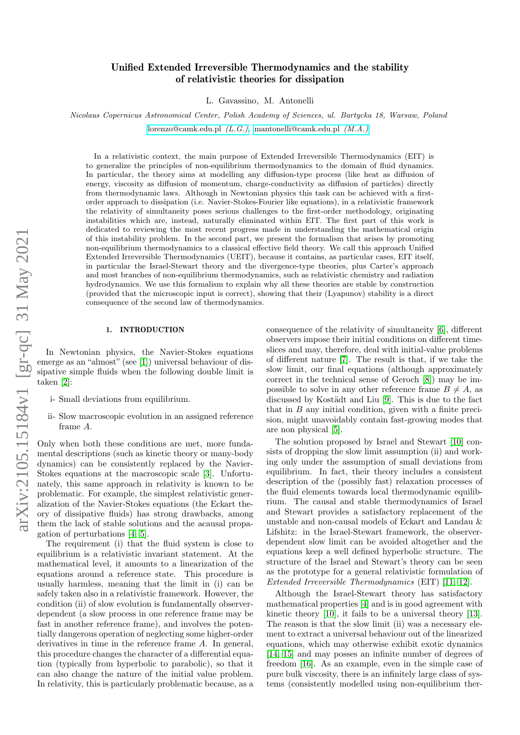# <span id="page-0-0"></span>Unified Extended Irreversible Thermodynamics and the stability of relativistic theories for dissipation

L. Gavassino, M. Antonelli

Nicolaus Copernicus Astronomical Center, Polish Academy of Sciences, ul. Bartycka 18, Warsaw, Poland

[lorenzo@camk.edu.pl](https://orcid.org/0000-0002-6603-9253) (L.G.), [mantonelli@camk.edu.pl](https://orcid.org/0000-0002-5470-4308) (M.A.)

In a relativistic context, the main purpose of Extended Irreversible Thermodynamics (EIT) is to generalize the principles of non-equilibrium thermodynamics to the domain of fluid dynamics. In particular, the theory aims at modelling any diffusion-type process (like heat as diffusion of energy, viscosity as diffusion of momentum, charge-conductivity as diffusion of particles) directly from thermodynamic laws. Although in Newtonian physics this task can be achieved with a firstorder approach to dissipation (i.e. Navier-Stokes-Fourier like equations), in a relativistic framework the relativity of simultaneity poses serious challenges to the first-order methodology, originating instabilities which are, instead, naturally eliminated within EIT. The first part of this work is dedicated to reviewing the most recent progress made in understanding the mathematical origin of this instability problem. In the second part, we present the formalism that arises by promoting non-equilibrium thermodynamics to a classical effective field theory. We call this approach Unified Extended Irreversible Thermodynamics (UEIT), because it contains, as particular cases, EIT itself, in particular the Israel-Stewart theory and the divergence-type theories, plus Carter's approach and most branches of non-equilibrium thermodynamics, such as relativistic chemistry and radiation hydrodynamics. We use this formalism to explain why all these theories are stable by construction (provided that the microscopic input is correct), showing that their (Lyapunov) stability is a direct consequence of the second law of thermodynamics.

## 1. INTRODUCTION

In Newtonian physics, the Navier-Stokes equations emerge as an "almost" (see [\[1\]](#page-28-0)) universal behaviour of dissipative simple fluids when the following double limit is taken [\[2\]](#page-28-1):

- i- Small deviations from equilibrium.
- ii- Slow macroscopic evolution in an assigned reference frame A.

Only when both these conditions are met, more fundamental descriptions (such as kinetic theory or many-body dynamics) can be consistently replaced by the Navier-Stokes equations at the macroscopic scale [\[3\]](#page-28-2). Unfortunately, this same approach in relativity is known to be problematic. For example, the simplest relativistic generalization of the Navier-Stokes equations (the Eckart theory of dissipative fluids) has strong drawbacks, among them the lack of stable solutions and the acausal propagation of perturbations [\[4,](#page-28-3) [5\]](#page-28-4).

The requirement (i) that the fluid system is close to equilibrium is a relativistic invariant statement. At the mathematical level, it amounts to a linearization of the equations around a reference state. This procedure is usually harmless, meaning that the limit in (i) can be safely taken also in a relativistic framework. However, the condition (ii) of slow evolution is fundamentally observerdependent (a slow process in one reference frame may be fast in another reference frame), and involves the potentially dangerous operation of neglecting some higher-order derivatives in time in the reference frame A. In general, this procedure changes the character of a differential equation (typically from hyperbolic to parabolic), so that it can also change the nature of the initial value problem. In relativity, this is particularly problematic because, as a consequence of the relativity of simultaneity [\[6\]](#page-28-5), different observers impose their initial conditions on different timeslices and may, therefore, deal with initial-value problems of different nature [\[7\]](#page-28-6). The result is that, if we take the slow limit, our final equations (although approximately correct in the technical sense of Geroch [\[8\]](#page-28-7)) may be impossible to solve in any other reference frame  $B \neq A$ , as discussed by Kostädt and Liu [\[9\]](#page-28-8). This is due to the fact that in  $B$  any initial condition, given with a finite precision, might unavoidably contain fast-growing modes that are non physical [\[5\]](#page-28-4).

The solution proposed by Israel and Stewart [\[10\]](#page-28-9) consists of dropping the slow limit assumption (ii) and working only under the assumption of small deviations from equilibrium. In fact, their theory includes a consistent description of the (possibly fast) relaxation processes of the fluid elements towards local thermodynamic equilibrium. The causal and stable thermodynamics of Israel and Stewart provides a satisfactory replacement of the unstable and non-causal models of Eckart and Landau & Lifshitz: in the Israel-Stewart framework, the observerdependent slow limit can be avoided altogether and the equations keep a well defined hyperbolic structure. The structure of the Israel and Stewart's theory can be seen as the prototype for a general relativistic formulation of Extended Irreversible Thermodynamics (EIT) [\[11,](#page-28-10) [12\]](#page-28-11).

Although the Israel-Stewart theory has satisfactory mathematical properties [\[4\]](#page-28-3) and is in good agreement with kinetic theory [\[10\]](#page-28-9), it fails to be a universal theory [\[13\]](#page-28-12). The reason is that the slow limit (ii) was a necessary element to extract a universal behaviour out of the linearized equations, which may otherwise exhibit exotic dynamics [\[14,](#page-28-13) [15\]](#page-28-14) and may posses an infinite number of degrees of freedom [\[16\]](#page-28-15). As an example, even in the simple case of pure bulk viscosity, there is an infinitely large class of systems (consistently modelled using non-equilibrium ther-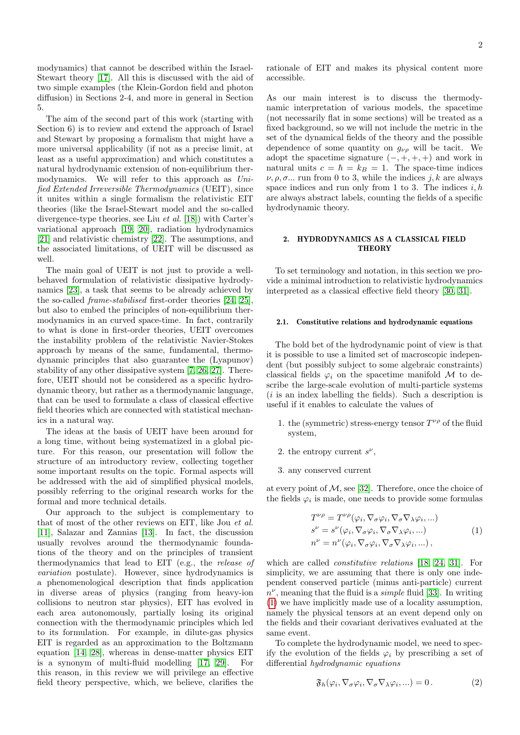modynamics) that cannot be described within the Israel-Stewart theory [\[17\]](#page-28-16). All this is discussed with the aid of two simple examples (the Klein-Gordon field and photon diffusion) in Sections 2-4, and more in general in Section 5.

The aim of the second part of this work (starting with Section 6) is to review and extend the approach of Israel and Stewart by proposing a formalism that might have a more universal applicability (if not as a precise limit, at least as a useful approximation) and which constitutes a natural hydrodynamic extension of non-equilibrium thermodynamics. We will refer to this approach as Unified Extended Irreversible Thermodynamics (UEIT), since it unites within a single formalism the relativistic EIT theories (like the Israel-Stewart model and the so-called divergence-type theories, see Liu et al. [\[18\]](#page-28-17)) with Carter's variational approach [\[19,](#page-28-18) [20\]](#page-28-19), radiation hydrodynamics [\[21\]](#page-28-20) and relativistic chemistry [\[22\]](#page-28-21). The assumptions, and the associated limitations, of UEIT will be discussed as well.

The main goal of UEIT is not just to provide a wellbehaved formulation of relativistic dissipative hydrodynamics [\[23\]](#page-28-22), a task that seems to be already achieved by the so-called frame-stabilised first-order theories [\[24,](#page-28-23) [25\]](#page-28-24), but also to embed the principles of non-equilibrium thermodynamics in an curved space-time. In fact, contrarily to what is done in first-order theories, UEIT overcomes the instability problem of the relativistic Navier-Stokes approach by means of the same, fundamental, thermodynamic principles that also guarantee the (Lyapunov) stability of any other dissipative system [\[7,](#page-28-6) [26,](#page-28-25) [27\]](#page-28-26). Therefore, UEIT should not be considered as a specific hydrodynamic theory, but rather as a thermodynamic language, that can be used to formulate a class of classical effective field theories which are connected with statistical mechanics in a natural way.

The ideas at the basis of UEIT have been around for a long time, without being systematized in a global picture. For this reason, our presentation will follow the structure of an introductory review, collecting together some important results on the topic. Formal aspects will be addressed with the aid of simplified physical models, possibly referring to the original research works for the formal and more technical details.

Our approach to the subject is complementary to that of most of the other reviews on EIT, like Jou et al. [\[11\]](#page-28-10), Salazar and Zannias [\[13\]](#page-28-12). In fact, the discussion usually revolves around the thermodynamic foundations of the theory and on the principles of transient thermodynamics that lead to EIT (e.g., the release of variation postulate). However, since hydrodynamics is a phenomenological description that finds application in diverse areas of physics (ranging from heavy-ion collisions to neutron star physics), EIT has evolved in each area autonomously, partially losing its original connection with the thermodynamic principles which led to its formulation. For example, in dilute-gas physics EIT is regarded as an approximation to the Boltzmann equation [\[14,](#page-28-13) [28\]](#page-28-27), whereas in dense-matter physics EIT is a synonym of multi-fluid modelling [\[17,](#page-28-16) [29\]](#page-28-28). For this reason, in this review we will privilege an effective field theory perspective, which, we believe, clarifies the

rationale of EIT and makes its physical content more accessible.

As our main interest is to discuss the thermodynamic interpretation of various models, the spacetime (not necessarily flat in some sections) will be treated as a fixed background, so we will not include the metric in the set of the dynamical fields of the theory and the possible dependence of some quantity on  $g_{\nu\rho}$  will be tacit. We adopt the spacetime signature  $(-, +, +, +)$  and work in natural units  $c = \hbar = k_B = 1$ . The space-time indices  $\nu, \rho, \sigma$ ... run from 0 to 3, while the indices j, k are always space indices and run only from 1 to 3. The indices  $i, h$ are always abstract labels, counting the fields of a specific hydrodynamic theory.

## 2. HYDRODYNAMICS AS A CLASSICAL FIELD **THEORY**

To set terminology and notation, in this section we provide a minimal introduction to relativistic hydrodynamics interpreted as a classical effective field theory [\[30,](#page-28-29) [31\]](#page-28-30).

## <span id="page-1-2"></span>2.1. Constitutive relations and hydrodynamic equations

The bold bet of the hydrodynamic point of view is that it is possible to use a limited set of macroscopic independent (but possibly subject to some algebraic constraints) classical fields  $\varphi_i$  on the spacetime manifold M to describe the large-scale evolution of multi-particle systems  $(i$  is an index labelling the fields). Such a description is useful if it enables to calculate the values of

- 1. the (symmetric) stress-energy tensor  $T^{\nu\rho}$  of the fluid system,
- 2. the entropy current  $s^{\nu}$ ,
- 3. any conserved current

at every point of  $M$ , see [\[32\]](#page-28-31). Therefore, once the choice of the fields  $\varphi_i$  is made, one needs to provide some formulas

$$
T^{\nu\rho} = T^{\nu\rho}(\varphi_i, \nabla_\sigma \varphi_i, \nabla_\sigma \nabla_\lambda \varphi_i, \ldots)
$$
  
\n
$$
s^{\nu} = s^{\nu}(\varphi_i, \nabla_\sigma \varphi_i, \nabla_\sigma \nabla_\lambda \varphi_i, \ldots)
$$
  
\n
$$
n^{\nu} = n^{\nu}(\varphi_i, \nabla_\sigma \varphi_i, \nabla_\sigma \nabla_\lambda \varphi_i, \ldots),
$$
\n(1)

<span id="page-1-0"></span>which are called *constitutive relations* [\[18,](#page-28-17) [24,](#page-28-23) [31\]](#page-28-30). For simplicity, we are assuming that there is only one independent conserved particle (minus anti-particle) current  $n^{\nu}$ , meaning that the fluid is a *simple* fluid [\[33\]](#page-28-32). In writing [\(1\)](#page-1-0) we have implicitly made use of a locality assumption, namely the physical tensors at an event depend only on the fields and their covariant derivatives evaluated at the same event.

To complete the hydrodynamic model, we need to specify the evolution of the fields  $\varphi_i$  by prescribing a set of differential hydrodynamic equations

<span id="page-1-1"></span>
$$
\mathfrak{F}_h(\varphi_i, \nabla_\sigma \varphi_i, \nabla_\sigma \nabla_\lambda \varphi_i, \ldots) = 0. \tag{2}
$$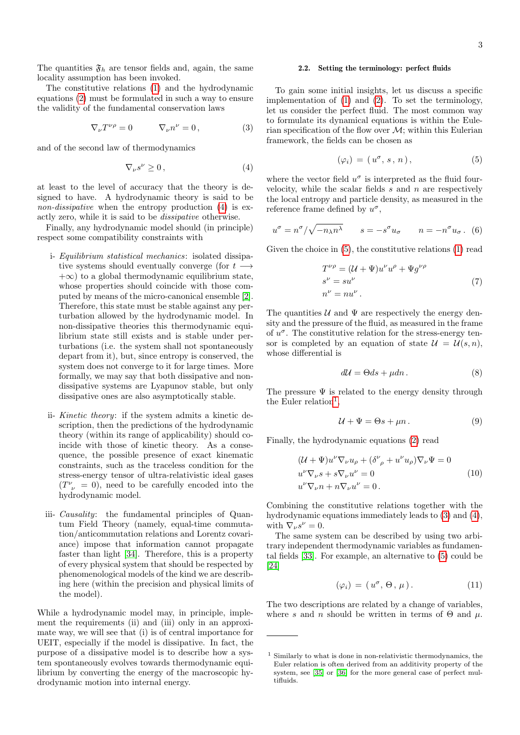The quantities  $\mathfrak{F}_h$  are tensor fields and, again, the same locality assumption has been invoked.

The constitutive relations [\(1\)](#page-1-0) and the hydrodynamic equations [\(2\)](#page-1-1) must be formulated in such a way to ensure the validity of the fundamental conservation laws

<span id="page-2-3"></span>
$$
\nabla_{\nu}T^{\nu\rho} = 0 \qquad \nabla_{\nu}n^{\nu} = 0, \qquad (3)
$$

and of the second law of thermodynamics

<span id="page-2-0"></span>
$$
\nabla_{\nu} s^{\nu} \ge 0, \tag{4}
$$

at least to the level of accuracy that the theory is designed to have. A hydrodynamic theory is said to be non-dissipative when the entropy production [\(4\)](#page-2-0) is exactly zero, while it is said to be dissipative otherwise.

Finally, any hydrodynamic model should (in principle) respect some compatibility constraints with

- i- Equilibrium statistical mechanics: isolated dissipative systems should eventually converge (for  $t +\infty$ ) to a global thermodynamic equilibrium state, whose properties should coincide with those computed by means of the micro-canonical ensemble [\[2\]](#page-28-1). Therefore, this state must be stable against any perturbation allowed by the hydrodynamic model. In non-dissipative theories this thermodynamic equilibrium state still exists and is stable under perturbations (i.e. the system shall not spontaneously depart from it), but, since entropy is conserved, the system does not converge to it for large times. More formally, we may say that both dissipative and nondissipative systems are Lyapunov stable, but only dissipative ones are also asymptotically stable.
- ii- Kinetic theory: if the system admits a kinetic description, then the predictions of the hydrodynamic theory (within its range of applicability) should coincide with those of kinetic theory. As a consequence, the possible presence of exact kinematic constraints, such as the traceless condition for the stress-energy tensor of ultra-relativistic ideal gases  $(T^{\nu}_{\;\;\nu}\;=\;0),$  need to be carefully encoded into the hydrodynamic model.
- iii- Causality: the fundamental principles of Quantum Field Theory (namely, equal-time commutation/anticommutation relations and Lorentz covariance) impose that information cannot propagate faster than light [\[34\]](#page-28-33). Therefore, this is a property of every physical system that should be respected by phenomenological models of the kind we are describing here (within the precision and physical limits of the model).

While a hydrodynamic model may, in principle, implement the requirements (ii) and (iii) only in an approximate way, we will see that (i) is of central importance for UEIT, especially if the model is dissipative. In fact, the purpose of a dissipative model is to describe how a system spontaneously evolves towards thermodynamic equilibrium by converting the energy of the macroscopic hydrodynamic motion into internal energy.

## <span id="page-2-9"></span>2.2. Setting the terminology: perfect fluids

To gain some initial insights, let us discuss a specific implementation of [\(1\)](#page-1-0) and [\(2\)](#page-1-1). To set the terminology, let us consider the perfect fluid. The most common way to formulate its dynamical equations is within the Eulerian specification of the flow over  $\mathcal{M}$ ; within this Eulerian framework, the fields can be chosen as

<span id="page-2-1"></span>
$$
(\varphi_i) = (u^{\sigma}, s, n), \tag{5}
$$

where the vector field  $u^{\sigma}$  is interpreted as the fluid fourvelocity, while the scalar fields  $s$  and  $n$  are respectively the local entropy and particle density, as measured in the reference frame defined by  $u^{\sigma}$ ,

<span id="page-2-6"></span>
$$
u^{\sigma} = n^{\sigma}/\sqrt{-n_{\lambda}n^{\lambda}} \qquad s = -s^{\sigma}u_{\sigma} \qquad n = -n^{\sigma}u_{\sigma}.
$$
 (6)

Given the choice in [\(5\)](#page-2-1), the constitutive relations [\(1\)](#page-1-0) read

$$
T^{\nu \rho} = (\mathcal{U} + \Psi) u^{\nu} u^{\rho} + \Psi g^{\nu \rho}
$$
  
\n
$$
s^{\nu} = su^{\nu}
$$
  
\n
$$
n^{\nu} = nu^{\nu}.
$$
\n(7)

The quantities  $\mathcal U$  and  $\Psi$  are respectively the energy density and the pressure of the fluid, as measured in the frame of  $u^{\sigma}$ . The constitutive relation for the stress-energy tensor is completed by an equation of state  $\mathcal{U} = \mathcal{U}(s,n)$ , whose differential is

<span id="page-2-4"></span>
$$
d\mathcal{U} = \Theta ds + \mu dn. \tag{8}
$$

The pressure  $\Psi$  is related to the energy density through the Euler relation<sup>[1](#page-2-2)</sup>,

<span id="page-2-5"></span>
$$
\mathcal{U} + \Psi = \Theta s + \mu n. \tag{9}
$$

<span id="page-2-7"></span>Finally, the hydrodynamic equations [\(2\)](#page-1-1) read

$$
(\mathcal{U} + \Psi)u^{\nu}\nabla_{\nu}u_{\rho} + (\delta^{\nu}_{\rho} + u^{\nu}u_{\rho})\nabla_{\nu}\Psi = 0
$$
  
\n
$$
u^{\nu}\nabla_{\nu}s + s\nabla_{\nu}u^{\nu} = 0
$$
  
\n
$$
u^{\nu}\nabla_{\nu}n + n\nabla_{\nu}u^{\nu} = 0.
$$
\n(10)

Combining the constitutive relations together with the hydrodynamic equations immediately leads to [\(3\)](#page-2-3) and [\(4\)](#page-2-0), with  $\nabla_{\nu} s^{\nu} = 0$ .

The same system can be described by using two arbitrary independent thermodynamic variables as fundamental fields [\[33\]](#page-28-32). For example, an alternative to [\(5\)](#page-2-1) could be [\[24\]](#page-28-23)

<span id="page-2-8"></span>
$$
(\varphi_i) = (u^{\sigma}, \Theta, \mu). \tag{11}
$$

The two descriptions are related by a change of variables, where s and n should be written in terms of  $\Theta$  and  $\mu$ .

<span id="page-2-2"></span><sup>1</sup> Similarly to what is done in non-relativistic thermodynamics, the Euler relation is often derived from an additivity property of the system, see [\[35\]](#page-28-34) or [\[36\]](#page-28-35) for the more general case of perfect multifluids.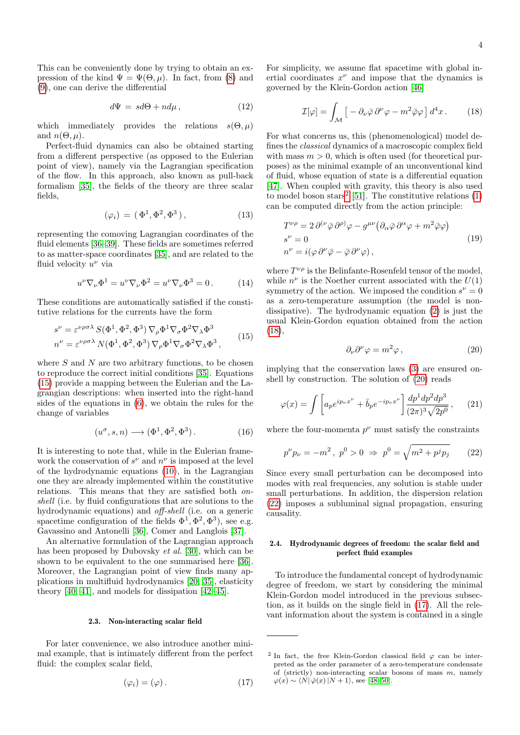This can be conveniently done by trying to obtain an expression of the kind  $\Psi = \Psi(\Theta, \mu)$ . In fact, from [\(8\)](#page-2-4) and [\(9\)](#page-2-5), one can derive the differential

$$
d\Psi = sd\Theta + nd\mu, \qquad (12)
$$

which immediately provides the relations  $s(\Theta, \mu)$ and  $n(\Theta, \mu)$ .

Perfect-fluid dynamics can also be obtained starting from a different perspective (as opposed to the Eulerian point of view), namely via the Lagrangian specification of the flow. In this approach, also known as pull-back formalism [\[35\]](#page-28-34), the fields of the theory are three scalar fields,

$$
(\varphi_i) = (\Phi^1, \Phi^2, \Phi^3), \tag{13}
$$

representing the comoving Lagrangian coordinates of the fluid elements [\[36–](#page-28-35)[39\]](#page-28-36). These fields are sometimes referred to as matter-space coordinates [\[35\]](#page-28-34), and are related to the fluid velocity  $u^{\nu}$  via

$$
u^{\nu}\nabla_{\nu}\Phi^{1} = u^{\nu}\nabla_{\nu}\Phi^{2} = u^{\nu}\nabla_{\nu}\Phi^{3} = 0.
$$
 (14)

These conditions are automatically satisfied if the constitutive relations for the currents have the form

<span id="page-3-0"></span>
$$
s^{\nu} = \varepsilon^{\nu\rho\sigma\lambda} S(\Phi^1, \Phi^2, \Phi^3) \nabla_{\rho} \Phi^1 \nabla_{\sigma} \Phi^2 \nabla_{\lambda} \Phi^3 \nn^{\nu} = \varepsilon^{\nu\rho\sigma\lambda} N(\Phi^1, \Phi^2, \Phi^3) \nabla_{\rho} \Phi^1 \nabla_{\sigma} \Phi^2 \nabla_{\lambda} \Phi^3,
$$
\n(15)

where  $S$  and  $N$  are two arbitrary functions, to be chosen to reproduce the correct initial conditions [\[35\]](#page-28-34). Equations [\(15\)](#page-3-0) provide a mapping between the Eulerian and the Lagrangian descriptions: when inserted into the right-hand sides of the equations in [\(6\)](#page-2-6), we obtain the rules for the change of variables

<span id="page-3-7"></span>
$$
(u^{\sigma}, s, n) \longrightarrow (\Phi^1, \Phi^2, \Phi^3). \tag{16}
$$

It is interesting to note that, while in the Eulerian framework the conservation of  $s^{\nu}$  and  $n^{\nu}$  is imposed at the level of the hydrodynamic equations [\(10\)](#page-2-7), in the Lagrangian one they are already implemented within the constitutive relations. This means that they are satisfied both onshell (i.e. by fluid configurations that are solutions to the hydrodynamic equations) and off-shell (i.e. on a generic spacetime configuration of the fields  $\Phi^1, \Phi^2, \Phi^3$ , see e.g. Gavassino and Antonelli [\[36\]](#page-28-35), Comer and Langlois [\[37\]](#page-28-37).

An alternative formulation of the Lagrangian approach has been proposed by Dubovsky et al. [\[30\]](#page-28-29), which can be shown to be equivalent to the one summarised here [\[36\]](#page-28-35). Moreover, the Lagrangian point of view finds many applications in multifluid hydrodynamics [\[20,](#page-28-19) [35\]](#page-28-34), elasticity theory [\[40,](#page-28-38) [41\]](#page-28-39), and models for dissipation [\[42–](#page-28-40)[45\]](#page-28-41).

#### 2.3. Non-interacting scalar field

For later convenience, we also introduce another minimal example, that is intimately different from the perfect fluid: the complex scalar field,

<span id="page-3-5"></span>
$$
(\varphi_i) = (\varphi). \tag{17}
$$

For simplicity, we assume flat spacetime with global inertial coordinates  $x^{\nu}$  and impose that the dynamics is governed by the Klein-Gordon action [\[46\]](#page-28-42)

<span id="page-3-2"></span>
$$
\mathcal{I}[\varphi] = \int_{\mathcal{M}} \left[ -\partial_{\nu} \bar{\varphi} \, \partial^{\nu} \varphi - m^2 \bar{\varphi} \varphi \right] d^4 x \,. \tag{18}
$$

For what concerns us, this (phenomenological) model defines the classical dynamics of a macroscopic complex field with mass  $m > 0$ , which is often used (for theoretical purposes) as the minimal example of an unconventional kind of fluid, whose equation of state is a differential equation [\[47\]](#page-28-43). When coupled with gravity, this theory is also used to model boson stars<sup>[2](#page-3-1)</sup> [\[51\]](#page-28-44). The constitutive relations  $(1)$ can be computed directly from the action principle:

$$
T^{\nu \rho} = 2 \, \partial^{(\nu} \bar{\varphi} \, \partial^{\rho)} \varphi - g^{\mu \nu} \left( \partial_{\alpha} \bar{\varphi} \, \partial^{\alpha} \varphi + m^2 \bar{\varphi} \varphi \right) \ns^{\nu} = 0 \nn^{\nu} = i(\varphi \, \partial^{\nu} \bar{\varphi} - \bar{\varphi} \, \partial^{\nu} \varphi),
$$
\n(19)

where  $T^{\nu\rho}$  is the Belinfante-Rosenfeld tensor of the model, while  $n^{\nu}$  is the Noether current associated with the  $U(1)$ symmetry of the action. We imposed the condition  $s^{\nu} = 0$ as a zero-temperature assumption (the model is nondissipative). The hydrodynamic equation [\(2\)](#page-1-1) is just the usual Klein-Gordon equation obtained from the action [\(18\)](#page-3-2),

<span id="page-3-3"></span>
$$
\partial_{\nu}\partial^{\nu}\varphi = m^2\varphi , \qquad (20)
$$

implying that the conservation laws [\(3\)](#page-2-3) are ensured onshell by construction. The solution of [\(20\)](#page-3-3) reads

<span id="page-3-6"></span>
$$
\varphi(x) = \int \left[ a_p e^{ip_\nu x^\nu} + \bar{b}_p e^{-ip_\nu x^\nu} \right] \frac{dp^1 dp^2 dp^3}{(2\pi)^3 \sqrt{2p^0}},\qquad(21)
$$

where the four-momenta  $p^{\nu}$  must satisfy the constraints

<span id="page-3-4"></span>
$$
p^{\nu}p_{\nu} = -m^2, \ p^0 > 0 \ \Rightarrow \ p^0 = \sqrt{m^2 + p^j p_j} \tag{22}
$$

Since every small perturbation can be decomposed into modes with real frequencies, any solution is stable under small perturbations. In addition, the dispersion relation [\(22\)](#page-3-4) imposes a subluminal signal propagation, ensuring causality.

## <span id="page-3-8"></span>2.4. Hydrodynamic degrees of freedom: the scalar field and perfect fluid examples

To introduce the fundamental concept of hydrodynamic degree of freedom, we start by considering the minimal Klein-Gordon model introduced in the previous subsection, as it builds on the single field in [\(17\)](#page-3-5). All the relevant information about the system is contained in a single

<span id="page-3-1"></span><sup>&</sup>lt;sup>2</sup> In fact, the free Klein-Gordon classical field  $\varphi$  can be interpreted as the order parameter of a zero-temperature condensate of (strictly) non-interacting scalar bosons of mass  $m$ , namely  $\varphi(x) \sim \langle N | \hat{\varphi}(x) | N + 1 \rangle$ , see [\[48](#page-28-45)[–50\]](#page-28-46).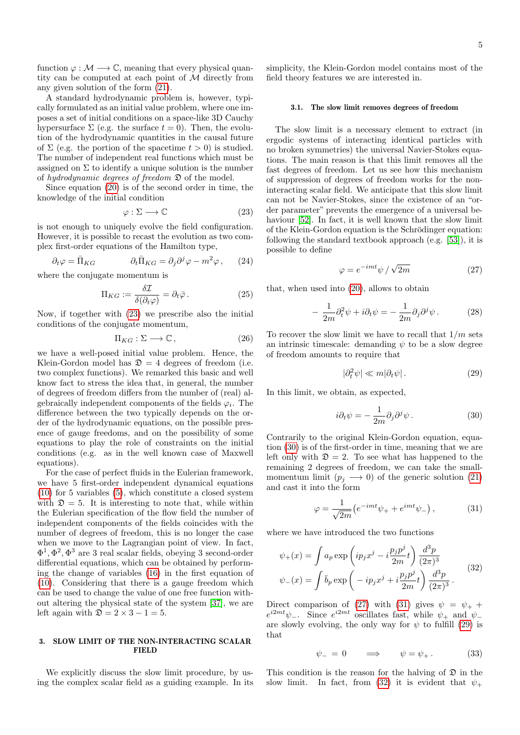function  $\varphi : \mathcal{M} \longrightarrow \mathbb{C}$ , meaning that every physical quantity can be computed at each point of M directly from any given solution of the form [\(21\)](#page-3-6).

A standard hydrodynamic problem is, however, typically formulated as an initial value problem, where one imposes a set of initial conditions on a space-like 3D Cauchy hypersurface  $\Sigma$  (e.g. the surface  $t = 0$ ). Then, the evolution of the hydrodynamic quantities in the causal future of  $\Sigma$  (e.g. the portion of the spacetime  $t > 0$ ) is studied. The number of independent real functions which must be assigned on  $\Sigma$  to identify a unique solution is the number of hydrodynamic degrees of freedom  $\mathfrak D$  of the model.

Since equation [\(20\)](#page-3-3) is of the second order in time, the knowledge of the initial condition

<span id="page-4-0"></span>
$$
\varphi : \Sigma \longrightarrow \mathbb{C} \tag{23}
$$

is not enough to uniquely evolve the field configuration. However, it is possible to recast the evolution as two complex first-order equations of the Hamilton type,

$$
\partial_t \varphi = \bar{\Pi}_{KG} \qquad \partial_t \bar{\Pi}_{KG} = \partial_j \partial^j \varphi - m^2 \varphi, \qquad (24)
$$

where the conjugate momentum is

$$
\Pi_{KG} := \frac{\delta \mathcal{I}}{\delta(\partial_t \varphi)} = \partial_t \bar{\varphi} \,. \tag{25}
$$

Now, if together with [\(23\)](#page-4-0) we prescribe also the initial conditions of the conjugate momentum,

$$
\Pi_{KG}: \Sigma \longrightarrow \mathbb{C},\tag{26}
$$

we have a well-posed initial value problem. Hence, the Klein-Gordon model has  $\mathfrak{D} = 4$  degrees of freedom (i.e. two complex functions). We remarked this basic and well know fact to stress the idea that, in general, the number of degrees of freedom differs from the number of (real) algebraically independent components of the fields  $\varphi_i$ . The difference between the two typically depends on the order of the hydrodynamic equations, on the possible presence of gauge freedoms, and on the possibility of some equations to play the role of constraints on the initial conditions (e.g. as in the well known case of Maxwell equations).

For the case of perfect fluids in the Eulerian framework, we have 5 first-order independent dynamical equations [\(10\)](#page-2-7) for 5 variables [\(5\)](#page-2-1), which constitute a closed system with  $\mathfrak{D} = 5$ . It is interesting to note that, while within the Eulerian specification of the flow field the number of independent components of the fields coincides with the number of degrees of freedom, this is no longer the case when we move to the Lagrangian point of view. In fact,  $\Phi^1, \Phi^2, \Phi^3$  are 3 real scalar fields, obeying 3 second-order differential equations, which can be obtained by performing the change of variables [\(16\)](#page-3-7) in the first equation of [\(10\)](#page-2-7). Considering that there is a gauge freedom which can be used to change the value of one free function without altering the physical state of the system [\[37\]](#page-28-37), we are left again with  $\mathfrak{D} = 2 \times 3 - 1 = 5$ .

## 3. SLOW LIMIT OF THE NON-INTERACTING SCALAR **FIELD**

We explicitly discuss the slow limit procedure, by using the complex scalar field as a guiding example. In its simplicity, the Klein-Gordon model contains most of the field theory features we are interested in.

### 3.1. The slow limit removes degrees of freedom

The slow limit is a necessary element to extract (in ergodic systems of interacting identical particles with no broken symmetries) the universal Navier-Stokes equations. The main reason is that this limit removes all the fast degrees of freedom. Let us see how this mechanism of suppression of degrees of freedom works for the noninteracting scalar field. We anticipate that this slow limit can not be Navier-Stokes, since the existence of an "order parameter" prevents the emergence of a universal be-haviour [\[52\]](#page-28-47). In fact, it is well known that the slow limit of the Klein-Gordon equation is the Schrödinger equation: following the standard textbook approach (e.g. [\[53\]](#page-28-48)), it is possible to define

<span id="page-4-2"></span>
$$
\varphi = e^{-imt}\psi / \sqrt{2m} \tag{27}
$$

that, when used into [\(20\)](#page-3-3), allows to obtain

<span id="page-4-7"></span>
$$
- \frac{1}{2m} \partial_t^2 \psi + i \partial_t \psi = - \frac{1}{2m} \partial_j \partial^j \psi.
$$
 (28)

To recover the slow limit we have to recall that  $1/m$  sets an intrinsic timescale: demanding  $\psi$  to be a slow degree of freedom amounts to require that

<span id="page-4-4"></span>
$$
|\partial_t^2 \psi| \ll m |\partial_t \psi| \,. \tag{29}
$$

In this limit, we obtain, as expected,

<span id="page-4-1"></span>
$$
i\partial_t \psi = -\frac{1}{2m} \partial_j \partial^j \psi.
$$
 (30)

Contrarily to the original Klein-Gordon equation, equation [\(30\)](#page-4-1) is of the first-order in time, meaning that we are left only with  $\mathcal{D} = 2$ . To see what has happened to the remaining 2 degrees of freedom, we can take the smallmomentum limit  $(p_i \rightarrow 0)$  of the generic solution [\(21\)](#page-3-6) and cast it into the form

<span id="page-4-3"></span>
$$
\varphi = \frac{1}{\sqrt{2m}} \left( e^{-imt} \psi_+ + e^{imt} \psi_- \right),\tag{31}
$$

where we have introduced the two functions

<span id="page-4-5"></span>
$$
\psi_{+}(x) = \int a_{p} \exp\left(ip_{j}x^{j} - i\frac{p_{j}p^{j}}{2m}t\right) \frac{d^{3}p}{(2\pi)^{3}}
$$

$$
\psi_{-}(x) = \int \bar{b}_{p} \exp\left(-ip_{j}x^{j} + i\frac{p_{j}p^{j}}{2m}t\right) \frac{d^{3}p}{(2\pi)^{3}}.
$$
(32)

Direct comparison of [\(27\)](#page-4-2) with [\(31\)](#page-4-3) gives  $\psi = \psi_+ +$  $e^{i2mt}\psi_-\$ . Since  $e^{i2mt}$  oscillates fast, while  $\psi_+$  and  $\psi_$ are slowly evolving, the only way for  $\psi$  to fulfill [\(29\)](#page-4-4) is that

<span id="page-4-6"></span>
$$
\psi_- = 0 \qquad \Longrightarrow \qquad \psi = \psi_+ \,. \tag{33}
$$

This condition is the reason for the halving of  $\mathfrak D$  in the slow limit. In fact, from [\(32\)](#page-4-5) it is evident that  $\psi_+$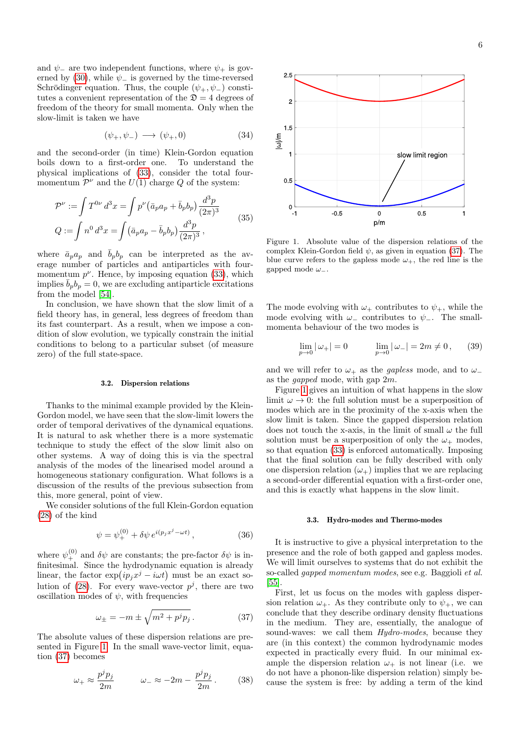and  $\psi$ <sub>-</sub> are two independent functions, where  $\psi$ <sub>+</sub> is gov-erned by [\(30\)](#page-4-1), while  $\psi$ <sub>-</sub> is governed by the time-reversed Schrödinger equation. Thus, the couple  $(\psi_+, \psi_-)$  constitutes a convenient representation of the  $\mathfrak{D} = 4$  degrees of freedom of the theory for small momenta. Only when the slow-limit is taken we have

$$
(\psi_+,\psi_-) \longrightarrow (\psi_+,0) \tag{34}
$$

and the second-order (in time) Klein-Gordon equation boils down to a first-order one. To understand the physical implications of [\(33\)](#page-4-6), consider the total fourmomentum  $\mathcal{P}^{\nu}$  and the  $U(1)$  charge Q of the system:

$$
\mathcal{P}^{\nu} := \int T^{0\nu} d^3x = \int p^{\nu} (\bar{a}_p a_p + \bar{b}_p b_p) \frac{d^3p}{(2\pi)^3}
$$
  

$$
Q := \int n^0 d^3x = \int (\bar{a}_p a_p - \bar{b}_p b_p) \frac{d^3p}{(2\pi)^3},
$$
 (35)

where  $\bar{a}_p a_p$  and  $\bar{b}_p b_p$  can be interpreted as the average number of particles and antiparticles with fourmomentum  $p^{\nu}$ . Hence, by imposing equation [\(33\)](#page-4-6), which implies  $\bar{b}_p b_p = 0$ , we are excluding antiparticle excitations from the model [\[54\]](#page-28-49).

In conclusion, we have shown that the slow limit of a field theory has, in general, less degrees of freedom than its fast counterpart. As a result, when we impose a condition of slow evolution, we typically constrain the initial conditions to belong to a particular subset (of measure zero) of the full state-space.

#### 3.2. Dispersion relations

Thanks to the minimal example provided by the Klein-Gordon model, we have seen that the slow-limit lowers the order of temporal derivatives of the dynamical equations. It is natural to ask whether there is a more systematic technique to study the effect of the slow limit also on other systems. A way of doing this is via the spectral analysis of the modes of the linearised model around a homogeneous stationary configuration. What follows is a discussion of the results of the previous subsection from this, more general, point of view.

We consider solutions of the full Klein-Gordon equation [\(28\)](#page-4-7) of the kind

$$
\psi = \psi_+^{(0)} + \delta \psi \, e^{i(p_j x^j - \omega t)},\tag{36}
$$

where  $\psi_{+}^{(0)}$  and  $\delta\psi$  are constants; the pre-factor  $\delta\psi$  is infinitesimal. Since the hydrodynamic equation is already linear, the factor  $\exp(ip_jx^j - i\omega t)$  must be an exact so-lution of [\(28\)](#page-4-7). For every wave-vector  $p<sup>j</sup>$ , there are two oscillation modes of  $\psi$ , with frequencies

<span id="page-5-1"></span>
$$
\omega_{\pm} = -m \pm \sqrt{m^2 + p^j p_j} \,. \tag{37}
$$

The absolute values of these dispersion relations are pre-sented in Figure [1.](#page-5-0) In the small wave-vector limit, equation [\(37\)](#page-5-1) becomes

$$
\omega_+ \approx \frac{p^j p_j}{2m} \qquad \omega_- \approx -2m - \frac{p^j p_j}{2m} \,. \tag{38}
$$



<span id="page-5-0"></span>Figure 1. Absolute value of the dispersion relations of the complex Klein-Gordon field  $\psi$ , as given in equation [\(37\)](#page-5-1). The blue curve refers to the gapless mode  $\omega_+$ , the red line is the gapped mode  $\omega_-.$ 

The mode evolving with  $\omega_+$  contributes to  $\psi_+$ , while the mode evolving with  $\omega_-\$  contributes to  $\psi_-\$ . The smallmomenta behaviour of the two modes is

$$
\lim_{p \to 0} |\omega_{+}| = 0 \qquad \lim_{p \to 0} |\omega_{-}| = 2m \neq 0, \qquad (39)
$$

and we will refer to  $\omega_+$  as the *gapless* mode, and to  $\omega_$ as the gapped mode, with gap 2m.

Figure [1](#page-5-0) gives an intuition of what happens in the slow limit  $\omega \to 0$ : the full solution must be a superposition of modes which are in the proximity of the x-axis when the slow limit is taken. Since the gapped dispersion relation does not touch the x-axis, in the limit of small  $\omega$  the full solution must be a superposition of only the  $\omega_+$  modes, so that equation [\(33\)](#page-4-6) is enforced automatically. Imposing that the final solution can be fully described with only one dispersion relation  $(\omega_+)$  implies that we are replacing a second-order differential equation with a first-order one, and this is exactly what happens in the slow limit.

#### <span id="page-5-2"></span>3.3. Hydro-modes and Thermo-modes

It is instructive to give a physical interpretation to the presence and the role of both gapped and gapless modes. We will limit ourselves to systems that do not exhibit the so-called gapped momentum modes, see e.g. Baggioli et al. [\[55\]](#page-28-50).

First, let us focus on the modes with gapless dispersion relation  $\omega_+$ . As they contribute only to  $\psi_+$ , we can conclude that they describe ordinary density fluctuations in the medium. They are, essentially, the analogue of sound-waves: we call them  $Hydro-modes$ , because they are (in this context) the common hydrodynamic modes expected in practically every fluid. In our minimal example the dispersion relation  $\omega_+$  is not linear (i.e. we do not have a phonon-like dispersion relation) simply because the system is free: by adding a term of the kind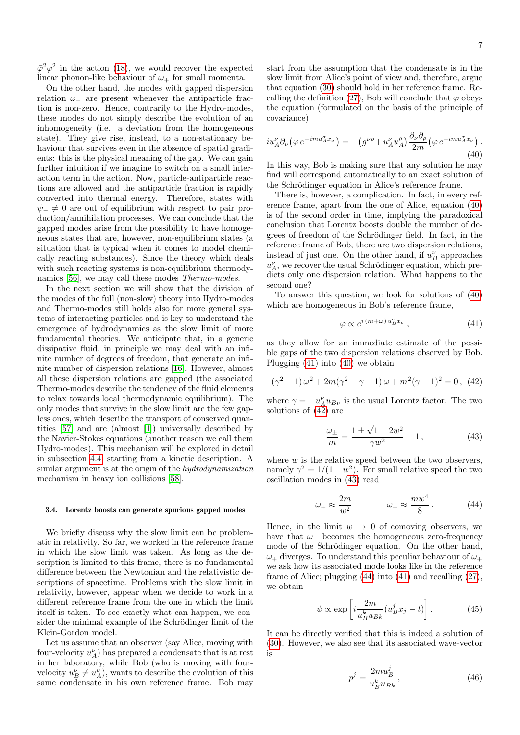$\bar{\varphi}^2 \varphi^2$  in the action [\(18\)](#page-3-2), we would recover the expected linear phonon-like behaviour of  $\omega_+$  for small momenta.

On the other hand, the modes with gapped dispersion relation  $\omega_-\$  are present whenever the antiparticle fraction is non-zero. Hence, contrarily to the Hydro-modes, these modes do not simply describe the evolution of an inhomogeneity (i.e. a deviation from the homogeneous state). They give rise, instead, to a non-stationary behaviour that survives even in the absence of spatial gradients: this is the physical meaning of the gap. We can gain further intuition if we imagine to switch on a small interaction term in the action. Now, particle-antiparticle reactions are allowed and the antiparticle fraction is rapidly converted into thermal energy. Therefore, states with  $\psi_-\neq 0$  are out of equilibrium with respect to pair production/annihilation processes. We can conclude that the gapped modes arise from the possibility to have homogeneous states that are, however, non-equilibrium states (a situation that is typical when it comes to model chemically reacting substances). Since the theory which deals with such reacting systems is non-equilibrium thermodynamics [\[56\]](#page-28-51), we may call these modes Thermo-modes.

In the next section we will show that the division of the modes of the full (non-slow) theory into Hydro-modes and Thermo-modes still holds also for more general systems of interacting particles and is key to understand the emergence of hydrodynamics as the slow limit of more fundamental theories. We anticipate that, in a generic dissipative fluid, in principle we may deal with an infinite number of degrees of freedom, that generate an infinite number of dispersion relations [\[16\]](#page-28-15). However, almost all these dispersion relations are gapped (the associated Thermo-modes describe the tendency of the fluid elements to relax towards local thermodynamic equilibrium). The only modes that survive in the slow limit are the few gapless ones, which describe the transport of conserved quantities [\[57\]](#page-28-52) and are (almost [\[1\]](#page-28-0)) universally described by the Navier-Stokes equations (another reason we call them Hydro-modes). This mechanism will be explored in detail in subsection [4.4,](#page-9-0) starting from a kinetic description. A similar argument is at the origin of the hydrodynamization mechanism in heavy ion collisions [\[58\]](#page-28-53).

## <span id="page-6-5"></span>3.4. Lorentz boosts can generate spurious gapped modes

We briefly discuss why the slow limit can be problematic in relativity. So far, we worked in the reference frame in which the slow limit was taken. As long as the description is limited to this frame, there is no fundamental difference between the Newtonian and the relativistic descriptions of spacetime. Problems with the slow limit in relativity, however, appear when we decide to work in a different reference frame from the one in which the limit itself is taken. To see exactly what can happen, we consider the minimal example of the Schrödinger limit of the Klein-Gordon model.

Let us assume that an observer (say Alice, moving with four-velocity  $u_A^{\nu}$ ) has prepared a condensate that is at rest in her laboratory, while Bob (who is moving with fourvelocity  $u_B^{\nu} \neq u_A^{\nu}$ , wants to describe the evolution of this same condensate in his own reference frame. Bob may

start from the assumption that the condensate is in the slow limit from Alice's point of view and, therefore, argue that equation [\(30\)](#page-4-1) should hold in her reference frame. Re-calling the definition [\(27\)](#page-4-2), Bob will conclude that  $\varphi$  obeys the equation (formulated on the basis of the principle of covariance)

<span id="page-6-0"></span>
$$
iu_A^{\nu} \partial_{\nu} (\varphi e^{-imu_A^{\sigma} x_{\sigma}}) = -(g^{\nu \rho} + u_A^{\nu} u_A^{\rho}) \frac{\partial_{\nu} \partial_{\rho}}{2m} (\varphi e^{-imu_A^{\sigma} x_{\sigma}}).
$$
\n(40)

In this way, Bob is making sure that any solution he may find will correspond automatically to an exact solution of the Schrödinger equation in Alice's reference frame.

There is, however, a complication. In fact, in every reference frame, apart from the one of Alice, equation [\(40\)](#page-6-0) is of the second order in time, implying the paradoxical conclusion that Lorentz boosts double the number of degrees of freedom of the Schrödinger field. In fact, in the reference frame of Bob, there are two dispersion relations, instead of just one. On the other hand, if  $u_B^\nu$  approaches  $u_A^{\nu}$ , we recover the usual Schrödinger equation, which predicts only one dispersion relation. What happens to the second one?

To answer this question, we look for solutions of [\(40\)](#page-6-0) which are homogeneous in Bob's reference frame,

<span id="page-6-1"></span>
$$
\varphi \propto e^{i(m+\omega)u_B^{\sigma}x_{\sigma}},\tag{41}
$$

as they allow for an immediate estimate of the possible gaps of the two dispersion relations observed by Bob. Plugging [\(41\)](#page-6-1) into [\(40\)](#page-6-0) we obtain

<span id="page-6-2"></span>
$$
(\gamma^2 - 1)\,\omega^2 + 2m(\gamma^2 - \gamma - 1)\,\omega + m^2(\gamma - 1)^2 = 0\,,\tag{42}
$$

where  $\gamma = -u_A^{\nu} u_{B\nu}$  is the usual Lorentz factor. The two solutions of [\(42\)](#page-6-2) are

<span id="page-6-3"></span>
$$
\frac{\omega_{\pm}}{m} = \frac{1 \pm \sqrt{1 - 2w^2}}{\gamma w^2} - 1, \qquad (43)
$$

where  $w$  is the relative speed between the two observers, namely  $\gamma^2 = 1/(1 - w^2)$ . For small relative speed the two oscillation modes in [\(43\)](#page-6-3) read

<span id="page-6-4"></span>
$$
\omega_{+} \approx \frac{2m}{w^2} \qquad \qquad \omega_{-} \approx \frac{mw^4}{8} \,. \tag{44}
$$

Hence, in the limit  $w \to 0$  of comoving observers, we have that  $\omega_-\$  becomes the homogeneous zero-frequency mode of the Schrödinger equation. On the other hand,  $\omega_+$  diverges. To understand this peculiar behaviour of  $\omega_+$ we ask how its associated mode looks like in the reference frame of Alice; plugging [\(44\)](#page-6-4) into [\(41\)](#page-6-1) and recalling [\(27\)](#page-4-2), we obtain

$$
\psi \propto \exp\left[i\frac{2m}{u_B^k u_{Bk}}(u_B^j x_j - t)\right].\tag{45}
$$

It can be directly verified that this is indeed a solution of [\(30\)](#page-4-1). However, we also see that its associated wave-vector is

$$
p^j = \frac{2m u_B^j}{u_B^k u_{Bk}},\tag{46}
$$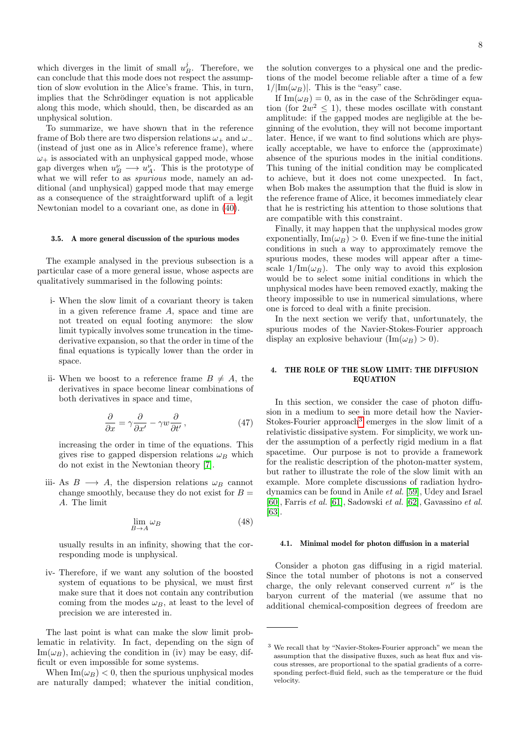which diverges in the limit of small  $u_B^j$ . Therefore, we can conclude that this mode does not respect the assumption of slow evolution in the Alice's frame. This, in turn, implies that the Schrödinger equation is not applicable along this mode, which should, then, be discarded as an unphysical solution.

To summarize, we have shown that in the reference frame of Bob there are two dispersion relations  $\omega_+$  and  $\omega_-$ (instead of just one as in Alice's reference frame), where  $\omega_{+}$  is associated with an unphysical gapped mode, whose gap diverges when  $u_B^{\nu} \longrightarrow u_A^{\nu}$ . This is the prototype of what we will refer to as *spurious* mode, namely an additional (and unphysical) gapped mode that may emerge as a consequence of the straightforward uplift of a legit Newtonian model to a covariant one, as done in [\(40\)](#page-6-0).

### 3.5. A more general discussion of the spurious modes

The example analysed in the previous subsection is a particular case of a more general issue, whose aspects are qualitatively summarised in the following points:

- i- When the slow limit of a covariant theory is taken in a given reference frame A, space and time are not treated on equal footing anymore: the slow limit typically involves some truncation in the timederivative expansion, so that the order in time of the final equations is typically lower than the order in space.
- ii- When we boost to a reference frame  $B \neq A$ , the derivatives in space become linear combinations of both derivatives in space and time,

$$
\frac{\partial}{\partial x} = \gamma \frac{\partial}{\partial x'} - \gamma w \frac{\partial}{\partial t'},\tag{47}
$$

increasing the order in time of the equations. This gives rise to gapped dispersion relations  $\omega_B$  which do not exist in the Newtonian theory [\[7\]](#page-28-6).

iii- As  $B \longrightarrow A$ , the dispersion relations  $\omega_B$  cannot change smoothly, because they do not exist for  $B =$ A. The limit

$$
\lim_{B \to A} \omega_B \tag{48}
$$

usually results in an infinity, showing that the corresponding mode is unphysical.

iv- Therefore, if we want any solution of the boosted system of equations to be physical, we must first make sure that it does not contain any contribution coming from the modes  $\omega_B$ , at least to the level of precision we are interested in.

The last point is what can make the slow limit problematic in relativity. In fact, depending on the sign of  $\text{Im}(\omega_B)$ , achieving the condition in (iv) may be easy, difficult or even impossible for some systems.

When  $\text{Im}(\omega_B) < 0$ , then the spurious unphysical modes are naturally damped; whatever the initial condition,

If  $\text{Im}(\omega_B) = 0$ , as in the case of the Schrödinger equation (for  $2w^2 \leq 1$ ), these modes oscillate with constant amplitude: if the gapped modes are negligible at the beginning of the evolution, they will not become important later. Hence, if we want to find solutions which are physically acceptable, we have to enforce the (approximate) absence of the spurious modes in the initial conditions. This tuning of the initial condition may be complicated to achieve, but it does not come unexpected. In fact, when Bob makes the assumption that the fluid is slow in the reference frame of Alice, it becomes immediately clear that he is restricting his attention to those solutions that are compatible with this constraint.

Finally, it may happen that the unphysical modes grow exponentially,  $\text{Im}(\omega_B) > 0$ . Even if we fine-tune the initial conditions in such a way to approximately remove the spurious modes, these modes will appear after a timescale  $1/\text{Im}(\omega_B)$ . The only way to avoid this explosion would be to select some initial conditions in which the unphysical modes have been removed exactly, making the theory impossible to use in numerical simulations, where one is forced to deal with a finite precision.

In the next section we verify that, unfortunately, the spurious modes of the Navier-Stokes-Fourier approach display an explosive behaviour  $(\text{Im}(\omega_B) > 0)$ .

## 4. THE ROLE OF THE SLOW LIMIT: THE DIFFUSION EQUATION

In this section, we consider the case of photon diffusion in a medium to see in more detail how the Navier-Stokes-Fourier approach<sup>[3](#page-7-0)</sup> emerges in the slow limit of a relativistic dissipative system. For simplicity, we work under the assumption of a perfectly rigid medium in a flat spacetime. Our purpose is not to provide a framework for the realistic description of the photon-matter system, but rather to illustrate the role of the slow limit with an example. More complete discussions of radiation hydrodynamics can be found in Anile et al. [\[59\]](#page-29-0), Udey and Israel [\[60\]](#page-29-1), Farris et al. [\[61\]](#page-29-2), Sadowski et al. [\[62\]](#page-29-3), Gavassino et al. [\[63\]](#page-29-4).

#### 4.1. Minimal model for photon diffusion in a material

Consider a photon gas diffusing in a rigid material. Since the total number of photons is not a conserved charge, the only relevant conserved current  $n^{\nu}$  is the baryon current of the material (we assume that no additional chemical-composition degrees of freedom are

<span id="page-7-0"></span><sup>3</sup> We recall that by "Navier-Stokes-Fourier approach" we mean the assumption that the dissipative fluxes, such as heat flux and viscous stresses, are proportional to the spatial gradients of a corresponding perfect-fluid field, such as the temperature or the fluid velocity.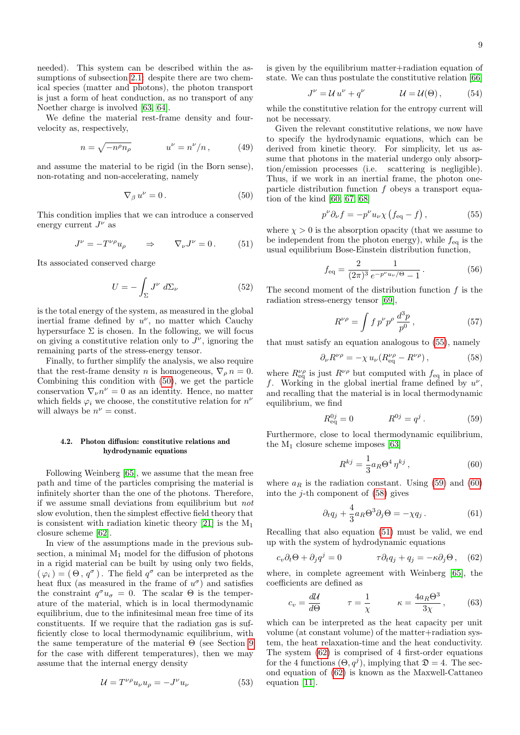needed). This system can be described within the as-sumptions of subsection [2.1:](#page-1-2) despite there are two chemical species (matter and photons), the photon transport is just a form of heat conduction, as no transport of any Noether charge is involved [\[63,](#page-29-4) [64\]](#page-29-5).

We define the material rest-frame density and fourvelocity as, respectively,

$$
n = \sqrt{-n^{\rho}n_{\rho}} \qquad \qquad u^{\nu} = n^{\nu}/n \,, \tag{49}
$$

and assume the material to be rigid (in the Born sense), non-rotating and non-accelerating, namely

<span id="page-8-0"></span>
$$
\nabla_{\beta} u^{\nu} = 0. \tag{50}
$$

This condition implies that we can introduce a conserved energy current  $J^{\nu}$  as

<span id="page-8-5"></span>
$$
J^{\nu} = -T^{\nu \rho} u_{\rho} \qquad \Rightarrow \qquad \nabla_{\nu} J^{\nu} = 0. \tag{51}
$$

Its associated conserved charge

$$
U = -\int_{\Sigma} J^{\nu} d\Sigma_{\nu}
$$
 (52)

is the total energy of the system, as measured in the global inertial frame defined by  $u^{\nu}$ , no matter which Cauchy hypersurface  $\Sigma$  is chosen. In the following, we will focus on giving a constitutive relation only to  $J^{\nu}$ , ignoring the remaining parts of the stress-energy tensor.

Finally, to further simplify the analysis, we also require that the rest-frame density n is homogeneous,  $\nabla_{\rho} n = 0$ . Combining this condition with [\(50\)](#page-8-0), we get the particle conservation  $\nabla_{\nu} n^{\nu} = 0$  as an identity. Hence, no matter which fields  $\varphi_i$  we choose, the constitutive relation for  $n^{\nu}$ will always be  $n^{\nu} = \text{const.}$ 

## <span id="page-8-10"></span>4.2. Photon diffusion: constitutive relations and hydrodynamic equations

Following Weinberg [\[65\]](#page-29-6), we assume that the mean free path and time of the particles comprising the material is infinitely shorter than the one of the photons. Therefore, if we assume small deviations from equilibrium but not slow evolution, then the simplest effective field theory that is consistent with radiation kinetic theory [\[21\]](#page-28-20) is the  $M_1$ closure scheme [\[62\]](#page-29-3).

In view of the assumptions made in the previous subsection, a minimal  $M_1$  model for the diffusion of photons in a rigid material can be built by using only two fields,  $(\varphi_i) = (\Theta, q^{\sigma})$ . The field  $q^{\sigma}$  can be interpreted as the heat flux (as measured in the frame of  $u^{\sigma}$ ) and satisfies the constraint  $q^{\sigma}u_{\sigma} = 0$ . The scalar  $\Theta$  is the temperature of the material, which is in local thermodynamic equilibrium, due to the infinitesimal mean free time of its constituents. If we require that the radiation gas is sufficiently close to local thermodynamic equilibrium, with the same temperature of the material  $\Theta$  (see Section [9](#page-23-0)) for the case with different temperatures), then we may assume that the internal energy density

$$
\mathcal{U} = T^{\nu \rho} u_{\nu} u_{\rho} = -J^{\nu} u_{\nu} \tag{53}
$$

is given by the equilibrium matter+radiation equation of state. We can thus postulate the constitutive relation [\[66\]](#page-29-7)

$$
J^{\nu} = \mathcal{U} u^{\nu} + q^{\nu} \qquad \qquad \mathcal{U} = \mathcal{U}(\Theta), \qquad (54)
$$

while the constitutive relation for the entropy current will not be necessary.

Given the relevant constitutive relations, we now have to specify the hydrodynamic equations, which can be derived from kinetic theory. For simplicity, let us assume that photons in the material undergo only absorption/emission processes (i.e. scattering is negligible). Thus, if we work in an inertial frame, the photon oneparticle distribution function f obeys a transport equation of the kind [\[60,](#page-29-1) [67,](#page-29-8) [68\]](#page-29-9)

<span id="page-8-1"></span>
$$
p^{\nu}\partial_{\nu}f = -p^{\nu}u_{\nu}\chi\left(f_{\text{eq}} - f\right),\tag{55}
$$

where  $\chi > 0$  is the absorption opacity (that we assume to be independent from the photon energy), while  $f_{\text{eq}}$  is the usual equilibrium Bose-Einstein distribution function,

<span id="page-8-7"></span>
$$
f_{\text{eq}} = \frac{2}{(2\pi)^3} \frac{1}{e^{-p^{\nu}u_{\nu}/\Theta} - 1}.
$$
 (56)

The second moment of the distribution function  $f$  is the radiation stress-energy tensor [\[69\]](#page-29-10),

<span id="page-8-9"></span>
$$
R^{\nu \rho} = \int f \, p^{\nu} p^{\rho} \, \frac{d^3 p}{p^0} \,, \tag{57}
$$

that must satisfy an equation analogous to [\(55\)](#page-8-1), namely

<span id="page-8-4"></span>
$$
\partial_{\nu}R^{\nu\rho} = -\chi u_{\nu}(R^{\nu\rho}_{\text{eq}} - R^{\nu\rho}), \qquad (58)
$$

where  $R_{\text{eq}}^{\nu\rho}$  is just  $R^{\nu\rho}$  but computed with  $f_{\text{eq}}$  in place of f. Working in the global inertial frame defined by  $u^{\nu}$ , and recalling that the material is in local thermodynamic equilibrium, we find

<span id="page-8-2"></span>
$$
R_{\text{eq}}^{0j} = 0 \qquad R^{0j} = q^j. \tag{59}
$$

Furthermore, close to local thermodynamic equilibrium, the  $M_1$  closure scheme imposes [\[63\]](#page-29-4)

<span id="page-8-3"></span>
$$
R^{kj} = \frac{1}{3} a_R \Theta^4 \eta^{kj} , \qquad (60)
$$

where  $a_R$  is the radiation constant. Using [\(59\)](#page-8-2) and [\(60\)](#page-8-3) into the  $j$ -th component of  $(58)$  gives

$$
\partial_t q_j + \frac{4}{3} a_R \Theta^3 \partial_j \Theta = -\chi q_j \,. \tag{61}
$$

Recalling that also equation [\(51\)](#page-8-5) must be valid, we end up with the system of hydrodynamic equations

<span id="page-8-6"></span>
$$
c_v \partial_t \Theta + \partial_j q^j = 0 \qquad \qquad \tau \partial_t q_j + q_j = -\kappa \partial_j \Theta \,, \quad (62)
$$

where, in complete agreement with Weinberg [\[65\]](#page-29-6), the coefficients are defined as

<span id="page-8-8"></span>
$$
c_v = \frac{d\mathcal{U}}{d\Theta} \qquad \tau = \frac{1}{\chi} \qquad \kappa = \frac{4a_R\Theta^3}{3\chi}, \qquad (63)
$$

which can be interpreted as the heat capacity per unit volume (at constant volume) of the matter+radiation system, the heat relaxation-time and the heat conductivity. The system [\(62\)](#page-8-6) is comprised of 4 first-order equations for the 4 functions  $(\Theta, q^j)$ , implying that  $\mathfrak{D} = 4$ . The second equation of [\(62\)](#page-8-6) is known as the Maxwell-Cattaneo equation [\[11\]](#page-28-10).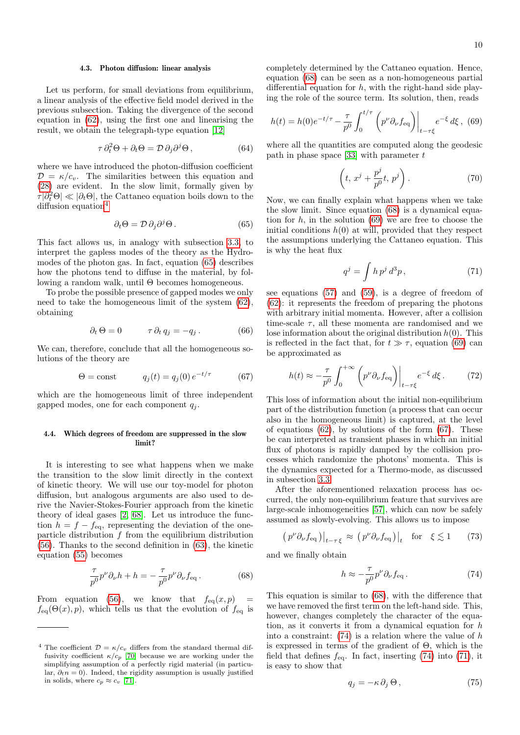### 4.3. Photon diffusion: linear analysis

Let us perform, for small deviations from equilibrium, a linear analysis of the effective field model derived in the previous subsection. Taking the divergence of the second equation in [\(62\)](#page-8-6), using the first one and linearising the result, we obtain the telegraph-type equation [\[12\]](#page-28-11)

$$
\tau \, \partial_t^2 \Theta + \partial_t \Theta = \mathcal{D} \, \partial_j \partial^j \Theta \,, \tag{64}
$$

where we have introduced the photon-diffusion coefficient  $\mathcal{D} = \kappa/c_v$ . The similarities between this equation and [\(28\)](#page-4-7) are evident. In the slow limit, formally given by  $\tau |\partial_t^2 \Theta| \ll |\partial_t \Theta|$ , the Cattaneo equation boils down to the diffusion equation<sup>[4](#page-9-1)</sup>

<span id="page-9-2"></span>
$$
\partial_t \Theta = \mathcal{D} \, \partial_j \partial^j \Theta \,. \tag{65}
$$

This fact allows us, in analogy with subsection [3.3,](#page-5-2) to interpret the gapless modes of the theory as the Hydromodes of the photon gas. In fact, equation [\(65\)](#page-9-2) describes how the photons tend to diffuse in the material, by following a random walk, until Θ becomes homogeneous.

To probe the possible presence of gapped modes we only need to take the homogeneous limit of the system [\(62\)](#page-8-6), obtaining

$$
\partial_t \Theta = 0 \qquad \qquad \tau \, \partial_t \, q_j = -q_j \,. \tag{66}
$$

We can, therefore, conclude that all the homogeneous solutions of the theory are

<span id="page-9-5"></span>
$$
\Theta = \text{const} \qquad q_j(t) = q_j(0) e^{-t/\tau} \qquad (67)
$$

which are the homogeneous limit of three independent gapped modes, one for each component  $q_j$ .

## <span id="page-9-0"></span>4.4. Which degrees of freedom are suppressed in the slow limit?

It is interesting to see what happens when we make the transition to the slow limit directly in the context of kinetic theory. We will use our toy-model for photon diffusion, but analogous arguments are also used to derive the Navier-Stokes-Fourier approach from the kinetic theory of ideal gases [\[2,](#page-28-1) [68\]](#page-29-9). Let us introduce the function  $h = f - f_{eq}$ , representing the deviation of the oneparticle distribution  $f$  from the equilibrium distribution [\(56\)](#page-8-7). Thanks to the second definition in [\(63\)](#page-8-8), the kinetic equation [\(55\)](#page-8-1) becomes

<span id="page-9-3"></span>
$$
\frac{\tau}{p^0} p^\nu \partial_\nu h + h = -\frac{\tau}{p^0} p^\nu \partial_\nu f_{\text{eq}}.
$$
 (68)

From equation [\(56\)](#page-8-7), we know that  $f_{eq}(x,p)$  =  $f_{\text{eq}}(\Theta(x), p)$ , which tells us that the evolution of  $f_{\text{eq}}$  is completely determined by the Cattaneo equation. Hence, equation [\(68\)](#page-9-3) can be seen as a non-homogeneous partial differential equation for  $h$ , with the right-hand side playing the role of the source term. Its solution, then, reads

<span id="page-9-4"></span>
$$
h(t) = h(0)e^{-t/\tau} - \frac{\tau}{p^0} \int_0^{t/\tau} \left( p^{\nu} \partial_{\nu} f_{\text{eq}} \right) \Big|_{t-\tau\xi} e^{-\xi} d\xi, \tag{69}
$$

where all the quantities are computed along the geodesic path in phase space [\[33\]](#page-28-32) with parameter  $t$ 

<span id="page-9-9"></span>
$$
\left(t, x^j + \frac{p^j}{p^0}t, p^j\right). \tag{70}
$$

Now, we can finally explain what happens when we take the slow limit. Since equation [\(68\)](#page-9-3) is a dynamical equation for  $h$ , in the solution [\(69\)](#page-9-4) we are free to choose the initial conditions  $h(0)$  at will, provided that they respect the assumptions underlying the Cattaneo equation. This is why the heat flux

<span id="page-9-7"></span>
$$
q^j = \int h \, p^j \, d^3 p \,, \tag{71}
$$

see equations [\(57\)](#page-8-9) and [\(59\)](#page-8-2), is a degree of freedom of [\(62\)](#page-8-6): it represents the freedom of preparing the photons with arbitrary initial momenta. However, after a collision time-scale  $\tau$ , all these momenta are randomised and we lose information about the original distribution  $h(0)$ . This is reflected in the fact that, for  $t \gg \tau$ , equation [\(69\)](#page-9-4) can be approximated as

$$
h(t) \approx -\frac{\tau}{p^0} \int_0^{+\infty} \left( p^\nu \partial_\nu f_{\text{eq}} \right) \Big|_{t-\tau\xi} e^{-\xi} d\xi. \tag{72}
$$

This loss of information about the initial non-equilibrium part of the distribution function (a process that can occur also in the homogeneous limit) is captured, at the level of equations  $(62)$ , by solutions of the form  $(67)$ . These be can interpreted as transient phases in which an initial flux of photons is rapidly damped by the collision processes which randomize the photons' momenta. This is the dynamics expected for a Thermo-mode, as discussed in subsection [3.3.](#page-5-2)

After the aforementioned relaxation process has occurred, the only non-equilibrium feature that survives are large-scale inhomogeneities [\[57\]](#page-28-52), which can now be safely assumed as slowly-evolving. This allows us to impose

$$
\left(p^{\nu}\partial_{\nu}f_{\text{eq}}\right)\big|_{t-\tau\,\xi} \approx \left(p^{\nu}\partial_{\nu}f_{\text{eq}}\right)\big|_{t} \quad \text{for} \quad \xi \lesssim 1 \tag{73}
$$

and we finally obtain

<span id="page-9-6"></span>
$$
h \approx -\frac{\tau}{p^0} p^\nu \partial_\nu f_{\text{eq}} \,. \tag{74}
$$

This equation is similar to [\(68\)](#page-9-3), with the difference that we have removed the first term on the left-hand side. This, however, changes completely the character of the equation, as it converts it from a dynamical equation for  $h$ into a constraint:  $(74)$  is a relation where the value of h is expressed in terms of the gradient of  $\Theta$ , which is the field that defines  $f_{eq}$ . In fact, inserting [\(74\)](#page-9-6) into [\(71\)](#page-9-7), it is easy to show that

<span id="page-9-8"></span>
$$
q_j = -\kappa \, \partial_j \, \Theta \,, \tag{75}
$$

<span id="page-9-1"></span><sup>&</sup>lt;sup>4</sup> The coefficient  $\mathcal{D} = \kappa/c_v$  differs from the standard thermal diffusivity coefficient  $\kappa/c_p$  [\[70\]](#page-29-11) because we are working under the simplifying assumption of a perfectly rigid material (in particular,  $\partial_t n = 0$ ). Indeed, the rigidity assumption is usually justified in solids, where  $c_p \approx c_v$  [\[71\]](#page-29-12).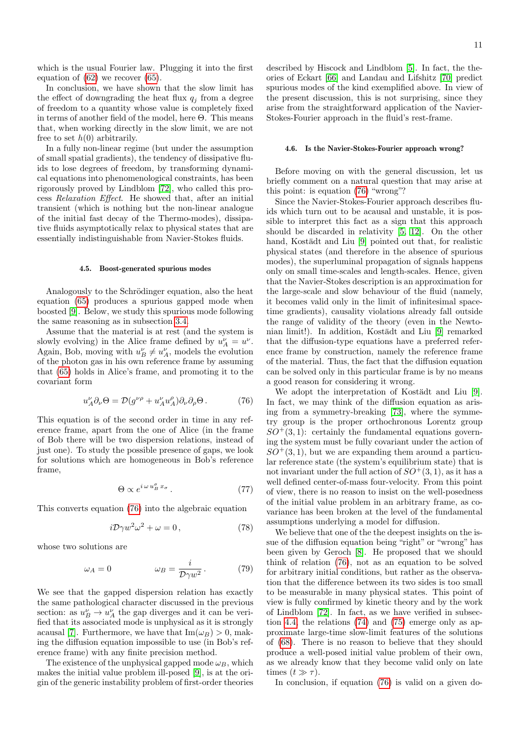which is the usual Fourier law. Plugging it into the first equation of [\(62\)](#page-8-6) we recover [\(65\)](#page-9-2).

In conclusion, we have shown that the slow limit has the effect of downgrading the heat flux  $q_j$  from a degree of freedom to a quantity whose value is completely fixed in terms of another field of the model, here  $\Theta$ . This means that, when working directly in the slow limit, we are not free to set  $h(0)$  arbitrarily.

In a fully non-linear regime (but under the assumption of small spatial gradients), the tendency of dissipative fluids to lose degrees of freedom, by transforming dynamical equations into phenomenological constraints, has been rigorously proved by Lindblom [\[72\]](#page-29-13), who called this process Relaxation Effect. He showed that, after an initial transient (which is nothing but the non-linear analogue of the initial fast decay of the Thermo-modes), dissipative fluids asymptotically relax to physical states that are essentially indistinguishable from Navier-Stokes fluids.

#### <span id="page-10-1"></span>4.5. Boost-generated spurious modes

Analogously to the Schrödinger equation, also the heat equation [\(65\)](#page-9-2) produces a spurious gapped mode when boosted [\[9\]](#page-28-8). Below, we study this spurious mode following the same reasoning as in subsection [3.4.](#page-6-5)

Assume that the material is at rest (and the system is slowly evolving) in the Alice frame defined by  $u_A^{\nu} = u^{\nu}$ . Again, Bob, moving with  $u_B^{\nu} \neq u_A^{\nu}$ , models the evolution of the photon gas in his own reference frame by assuming that [\(65\)](#page-9-2) holds in Alice's frame, and promoting it to the covariant form

<span id="page-10-0"></span>
$$
u_A^{\nu} \partial_{\nu} \Theta = \mathcal{D} (g^{\nu \rho} + u_A^{\nu} u_A^{\rho}) \partial_{\nu} \partial_{\rho} \Theta . \tag{76}
$$

This equation is of the second order in time in any reference frame, apart from the one of Alice (in the frame of Bob there will be two dispersion relations, instead of just one). To study the possible presence of gaps, we look for solutions which are homogeneous in Bob's reference frame,

$$
\Theta \propto e^{i\,\omega\,u_B^{\sigma}\,x_{\sigma}}\,. \tag{77}
$$

This converts equation [\(76\)](#page-10-0) into the algebraic equation

$$
i\mathcal{D}\gamma w^2\omega^2 + \omega = 0, \qquad (78)
$$

whose two solutions are

$$
\omega_A = 0 \qquad \qquad \omega_B = \frac{i}{\mathcal{D}\gamma w^2} \,. \tag{79}
$$

We see that the gapped dispersion relation has exactly the same pathological character discussed in the previous section: as  $u_B^{\nu} \to u_A^{\nu}$  the gap diverges and it can be verified that its associated mode is unphysical as it is strongly acausal [\[7\]](#page-28-6). Furthermore, we have that  $\text{Im}(\omega_B) > 0$ , making the diffusion equation impossible to use (in Bob's reference frame) with any finite precision method.

The existence of the unphysical gapped mode  $\omega_B$ , which makes the initial value problem ill-posed [\[9\]](#page-28-8), is at the origin of the generic instability problem of first-order theories described by Hiscock and Lindblom [\[5\]](#page-28-4). In fact, the theories of Eckart [\[66\]](#page-29-7) and Landau and Lifshitz [\[70\]](#page-29-11) predict spurious modes of the kind exemplified above. In view of the present discussion, this is not surprising, since they arise from the straightforward application of the Navier-Stokes-Fourier approach in the fluid's rest-frame.

## 4.6. Is the Navier-Stokes-Fourier approach wrong?

Before moving on with the general discussion, let us briefly comment on a natural question that may arise at this point: is equation [\(76\)](#page-10-0) "wrong"?

Since the Navier-Stokes-Fourier approach describes fluids which turn out to be acausal and unstable, it is possible to interpret this fact as a sign that this approach should be discarded in relativity [\[5,](#page-28-4) [12\]](#page-28-11). On the other hand, Kostädt and Liu [\[9\]](#page-28-8) pointed out that, for realistic physical states (and therefore in the absence of spurious modes), the superluminal propagation of signals happens only on small time-scales and length-scales. Hence, given that the Navier-Stokes description is an approximation for the large-scale and slow behaviour of the fluid (namely, it becomes valid only in the limit of infinitesimal spacetime gradients), causality violations already fall outside the range of validity of the theory (even in the Newto-nian limit!). In addition, Kostädt and Liu [\[9\]](#page-28-8) remarked that the diffusion-type equations have a preferred reference frame by construction, namely the reference frame of the material. Thus, the fact that the diffusion equation can be solved only in this particular frame is by no means a good reason for considering it wrong.

We adopt the interpretation of Kostädt and Liu [\[9\]](#page-28-8). In fact, we may think of the diffusion equation as arising from a symmetry-breaking [\[73\]](#page-29-14), where the symmetry group is the proper orthochronous Lorentz group  $SO^+(3,1)$ : certainly the fundamental equations governing the system must be fully covariant under the action of  $SO^+(3,1)$ , but we are expanding them around a particular reference state (the system's equilibrium state) that is not invariant under the full action of  $SO^+(3,1)$ , as it has a well defined center-of-mass four-velocity. From this point of view, there is no reason to insist on the well-posedness of the initial value problem in an arbitrary frame, as covariance has been broken at the level of the fundamental assumptions underlying a model for diffusion.

We believe that one of the the deepest insights on the issue of the diffusion equation being "right" or "wrong" has been given by Geroch [\[8\]](#page-28-7). He proposed that we should think of relation [\(76\)](#page-10-0), not as an equation to be solved for arbitrary initial conditions, but rather as the observation that the difference between its two sides is too small to be measurable in many physical states. This point of view is fully confirmed by kinetic theory and by the work of Lindblom [\[72\]](#page-29-13). In fact, as we have verified in subsection [4.4,](#page-9-0) the relations [\(74\)](#page-9-6) and [\(75\)](#page-9-8) emerge only as approximate large-time slow-limit features of the solutions of [\(68\)](#page-9-3). There is no reason to believe that they should produce a well-posed initial value problem of their own, as we already know that they become valid only on late times  $(t \gg \tau)$ .

In conclusion, if equation [\(76\)](#page-10-0) is valid on a given do-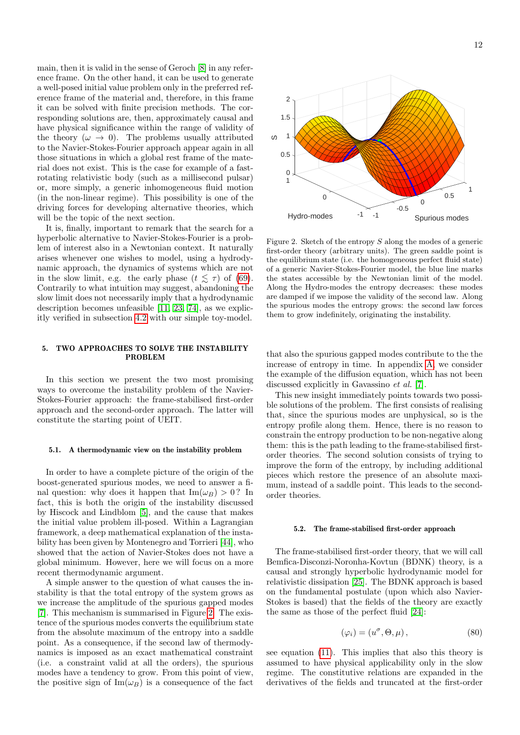main, then it is valid in the sense of Geroch [\[8\]](#page-28-7) in any reference frame. On the other hand, it can be used to generate a well-posed initial value problem only in the preferred reference frame of the material and, therefore, in this frame it can be solved with finite precision methods. The corresponding solutions are, then, approximately causal and have physical significance within the range of validity of the theory  $(\omega \rightarrow 0)$ . The problems usually attributed to the Navier-Stokes-Fourier approach appear again in all those situations in which a global rest frame of the material does not exist. This is the case for example of a fastrotating relativistic body (such as a millisecond pulsar) or, more simply, a generic inhomogeneous fluid motion (in the non-linear regime). This possibility is one of the driving forces for developing alternative theories, which will be the topic of the next section.

It is, finally, important to remark that the search for a hyperbolic alternative to Navier-Stokes-Fourier is a problem of interest also in a Newtonian context. It naturally arises whenever one wishes to model, using a hydrodynamic approach, the dynamics of systems which are not in the slow limit, e.g. the early phase  $(t \leq \tau)$  of [\(69\)](#page-9-4). Contrarily to what intuition may suggest, abandoning the slow limit does not necessarily imply that a hydrodynamic description becomes unfeasible [\[11,](#page-28-10) [23,](#page-28-22) [74\]](#page-29-15), as we explicitly verified in subsection [4.2](#page-8-10) with our simple toy-model.

## 5. TWO APPROACHES TO SOLVE THE INSTABILITY PROBLEM

In this section we present the two most promising ways to overcome the instability problem of the Navier-Stokes-Fourier approach: the frame-stabilised first-order approach and the second-order approach. The latter will constitute the starting point of UEIT.

#### 5.1. A thermodynamic view on the instability problem

In order to have a complete picture of the origin of the boost-generated spurious modes, we need to answer a final question: why does it happen that  $\text{Im}(\omega_B) > 0$ ? In fact, this is both the origin of the instability discussed by Hiscock and Lindblom [\[5\]](#page-28-4), and the cause that makes the initial value problem ill-posed. Within a Lagrangian framework, a deep mathematical explanation of the instability has been given by Montenegro and Torrieri [\[44\]](#page-28-54), who showed that the action of Navier-Stokes does not have a global minimum. However, here we will focus on a more recent thermodynamic argument.

A simple answer to the question of what causes the instability is that the total entropy of the system grows as we increase the amplitude of the spurious gapped modes [\[7\]](#page-28-6). This mechanism is summarised in Figure [2.](#page-11-0) The existence of the spurious modes converts the equilibrium state from the absolute maximum of the entropy into a saddle point. As a consequence, if the second law of thermodynamics is imposed as an exact mathematical constraint (i.e. a constraint valid at all the orders), the spurious modes have a tendency to grow. From this point of view, the positive sign of  $\text{Im}(\omega_B)$  is a consequence of the fact



<span id="page-11-0"></span>Figure 2. Sketch of the entropy  $S$  along the modes of a generic first-order theory (arbitrary units). The green saddle point is the equilibrium state (i.e. the homogeneous perfect fluid state) of a generic Navier-Stokes-Fourier model, the blue line marks the states accessible by the Newtonian limit of the model. Along the Hydro-modes the entropy decreases: these modes are damped if we impose the validity of the second law. Along the spurious modes the entropy grows: the second law forces them to grow indefinitely, originating the instability.

that also the spurious gapped modes contribute to the the increase of entropy in time. In appendix [A,](#page-26-0) we consider the example of the diffusion equation, which has not been discussed explicitly in Gavassino et al. [\[7\]](#page-28-6).

This new insight immediately points towards two possible solutions of the problem. The first consists of realising that, since the spurious modes are unphysical, so is the entropy profile along them. Hence, there is no reason to constrain the entropy production to be non-negative along them: this is the path leading to the frame-stabilised firstorder theories. The second solution consists of trying to improve the form of the entropy, by including additional pieces which restore the presence of an absolute maximum, instead of a saddle point. This leads to the secondorder theories.

## 5.2. The frame-stabilised first-order approach

The frame-stabilised first-order theory, that we will call Bemfica-Disconzi-Noronha-Kovtun (BDNK) theory, is a causal and strongly hyperbolic hydrodynamic model for relativistic dissipation [\[25\]](#page-28-24). The BDNK approach is based on the fundamental postulate (upon which also Navier-Stokes is based) that the fields of the theory are exactly the same as those of the perfect fluid [\[24\]](#page-28-23):

<span id="page-11-1"></span>
$$
(\varphi_i) = (u^{\sigma}, \Theta, \mu), \qquad (80)
$$

see equation [\(11\)](#page-2-8). This implies that also this theory is assumed to have physical applicability only in the slow regime. The constitutive relations are expanded in the derivatives of the fields and truncated at the first-order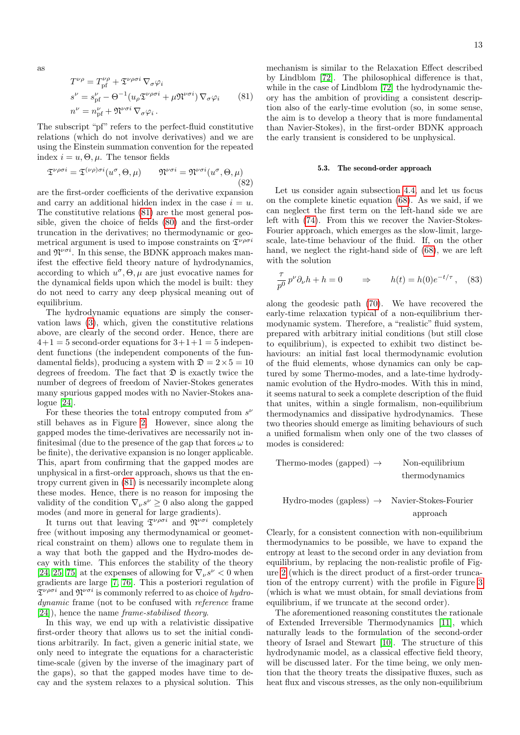<span id="page-12-0"></span>as

$$
T^{\nu\rho} = T_{\text{pf}}^{\nu\rho} + \mathfrak{T}^{\nu\rho\sigma i} \nabla_{\sigma} \varphi_i
$$
  
\n
$$
s^{\nu} = s_{\text{pf}}^{\nu} - \Theta^{-1} (u_{\rho} \mathfrak{T}^{\nu\rho\sigma i} + \mu \mathfrak{N}^{\nu\sigma i}) \nabla_{\sigma} \varphi_i
$$
 (81)  
\n
$$
n^{\nu} = n_{\text{pf}}^{\nu} + \mathfrak{N}^{\nu\sigma i} \nabla_{\sigma} \varphi_i.
$$

The subscript "pf" refers to the perfect-fluid constitutive relations (which do not involve derivatives) and we are using the Einstein summation convention for the repeated index  $i = u, \Theta, \mu$ . The tensor fields

$$
\mathfrak{T}^{\nu\rho\sigma i} = \mathfrak{T}^{(\nu\rho)\sigma i}(u^{\sigma}, \Theta, \mu) \qquad \mathfrak{N}^{\nu\sigma i} = \mathfrak{N}^{\nu\sigma i}(u^{\sigma}, \Theta, \mu)
$$
\n(82)

are the first-order coefficients of the derivative expansion and carry an additional hidden index in the case  $i = u$ . The constitutive relations [\(81\)](#page-12-0) are the most general possible, given the choice of fields [\(80\)](#page-11-1) and the first-order truncation in the derivatives; no thermodynamic or geometrical argument is used to impose constraints on  $\mathfrak{T}^{\nu\rho\sigma i}$ and  $\mathfrak{N}^{\nu\sigma i}$ . In this sense, the BDNK approach makes manifest the effective field theory nature of hydrodynamics, according to which  $u^{\sigma}$ ,  $\Theta$ ,  $\mu$  are just evocative names for the dynamical fields upon which the model is built: they do not need to carry any deep physical meaning out of equilibrium.

The hydrodynamic equations are simply the conservation laws [\(3\)](#page-2-3), which, given the constitutive relations above, are clearly of the second order. Hence, there are  $4+1=5$  second-order equations for  $3+1+1=5$  independent functions (the independent components of the fundamental fields), producing a system with  $\mathfrak{D} = 2 \times 5 = 10$ degrees of freedom. The fact that  $\mathfrak D$  is exactly twice the number of degrees of freedom of Navier-Stokes generates many spurious gapped modes with no Navier-Stokes analogue [\[24\]](#page-28-23).

For these theories the total entropy computed from  $s^{\nu}$ still behaves as in Figure [2.](#page-11-0) However, since along the gapped modes the time-derivatives are necessarily not infinitesimal (due to the presence of the gap that forces  $\omega$  to be finite), the derivative expansion is no longer applicable. This, apart from confirming that the gapped modes are unphysical in a first-order approach, shows us that the entropy current given in [\(81\)](#page-12-0) is necessarily incomplete along these modes. Hence, there is no reason for imposing the validity of the condition  $\nabla_{\nu} s^{\nu} \geq 0$  also along the gapped modes (and more in general for large gradients).

It turns out that leaving  $\mathfrak{T}^{\nu \rho \sigma i}$  and  $\mathfrak{N}^{\nu \sigma i}$  completely free (without imposing any thermodynamical or geometrical constraint on them) allows one to regulate them in a way that both the gapped and the Hydro-modes decay with time. This enforces the stability of the theory [\[24,](#page-28-23) [25,](#page-28-24) [75\]](#page-29-16) at the expenses of allowing for  $\nabla_{\nu} s^{\nu} < 0$  when gradients are large [\[7,](#page-28-6) [76\]](#page-29-17). This a posteriori regulation of  $\mathfrak{T}^{\nu\rho\sigma i}$  and  $\mathfrak{N}^{\nu\sigma i}$  is commonly referred to as choice of *hydro*dynamic frame (not to be confused with *reference* frame [\[24\]](#page-28-23)), hence the name frame-stabilised theory.

In this way, we end up with a relativistic dissipative first-order theory that allows us to set the initial conditions arbitrarily. In fact, given a generic initial state, we only need to integrate the equations for a characteristic time-scale (given by the inverse of the imaginary part of the gaps), so that the gapped modes have time to decay and the system relaxes to a physical solution. This

mechanism is similar to the Relaxation Effect described by Lindblom [\[72\]](#page-29-13). The philosophical difference is that, while in the case of Lindblom [\[72\]](#page-29-13) the hydrodynamic theory has the ambition of providing a consistent description also of the early-time evolution (so, in some sense, the aim is to develop a theory that is more fundamental than Navier-Stokes), in the first-order BDNK approach the early transient is considered to be unphysical.

#### 5.3. The second-order approach

Let us consider again subsection [4.4,](#page-9-0) and let us focus on the complete kinetic equation [\(68\)](#page-9-3). As we said, if we can neglect the first term on the left-hand side we are left with [\(74\)](#page-9-6). From this we recover the Navier-Stokes-Fourier approach, which emerges as the slow-limit, largescale, late-time behaviour of the fluid. If, on the other hand, we neglect the right-hand side of [\(68\)](#page-9-3), we are left with the solution

$$
\frac{\tau}{p^0} p^{\nu} \partial_{\nu} h + h = 0 \qquad \Rightarrow \qquad h(t) = h(0)e^{-t/\tau}, \quad (83)
$$

along the geodesic path [\(70\)](#page-9-9). We have recovered the early-time relaxation typical of a non-equilibrium thermodynamic system. Therefore, a "realistic" fluid system, prepared with arbitrary initial conditions (but still close to equilibrium), is expected to exhibit two distinct behaviours: an initial fast local thermodynamic evolution of the fluid elements, whose dynamics can only be captured by some Thermo-modes, and a late-time hydrodynamic evolution of the Hydro-modes. With this in mind, it seems natural to seek a complete description of the fluid that unites, within a single formalism, non-equilibrium thermodynamics and dissipative hydrodynamics. These two theories should emerge as limiting behaviours of such a unified formalism when only one of the two classes of modes is considered:

$$
\begin{tabular}{ll} Theremo-modes (gapped) & \rightarrow & Non-equilibrium \\ thermodynamics \\ thermodynamics \\ Hydro-modes (gapless) & \rightarrow & Navier-Stokes-Fourier \\ & approach \end{tabular}
$$

Clearly, for a consistent connection with non-equilibrium thermodynamics to be possible, we have to expand the entropy at least to the second order in any deviation from equilibrium, by replacing the non-realistic profile of Figure [2](#page-11-0) (which is the direct product of a first-order truncation of the entropy current) with the profile in Figure [3](#page-13-0) (which is what we must obtain, for small deviations from equilibrium, if we truncate at the second order).

The aforementioned reasoning constitutes the rationale of Extended Irreversible Thermodynamics [\[11\]](#page-28-10), which naturally leads to the formulation of the second-order theory of Israel and Stewart [\[10\]](#page-28-9). The structure of this hydrodynamic model, as a classical effective field theory, will be discussed later. For the time being, we only mention that the theory treats the dissipative fluxes, such as heat flux and viscous stresses, as the only non-equilibrium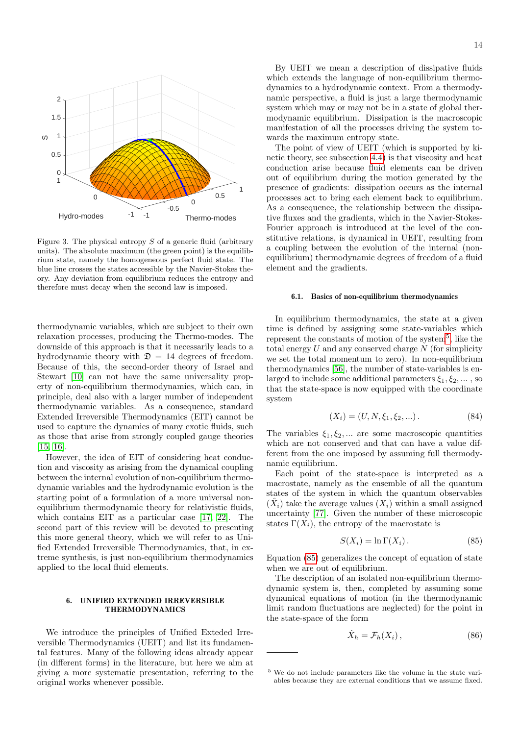

<span id="page-13-0"></span>Figure 3. The physical entropy  $S$  of a generic fluid (arbitrary units). The absolute maximum (the green point) is the equilibrium state, namely the homogeneous perfect fluid state. The blue line crosses the states accessible by the Navier-Stokes theory. Any deviation from equilibrium reduces the entropy and therefore must decay when the second law is imposed.

thermodynamic variables, which are subject to their own relaxation processes, producing the Thermo-modes. The downside of this approach is that it necessarily leads to a hydrodynamic theory with  $\mathcal{D} = 14$  degrees of freedom. Because of this, the second-order theory of Israel and Stewart [\[10\]](#page-28-9) can not have the same universality property of non-equilibrium thermodynamics, which can, in principle, deal also with a larger number of independent thermodynamic variables. As a consequence, standard Extended Irreversible Thermodynamics (EIT) cannot be used to capture the dynamics of many exotic fluids, such as those that arise from strongly coupled gauge theories [\[15,](#page-28-14) [16\]](#page-28-15).

However, the idea of EIT of considering heat conduction and viscosity as arising from the dynamical coupling between the internal evolution of non-equilibrium thermodynamic variables and the hydrodynamic evolution is the starting point of a formulation of a more universal nonequilibrium thermodynamic theory for relativistic fluids, which contains EIT as a particular case [\[17,](#page-28-16) [22\]](#page-28-21). The second part of this review will be devoted to presenting this more general theory, which we will refer to as Unified Extended Irreversible Thermodynamics, that, in extreme synthesis, is just non-equilibrium thermodynamics applied to the local fluid elements.

## 6. UNIFIED EXTENDED IRREVERSIBLE THERMODYNAMICS

We introduce the principles of Unified Exteded Irreversible Thermodynamics (UEIT) and list its fundamental features. Many of the following ideas already appear (in different forms) in the literature, but here we aim at giving a more systematic presentation, referring to the original works whenever possible.

By UEIT we mean a description of dissipative fluids which extends the language of non-equilibrium thermodynamics to a hydrodynamic context. From a thermodynamic perspective, a fluid is just a large thermodynamic system which may or may not be in a state of global thermodynamic equilibrium. Dissipation is the macroscopic manifestation of all the processes driving the system towards the maximum entropy state.

The point of view of UEIT (which is supported by kinetic theory, see subsection [4.4\)](#page-9-0) is that viscosity and heat conduction arise because fluid elements can be driven out of equilibrium during the motion generated by the presence of gradients: dissipation occurs as the internal processes act to bring each element back to equilibrium. As a consequence, the relationship between the dissipative fluxes and the gradients, which in the Navier-Stokes-Fourier approach is introduced at the level of the constitutive relations, is dynamical in UEIT, resulting from a coupling between the evolution of the internal (nonequilibrium) thermodynamic degrees of freedom of a fluid element and the gradients.

#### <span id="page-13-5"></span>6.1. Basics of non-equilibrium thermodynamics

In equilibrium thermodynamics, the state at a given time is defined by assigning some state-variables which represent the constants of motion of the system<sup>[5](#page-13-1)</sup>, like the total energy  $U$  and any conserved charge  $N$  (for simplicity we set the total momentum to zero). In non-equilibrium thermodynamics [\[56\]](#page-28-51), the number of state-variables is enlarged to include some additional parameters  $\xi_1, \xi_2, \dots$ , so that the state-space is now equipped with the coordinate system

<span id="page-13-3"></span>
$$
(X_i) = (U, N, \xi_1, \xi_2, \ldots). \tag{84}
$$

The variables  $\xi_1, \xi_2, \dots$  are some macroscopic quantities which are not conserved and that can have a value different from the one imposed by assuming full thermodynamic equilibrium.

Each point of the state-space is interpreted as a macrostate, namely as the ensemble of all the quantum states of the system in which the quantum observables  $(\hat{X}_i)$  take the average values  $(X_i)$  within a small assigned uncertainty [\[77\]](#page-29-18). Given the number of these microscopic states  $\Gamma(X_i)$ , the entropy of the macrostate is

<span id="page-13-2"></span>
$$
S(X_i) = \ln \Gamma(X_i). \tag{85}
$$

Equation [\(85\)](#page-13-2) generalizes the concept of equation of state when we are out of equilibrium.

The description of an isolated non-equilibrium thermodynamic system is, then, completed by assuming some dynamical equations of motion (in the thermodynamic limit random fluctuations are neglected) for the point in the state-space of the form

<span id="page-13-4"></span>
$$
\dot{X}_h = \mathcal{F}_h(X_i),\tag{86}
$$

<span id="page-13-1"></span><sup>5</sup> We do not include parameters like the volume in the state variables because they are external conditions that we assume fixed.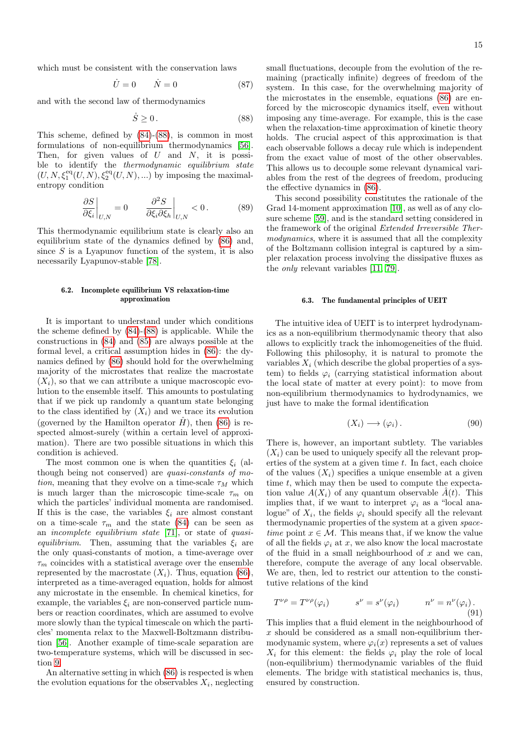which must be consistent with the conservation laws

<span id="page-14-3"></span>
$$
\dot{U} = 0 \qquad \dot{N} = 0 \tag{87}
$$

and with the second law of thermodynamics

<span id="page-14-0"></span>
$$
\dot{S} \ge 0. \tag{88}
$$

This scheme, defined by [\(84\)](#page-13-3)-[\(88\)](#page-14-0), is common in most formulations of non-equilibrium thermodynamics [\[56\]](#page-28-51). Then, for given values of  $U$  and  $N$ , it is possible to identify the thermodynamic equilibrium state  $(U, N, \xi_1^{\text{eq}}(U, N), \xi_2^{\text{eq}}(U, N), \ldots)$  by imposing the maximalentropy condition

$$
\left. \frac{\partial S}{\partial \xi_i} \right|_{U,N} = 0 \qquad \left. \frac{\partial^2 S}{\partial \xi_i \partial \xi_h} \right|_{U,N} < 0. \tag{89}
$$

This thermodynamic equilibrium state is clearly also an equilibrium state of the dynamics defined by [\(86\)](#page-13-4) and, since  $S$  is a Lyapunov function of the system, it is also necessarily Lyapunov-stable [\[78\]](#page-29-19).

## <span id="page-14-2"></span>6.2. Incomplete equilibrium VS relaxation-time approximation

It is important to understand under which conditions the scheme defined by [\(84\)](#page-13-3)-[\(88\)](#page-14-0) is applicable. While the constructions in [\(84\)](#page-13-3) and [\(85\)](#page-13-2) are always possible at the formal level, a critical assumption hides in [\(86\)](#page-13-4): the dynamics defined by [\(86\)](#page-13-4) should hold for the overwhelming majority of the microstates that realize the macrostate  $(X_i)$ , so that we can attribute a unique macroscopic evolution to the ensemble itself. This amounts to postulating that if we pick up randomly a quantum state belonging to the class identified by  $(X_i)$  and we trace its evolution (governed by the Hamilton operator  $H$ ), then [\(86\)](#page-13-4) is respected almost-surely (within a certain level of approximation). There are two possible situations in which this condition is achieved.

The most common one is when the quantities  $\xi_i$  (although being not conserved) are quasi-constants of motion, meaning that they evolve on a time-scale  $\tau_M$  which is much larger than the microscopic time-scale  $\tau_m$  on which the particles' individual momenta are randomised. If this is the case, the variables  $\xi_i$  are almost constant on a time-scale  $\tau_m$  and the state [\(84\)](#page-13-3) can be seen as an incomplete equilibrium state [\[71\]](#page-29-12), or state of quasiequilibrium. Then, assuming that the variables  $\xi_i$  are the only quasi-constants of motion, a time-average over  $\tau_m$  coincides with a statistical average over the ensemble represented by the macrostate  $(X_i)$ . Thus, equation [\(86\)](#page-13-4), interpreted as a time-averaged equation, holds for almost any microstate in the ensemble. In chemical kinetics, for example, the variables  $\xi_i$  are non-conserved particle numbers or reaction coordinates, which are assumed to evolve more slowly than the typical timescale on which the particles' momenta relax to the Maxwell-Boltzmann distribution [\[56\]](#page-28-51). Another example of time-scale separation are two-temperature systems, which will be discussed in section [9.](#page-23-0)

An alternative setting in which [\(86\)](#page-13-4) is respected is when the evolution equations for the observables  $X_i$ , neglecting small fluctuations, decouple from the evolution of the remaining (practically infinite) degrees of freedom of the system. In this case, for the overwhelming majority of the microstates in the ensemble, equations [\(86\)](#page-13-4) are enforced by the microscopic dynamics itself, even without imposing any time-average. For example, this is the case when the relaxation-time approximation of kinetic theory holds. The crucial aspect of this approximation is that each observable follows a decay rule which is independent from the exact value of most of the other observables. This allows us to decouple some relevant dynamical variables from the rest of the degrees of freedom, producing the effective dynamics in [\(86\)](#page-13-4).

This second possibility constitutes the rationale of the Grad 14-moment approximation [\[10\]](#page-28-9), as well as of any closure scheme [\[59\]](#page-29-0), and is the standard setting considered in the framework of the original Extended Irreversible Thermodynamics, where it is assumed that all the complexity of the Boltzmann collision integral is captured by a simpler relaxation process involving the dissipative fluxes as the only relevant variables [\[11,](#page-28-10) [79\]](#page-29-20).

#### <span id="page-14-5"></span>6.3. The fundamental principles of UEIT

The intuitive idea of UEIT is to interpret hydrodynamics as a non-equilibrium thermodynamic theory that also allows to explicitly track the inhomogeneities of the fluid. Following this philosophy, it is natural to promote the variables  $X_i$  (which describe the global properties of a system) to fields  $\varphi_i$  (carrying statistical information about the local state of matter at every point): to move from non-equilibrium thermodynamics to hydrodynamics, we just have to make the formal identification

<span id="page-14-4"></span>
$$
(X_i) \longrightarrow (\varphi_i). \tag{90}
$$

There is, however, an important subtlety. The variables  $(X_i)$  can be used to uniquely specify all the relevant properties of the system at a given time  $t$ . In fact, each choice of the values  $(X_i)$  specifies a unique ensemble at a given time  $t$ , which may then be used to compute the expectation value  $A(X_i)$  of any quantum observable  $\hat{A}(t)$ . This implies that, if we want to interpret  $\varphi_i$  as a "local analogue" of  $X_i$ , the fields  $\varphi_i$  should specify all the relevant thermodynamic properties of the system at a given spacetime point  $x \in \mathcal{M}$ . This means that, if we know the value of all the fields  $\varphi_i$  at x, we also know the local macrostate of the fluid in a small neighbourhood of  $x$  and we can, therefore, compute the average of any local observable. We are, then, led to restrict our attention to the constitutive relations of the kind

<span id="page-14-1"></span>
$$
T^{\nu \rho} = T^{\nu \rho}(\varphi_i) \qquad s^{\nu} = s^{\nu}(\varphi_i) \qquad n^{\nu} = n^{\nu}(\varphi_i). \tag{91}
$$

This implies that a fluid element in the neighbourhood of  $x$  should be considered as a small non-equilibrium thermodynamic system, where  $\varphi_i(x)$  represents a set of values  $X_i$  for this element: the fields  $\varphi_i$  play the role of local (non-equilibrium) thermodynamic variables of the fluid elements. The bridge with statistical mechanics is, thus, ensured by construction.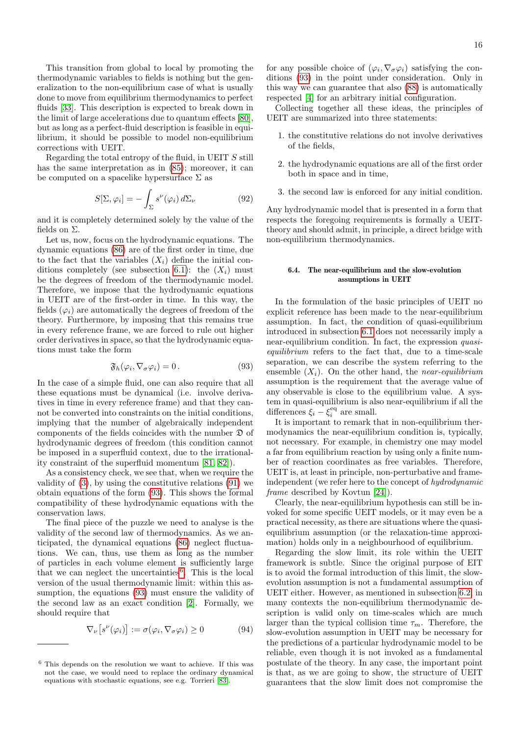This transition from global to local by promoting the thermodynamic variables to fields is nothing but the generalization to the non-equilibrium case of what is usually done to move from equilibrium thermodynamics to perfect fluids [\[33\]](#page-28-32). This description is expected to break down in the limit of large accelerations due to quantum effects [\[80\]](#page-29-21), but as long as a perfect-fluid description is feasible in equilibrium, it should be possible to model non-equilibrium corrections with UEIT.

Regarding the total entropy of the fluid, in UEIT S still has the same interpretation as in [\(85\)](#page-13-2); moreover, it can be computed on a spacelike hypersurface  $\Sigma$  as

<span id="page-15-2"></span>
$$
S[\Sigma, \varphi_i] = -\int_{\Sigma} s^{\nu}(\varphi_i) d\Sigma_{\nu}
$$
 (92)

and it is completely determined solely by the value of the fields on Σ.

Let us, now, focus on the hydrodynamic equations. The dynamic equations [\(86\)](#page-13-4) are of the first order in time, due to the fact that the variables  $(X_i)$  define the initial con-ditions completely (see subsection [6.1\)](#page-13-5): the  $(X_i)$  must be the degrees of freedom of the thermodynamic model. Therefore, we impose that the hydrodynamic equations in UEIT are of the first-order in time. In this way, the fields  $(\varphi_i)$  are automatically the degrees of freedom of the theory. Furthermore, by imposing that this remains true in every reference frame, we are forced to rule out higher order derivatives in space, so that the hydrodynamic equations must take the form

<span id="page-15-0"></span>
$$
\mathfrak{F}_h(\varphi_i, \nabla_\sigma \varphi_i) = 0. \tag{93}
$$

In the case of a simple fluid, one can also require that all these equations must be dynamical (i.e. involve derivatives in time in every reference frame) and that they cannot be converted into constraints on the initial conditions, implying that the number of algebraically independent components of the fields coincides with the number  $\mathfrak D$  of hydrodynamic degrees of freedom (this condition cannot be imposed in a superfluid context, due to the irrationality constraint of the superfluid momentum [\[81,](#page-29-22) [82\]](#page-29-23)).

As a consistency check, we see that, when we require the validity of [\(3\)](#page-2-3), by using the constitutive relations [\(91\)](#page-14-1) we obtain equations of the form [\(93\)](#page-15-0). This shows the formal compatibility of these hydrodynamic equations with the conservation laws.

The final piece of the puzzle we need to analyse is the validity of the second law of thermodynamics. As we anticipated, the dynamical equations [\(86\)](#page-13-4) neglect fluctuations. We can, thus, use them as long as the number of particles in each volume element is sufficiently large that we can neglect the uncertainties<sup>[6](#page-15-1)</sup>. This is the local version of the usual thermodynamic limit: within this assumption, the equations [\(93\)](#page-15-0) must ensure the validity of the second law as an exact condition [\[2\]](#page-28-1). Formally, we should require that

<span id="page-15-3"></span>
$$
\nabla_{\nu} \left[ s^{\nu}(\varphi_i) \right] := \sigma(\varphi_i, \nabla_{\sigma} \varphi_i) \ge 0 \tag{94}
$$

for any possible choice of  $(\varphi_i, \nabla_{\sigma} \varphi_i)$  satisfying the conditions [\(93\)](#page-15-0) in the point under consideration. Only in this way we can guarantee that also [\(88\)](#page-14-0) is automatically respected [\[4\]](#page-28-3) for an arbitrary initial configuration.

Collecting together all these ideas, the principles of UEIT are summarized into three statements:

- 1. the constitutive relations do not involve derivatives of the fields,
- 2. the hydrodynamic equations are all of the first order both in space and in time,
- 3. the second law is enforced for any initial condition.

Any hydrodynamic model that is presented in a form that respects the foregoing requirements is formally a UEITtheory and should admit, in principle, a direct bridge with non-equilibrium thermodynamics.

## 6.4. The near-equilibrium and the slow-evolution assumptions in UEIT

In the formulation of the basic principles of UEIT no explicit reference has been made to the near-equilibrium assumption. In fact, the condition of quasi-equilibrium introduced in subsection [6.1](#page-13-5) does not necessarily imply a near-equilibrium condition. In fact, the expression *quasi*equilibrium refers to the fact that, due to a time-scale separation, we can describe the system referring to the ensemble  $(X_i)$ . On the other hand, the *near-equilibrium* assumption is the requirement that the average value of any observable is close to the equilibrium value. A system in quasi-equilibrium is also near-equilibrium if all the differences  $\xi_i - \xi_i^{\text{eq}}$  are small.

It is important to remark that in non-equilibrium thermodynamics the near-equilibrium condition is, typically, not necessary. For example, in chemistry one may model a far from equilibrium reaction by using only a finite number of reaction coordinates as free variables. Therefore, UEIT is, at least in principle, non-perturbative and frameindependent (we refer here to the concept of hydrodynamic frame described by Kovtun [\[24\]](#page-28-23)).

Clearly, the near-equilibrium hypothesis can still be invoked for some specific UEIT models, or it may even be a practical necessity, as there are situations where the quasiequilibrium assumption (or the relaxation-time approximation) holds only in a neighbourhood of equilibrium.

Regarding the slow limit, its role within the UEIT framework is subtle. Since the original purpose of EIT is to avoid the formal introduction of this limit, the slowevolution assumption is not a fundamental assumption of UEIT either. However, as mentioned in subsection [6.2,](#page-14-2) in many contexts the non-equilibrium thermodynamic description is valid only on time-scales which are much larger than the typical collision time  $\tau_m$ . Therefore, the slow-evolution assumption in UEIT may be necessary for the predictions of a particular hydrodynamic model to be reliable, even though it is not invoked as a fundamental postulate of the theory. In any case, the important point is that, as we are going to show, the structure of UEIT guarantees that the slow limit does not compromise the

<span id="page-15-1"></span> $6$  This depends on the resolution we want to achieve. If this was not the case, we would need to replace the ordinary dynamical equations with stochastic equations, see e.g. Torrieri [\[83\]](#page-29-24).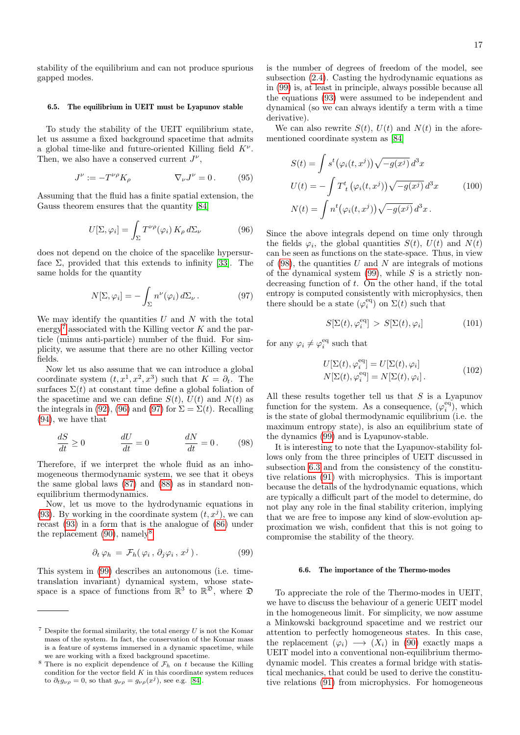stability of the equilibrium and can not produce spurious gapped modes.

#### <span id="page-16-6"></span>6.5. The equilibrium in UEIT must be Lyapunov stable

To study the stability of the UEIT equilibrium state, let us assume a fixed background spacetime that admits a global time-like and future-oriented Killing field  $K^{\nu}$ . Then, we also have a conserved current  $J^{\nu}$ ,

$$
J^{\nu} := -T^{\nu\rho} K_{\rho} \qquad \qquad \nabla_{\nu} J^{\nu} = 0. \qquad (95)
$$

Assuming that the fluid has a finite spatial extension, the Gauss theorem ensures that the quantity [\[84\]](#page-29-25)

<span id="page-16-1"></span>
$$
U[\Sigma, \varphi_i] = \int_{\Sigma} T^{\nu \rho}(\varphi_i) K_{\rho} d\Sigma_{\nu}
$$
 (96)

does not depend on the choice of the spacelike hypersurface  $\Sigma$ , provided that this extends to infinity [\[33\]](#page-28-32). The same holds for the quantity

<span id="page-16-2"></span>
$$
N[\Sigma, \varphi_i] = -\int_{\Sigma} n^{\nu}(\varphi_i) d\Sigma_{\nu} . \qquad (97)
$$

We may identify the quantities  $U$  and  $N$  with the total energy<sup>[7](#page-16-0)</sup> associated with the Killing vector  $K$  and the particle (minus anti-particle) number of the fluid. For simplicity, we assume that there are no other Killing vector fields.

Now let us also assume that we can introduce a global coordinate system  $(t, x^1, x^2, x^3)$  such that  $K = \partial_t$ . The surfaces  $\Sigma(t)$  at constant time define a global foliation of the spacetime and we can define  $S(t)$ ,  $U(t)$  and  $N(t)$  as the integrals in [\(92\)](#page-15-2), [\(96\)](#page-16-1) and [\(97\)](#page-16-2) for  $\Sigma = \Sigma(t)$ . Recalling [\(94\)](#page-15-3), we have that

<span id="page-16-5"></span>
$$
\frac{dS}{dt} \ge 0 \qquad \qquad \frac{dU}{dt} = 0 \qquad \qquad \frac{dN}{dt} = 0. \qquad (98)
$$

Therefore, if we interpret the whole fluid as an inhomogeneous thermodynamic system, we see that it obeys the same global laws [\(87\)](#page-14-3) and [\(88\)](#page-14-0) as in standard nonequilibrium thermodynamics.

Now, let us move to the hydrodynamic equations in [\(93\)](#page-15-0). By working in the coordinate system  $(t, x<sup>j</sup>)$ , we can recast [\(93\)](#page-15-0) in a form that is the analogue of [\(86\)](#page-13-4) under the replacement  $(90)$ , namely<sup>[8](#page-16-3)</sup>

<span id="page-16-4"></span>
$$
\partial_t \varphi_h = \mathcal{F}_h(\varphi_i, \partial_j \varphi_i, x^j). \tag{99}
$$

This system in [\(99\)](#page-16-4) describes an autonomous (i.e. timetranslation invariant) dynamical system, whose statespace is a space of functions from  $\mathbb{R}^3$  to  $\mathbb{R}^3$ , where  $\mathfrak D$ 

is the number of degrees of freedom of the model, see subsection [\(2.4\)](#page-3-8). Casting the hydrodynamic equations as in [\(99\)](#page-16-4) is, at least in principle, always possible because all the equations [\(93\)](#page-15-0) were assumed to be independent and dynamical (so we can always identify a term with a time derivative).

We can also rewrite  $S(t)$ ,  $U(t)$  and  $N(t)$  in the aforementioned coordinate system as [\[84\]](#page-29-25)

$$
S(t) = \int s^t (\varphi_i(t, x^j)) \sqrt{-g(x^j)} d^3x
$$
  
\n
$$
U(t) = -\int T^t_{\ t} (\varphi_i(t, x^j)) \sqrt{-g(x^j)} d^3x
$$
 (100)  
\n
$$
N(t) = \int n^t (\varphi_i(t, x^j)) \sqrt{-g(x^j)} d^3x.
$$

Since the above integrals depend on time only through the fields  $\varphi_i$ , the global quantities  $S(t)$ ,  $U(t)$  and  $N(t)$ can be seen as functions on the state-space. Thus, in view of  $(98)$ , the quantities U and N are integrals of motions of the dynamical system  $(99)$ , while S is a strictly nondecreasing function of t. On the other hand, if the total entropy is computed consistently with microphysics, then there should be a state  $(\varphi_i^{\text{eq}})$  on  $\Sigma(t)$  such that

$$
S[\Sigma(t), \varphi_i^{\text{eq}}] > S[\Sigma(t), \varphi_i] \tag{101}
$$

for any  $\varphi_i \neq \varphi_i^{\rm eq}$  such that

$$
U[\Sigma(t), \varphi_i^{\text{eq}}] = U[\Sigma(t), \varphi_i]
$$
  

$$
N[\Sigma(t), \varphi_i^{\text{eq}}] = N[\Sigma(t), \varphi_i].
$$
 (102)

All these results together tell us that  $S$  is a Lyapunov function for the system. As a consequence,  $(\varphi_i^{\text{eq}})$ , which is the state of global thermodynamic equilibrium (i.e. the maximum entropy state), is also an equilibrium state of the dynamics [\(99\)](#page-16-4) and is Lyapunov-stable.

It is interesting to note that the Lyapunov-stability follows only from the three principles of UEIT discussed in subsection [6.3](#page-14-5) and from the consistency of the constitutive relations [\(91\)](#page-14-1) with microphysics. This is important because the details of the hydrodynamic equations, which are typically a difficult part of the model to determine, do not play any role in the final stability criterion, implying that we are free to impose any kind of slow-evolution approximation we wish, confident that this is not going to compromise the stability of the theory.

## 6.6. The importance of the Thermo-modes

To appreciate the role of the Thermo-modes in UEIT, we have to discuss the behaviour of a generic UEIT model in the homogeneous limit. For simplicity, we now assume a Minkowski background spacetime and we restrict our attention to perfectly homogeneous states. In this case, the replacement  $(\varphi_i) \longrightarrow (X_i)$  in [\(90\)](#page-14-4) exactly maps a UEIT model into a conventional non-equilibrium thermodynamic model. This creates a formal bridge with statistical mechanics, that could be used to derive the constitutive relations [\(91\)](#page-14-1) from microphysics. For homogeneous

<span id="page-16-0"></span> $7$  Despite the formal similarity, the total energy U is not the Komar mass of the system. In fact, the conservation of the Komar mass is a feature of systems immersed in a dynamic spacetime, while we are working with a fixed background spacetime.

<span id="page-16-3"></span><sup>&</sup>lt;sup>8</sup> There is no explicit dependence of  $\mathcal{F}_h$  on t because the Killing condition for the vector field  $K$  in this coordinate system reduces to  $\partial_t g_{\nu\rho} = 0$ , so that  $g_{\nu\rho} = g_{\nu\rho}(x^j)$ , see e.g. [\[84\]](#page-29-25).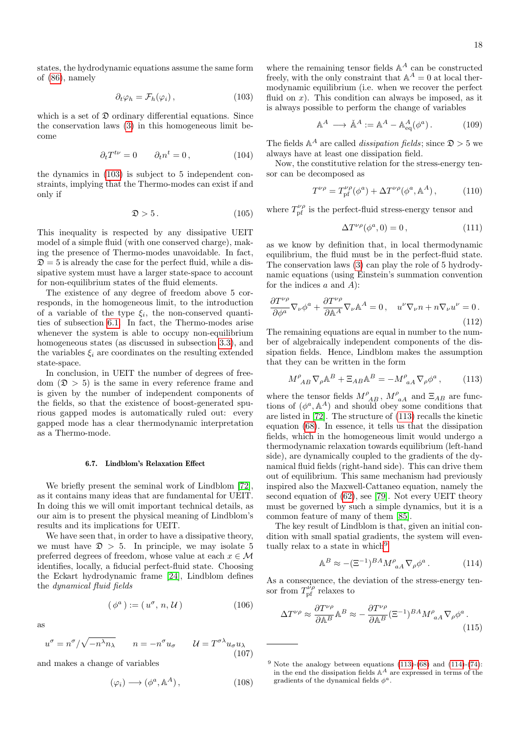states, the hydrodynamic equations assume the same form of [\(86\)](#page-13-4), namely

<span id="page-17-0"></span>
$$
\partial_t \varphi_h = \mathcal{F}_h(\varphi_i), \qquad (103)
$$

which is a set of  $\mathfrak D$  ordinary differential equations. Since the conservation laws [\(3\)](#page-2-3) in this homogeneous limit become

$$
\partial_t T^{t\nu} = 0 \qquad \partial_t n^t = 0, \qquad (104)
$$

the dynamics in [\(103\)](#page-17-0) is subject to 5 independent constraints, implying that the Thermo-modes can exist if and only if

$$
\mathfrak{D} > 5. \tag{105}
$$

This inequality is respected by any dissipative UEIT model of a simple fluid (with one conserved charge), making the presence of Thermo-modes unavoidable. In fact,  $\mathfrak{D} = 5$  is already the case for the perfect fluid, while a dissipative system must have a larger state-space to account for non-equilibrium states of the fluid elements.

The existence of any degree of freedom above 5 corresponds, in the homogeneous limit, to the introduction of a variable of the type  $\xi_i$ , the non-conserved quantities of subsection [6.1.](#page-13-5) In fact, the Thermo-modes arise whenever the system is able to occupy non-equilibrium homogeneous states (as discussed in subsection [3.3\)](#page-5-2), and the variables  $\xi_i$  are coordinates on the resulting extended state-space.

In conclusion, in UEIT the number of degrees of freedom  $(\mathfrak{D} > 5)$  is the same in every reference frame and is given by the number of independent components of the fields, so that the existence of boost-generated spurious gapped modes is automatically ruled out: every gapped mode has a clear thermodynamic interpretation as a Thermo-mode.

#### <span id="page-17-4"></span>6.7. Lindblom's Relaxation Effect

We briefly present the seminal work of Lindblom [\[72\]](#page-29-13), as it contains many ideas that are fundamental for UEIT. In doing this we will omit important technical details, as our aim is to present the physical meaning of Lindblom's results and its implications for UEIT.

We have seen that, in order to have a dissipative theory, we must have  $\mathfrak{D} > 5$ . In principle, we may isolate 5 preferred degrees of freedom, whose value at each  $x \in \mathcal{M}$ identifies, locally, a fiducial perfect-fluid state. Choosing the Eckart hydrodynamic frame [\[24\]](#page-28-23), Lindblom defines the dynamical fluid fields

$$
(\phi^a) := (u^\sigma, n, \mathcal{U}) \tag{106}
$$

$$
\quad\text{as}\quad
$$

<span id="page-17-5"></span>
$$
u^{\sigma} = n^{\sigma}/\sqrt{-n^{\lambda}n_{\lambda}} \qquad n = -n^{\sigma}u_{\sigma} \qquad \mathcal{U} = T^{\sigma\lambda}u_{\sigma}u_{\lambda}
$$
\n(107)

and makes a change of variables

$$
(\varphi_i) \longrightarrow (\phi^a, \mathbb{A}^A), \tag{108}
$$

where the remaining tensor fields  $\mathbb{A}^A$  can be constructed freely, with the only constraint that  $\mathbb{A}^A = 0$  at local thermodynamic equilibrium (i.e. when we recover the perfect fluid on  $x$ ). This condition can always be imposed, as it is always possible to perform the change of variables

$$
\mathbb{A}^A \longrightarrow \check{\mathbb{A}}^A := \mathbb{A}^A - \mathbb{A}^A_{\text{eq}}(\phi^a). \tag{109}
$$

The fields  $\mathbb{A}^A$  are called *dissipation fields*; since  $\mathfrak{D} > 5$  we always have at least one dissipation field.

Now, the constitutive relation for the stress-energy tensor can be decomposed as

$$
T^{\nu\rho} = T_{\text{pf}}^{\nu\rho}(\phi^a) + \Delta T^{\nu\rho}(\phi^a, \mathbb{A}^A), \tag{110}
$$

where  $T_{\rm pf}^{\nu\rho}$  is the perfect-fluid stress-energy tensor and

$$
\Delta T^{\nu\rho}(\phi^a, 0) = 0, \qquad (111)
$$

as we know by definition that, in local thermodynamic equilibrium, the fluid must be in the perfect-fluid state. The conservation laws [\(3\)](#page-2-3) can play the role of 5 hydrodynamic equations (using Einstein's summation convention for the indices  $a$  and  $A$ ):

$$
\frac{\partial T^{\nu \rho}}{\partial \phi^a} \nabla_{\nu} \phi^a + \frac{\partial T^{\nu \rho}}{\partial \mathbb{A}^A} \nabla_{\nu} \mathbb{A}^A = 0 \,, \quad u^{\nu} \nabla_{\nu} n + n \nabla_{\nu} u^{\nu} = 0 \,.
$$
\n(112)

The remaining equations are equal in number to the number of algebraically independent components of the dissipation fields. Hence, Lindblom makes the assumption that they can be written in the form

<span id="page-17-1"></span>
$$
M^{\rho}_{\ A\ B} \nabla_{\rho} \mathbb{A}^{B} + \Xi_{AB} \mathbb{A}^{B} = -M^{\rho}_{\ aA} \nabla_{\rho} \phi^{a} ,\qquad (113)
$$

where the tensor fields  $M_{\ A B}^{\rho} \, , \, M_{\ \, a A}^{\rho} \,$  and  $\Xi_{A B}$  are functions of  $(\phi^a, \mathbb{A}^A)$  and should obey some conditions that are listed in [\[72\]](#page-29-13). The structure of [\(113\)](#page-17-1) recalls the kinetic equation [\(68\)](#page-9-3). In essence, it tells us that the dissipation fields, which in the homogeneous limit would undergo a thermodynamic relaxation towards equilibrium (left-hand side), are dynamically coupled to the gradients of the dynamical fluid fields (right-hand side). This can drive them out of equilibrium. This same mechanism had previously inspired also the Maxwell-Cattaneo equation, namely the second equation of [\(62\)](#page-8-6), see [\[79\]](#page-29-20). Not every UEIT theory must be governed by such a simple dynamics, but it is a common feature of many of them [\[85\]](#page-29-26).

The key result of Lindblom is that, given an initial condition with small spatial gradients, the system will even-tually relax to a state in which<sup>[9](#page-17-2)</sup>

<span id="page-17-3"></span>
$$
\mathbb{A}^B \approx -(\Xi^{-1})^{BA} M^{\rho}_{\ aA} \nabla_{\rho} \phi^a \,. \tag{114}
$$

As a consequence, the deviation of the stress-energy tensor from  $T_{\text{pf}}^{\nu\rho}$  relaxes to

$$
\Delta T^{\nu\rho} \approx \frac{\partial T^{\nu\rho}}{\partial \mathbb{A}^B} \mathbb{A}^B \approx -\frac{\partial T^{\nu\rho}}{\partial \mathbb{A}^B} (\Xi^{-1})^{BA} M^{\rho}_{\ aA} \nabla_{\rho} \phi^a \,. \tag{115}
$$

<span id="page-17-2"></span><sup>&</sup>lt;sup>9</sup> Note the analogy between equations  $(113)-(68)$  $(113)-(68)$  $(113)-(68)$  and  $(114)-(74)$  $(114)-(74)$  $(114)-(74)$ : in the end the dissipation fields  $A^A$  are expressed in terms of the gradients of the dynamical fields  $\phi^a$ .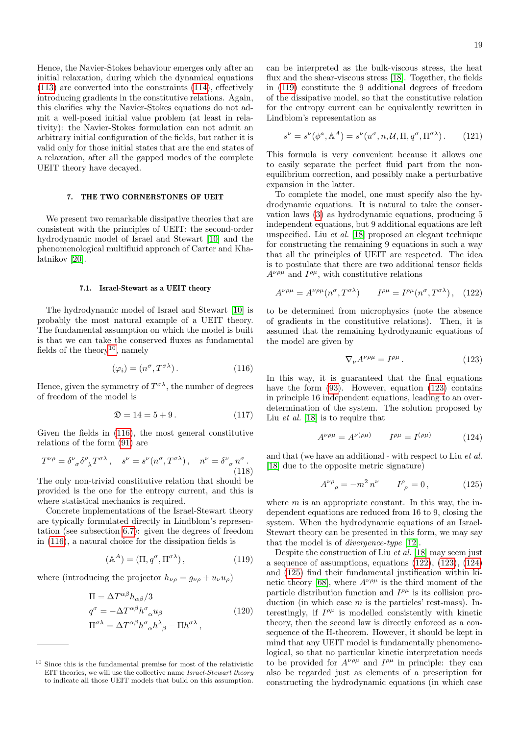Hence, the Navier-Stokes behaviour emerges only after an initial relaxation, during which the dynamical equations [\(113\)](#page-17-1) are converted into the constraints [\(114\)](#page-17-3), effectively introducing gradients in the constitutive relations. Again, this clarifies why the Navier-Stokes equations do not admit a well-posed initial value problem (at least in relativity): the Navier-Stokes formulation can not admit an arbitrary initial configuration of the fields, but rather it is valid only for those initial states that are the end states of a relaxation, after all the gapped modes of the complete UEIT theory have decayed.

## <span id="page-18-7"></span>7. THE TWO CORNERSTONES OF UEIT

We present two remarkable dissipative theories that are consistent with the principles of UEIT: the second-order hydrodynamic model of Israel and Stewart [\[10\]](#page-28-9) and the phenomenological multifluid approach of Carter and Khalatnikov [\[20\]](#page-28-19).

#### 7.1. Israel-Stewart as a UEIT theory

The hydrodynamic model of Israel and Stewart [\[10\]](#page-28-9) is probably the most natural example of a UEIT theory. The fundamental assumption on which the model is built is that we can take the conserved fluxes as fundamental fields of the theory<sup>[10](#page-18-0)</sup>, namely

<span id="page-18-1"></span>
$$
(\varphi_i) = (n^{\sigma}, T^{\sigma \lambda}). \tag{116}
$$

Hence, given the symmetry of  $T^{\sigma \lambda}$ , the number of degrees of freedom of the model is

$$
\mathfrak{D} = 14 = 5 + 9. \tag{117}
$$

Given the fields in [\(116\)](#page-18-1), the most general constitutive relations of the form [\(91\)](#page-14-1) are

$$
T^{\nu\rho} = \delta^{\nu}_{\ \sigma} \delta^{\rho}_{\ \lambda} T^{\sigma\lambda} \,, \quad s^{\nu} = s^{\nu} (n^{\sigma}, T^{\sigma\lambda}) \,, \quad n^{\nu} = \delta^{\nu}_{\ \sigma} n^{\sigma} \,.
$$
\n(118)

The only non-trivial constitutive relation that should be provided is the one for the entropy current, and this is where statistical mechanics is required.

Concrete implementations of the Israel-Stewart theory are typically formulated directly in Lindblom's representation (see subsection [6.7\)](#page-17-4): given the degrees of freedom in [\(116\)](#page-18-1), a natural choice for the dissipation fields is

<span id="page-18-2"></span>
$$
(\mathbb{A}^A) = (\Pi, q^\sigma, \Pi^{\sigma \lambda}), \tag{119}
$$

where (introducing the projector  $h_{\nu\rho} = g_{\nu\rho} + u_{\nu}u_{\rho}$ )

$$
\Pi = \Delta T^{\alpha\beta} h_{\alpha\beta} / 3
$$
  
\n
$$
q^{\sigma} = -\Delta T^{\alpha\beta} h^{\sigma}{}_{\alpha} u_{\beta}
$$
  
\n
$$
\Pi^{\sigma\lambda} = \Delta T^{\alpha\beta} h^{\sigma}{}_{\alpha} h^{\lambda}{}_{\beta} - \Pi h^{\sigma\lambda} ,
$$
\n(120)

can be interpreted as the bulk-viscous stress, the heat flux and the shear-viscous stress [\[18\]](#page-28-17). Together, the fields in [\(119\)](#page-18-2) constitute the 9 additional degrees of freedom of the dissipative model, so that the constitutive relation for the entropy current can be equivalently rewritten in Lindblom's representation as

$$
s^{\nu} = s^{\nu}(\phi^a, \mathbb{A}^A) = s^{\nu}(u^{\sigma}, n, \mathcal{U}, \Pi, q^{\sigma}, \Pi^{\sigma \lambda}). \tag{121}
$$

This formula is very convenient because it allows one to easily separate the perfect fluid part from the nonequilibrium correction, and possibly make a perturbative expansion in the latter.

To complete the model, one must specify also the hydrodynamic equations. It is natural to take the conservation laws [\(3\)](#page-2-3) as hydrodynamic equations, producing 5 independent equations, but 9 additional equations are left unspecified. Liu et al. [\[18\]](#page-28-17) proposed an elegant technique for constructing the remaining 9 equations in such a way that all the principles of UEIT are respected. The idea is to postulate that there are two additional tensor fields  $A^{\nu\rho\mu}$  and  $I^{\rho\mu}$ , with constitutive relations

<span id="page-18-4"></span>
$$
A^{\nu\rho\mu} = A^{\nu\rho\mu}(n^{\sigma}, T^{\sigma\lambda}) \qquad I^{\rho\mu} = I^{\rho\mu}(n^{\sigma}, T^{\sigma\lambda}), \quad (122)
$$

to be determined from microphysics (note the absence of gradients in the constitutive relations). Then, it is assumed that the remaining hydrodynamic equations of the model are given by

<span id="page-18-3"></span>
$$
\nabla_{\nu} A^{\nu\rho\mu} = I^{\rho\mu} \,. \tag{123}
$$

In this way, it is guaranteed that the final equations have the form  $(93)$ . However, equation  $(123)$  contains in principle 16 independent equations, leading to an overdetermination of the system. The solution proposed by Liu et al. [\[18\]](#page-28-17) is to require that

<span id="page-18-5"></span>
$$
A^{\nu\rho\mu} = A^{\nu(\rho\mu)} \qquad I^{\rho\mu} = I^{(\rho\mu)} \tag{124}
$$

and that (we have an additional - with respect to Liu et al. [\[18\]](#page-28-17) due to the opposite metric signature)

<span id="page-18-6"></span>
$$
A^{\nu \rho}_{\rho} = -m^2 n^{\nu} \qquad I^{\rho}_{\rho} = 0, \qquad (125)
$$

where  $m$  is an appropriate constant. In this way, the independent equations are reduced from 16 to 9, closing the system. When the hydrodynamic equations of an Israel-Stewart theory can be presented in this form, we may say that the model is of divergence-type [\[12\]](#page-28-11).

Despite the construction of Liu et al. [\[18\]](#page-28-17) may seem just a sequence of assumptions, equations [\(122\)](#page-18-4), [\(123\)](#page-18-3), [\(124\)](#page-18-5) and [\(125\)](#page-18-6) find their fundamental justification within ki-netic theory [\[68\]](#page-29-9), where  $A^{\nu\rho\mu}$  is the third moment of the particle distribution function and  $I^{\rho\mu}$  is its collision production (in which case  $m$  is the particles' rest-mass). Interestingly, if  $I^{\rho\mu}$  is modelled consistently with kinetic theory, then the second law is directly enforced as a consequence of the H-theorem. However, it should be kept in mind that any UEIT model is fundamentally phenomenological, so that no particular kinetic interpretation needs to be provided for  $A^{\nu\rho\mu}$  and  $I^{\rho\mu}$  in principle: they can also be regarded just as elements of a prescription for constructing the hydrodynamic equations (in which case

<span id="page-18-0"></span><sup>10</sup> Since this is the fundamental premise for most of the relativistic EIT theories, we will use the collective name Israel-Stewart theory to indicate all those UEIT models that build on this assumption.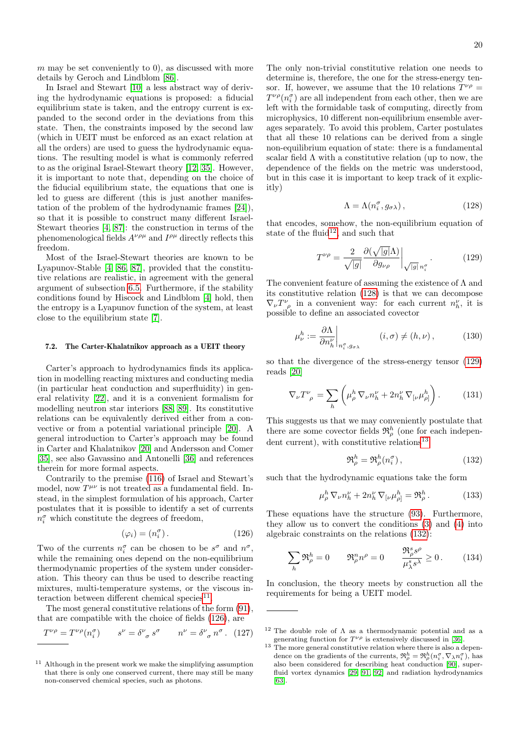$m$  may be set conveniently to 0), as discussed with more details by Geroch and Lindblom [\[86\]](#page-29-27).

In Israel and Stewart [\[10\]](#page-28-9) a less abstract way of deriving the hydrodynamic equations is proposed: a fiducial equilibrium state is taken, and the entropy current is expanded to the second order in the deviations from this state. Then, the constraints imposed by the second law (which in UEIT must be enforced as an exact relation at all the orders) are used to guess the hydrodynamic equations. The resulting model is what is commonly referred to as the original Israel-Stewart theory [\[12,](#page-28-11) [35\]](#page-28-34). However, it is important to note that, depending on the choice of the fiducial equilibrium state, the equations that one is led to guess are different (this is just another manifestation of the problem of the hydrodynamic frames [\[24\]](#page-28-23)), so that it is possible to construct many different Israel-Stewart theories [\[4,](#page-28-3) [87\]](#page-29-28): the construction in terms of the phenomenological fields  $A^{\nu\rho\mu}$  and  $I^{\rho\mu}$  directly reflects this freedom.

Most of the Israel-Stewart theories are known to be Lyapunov-Stable [\[4,](#page-28-3) [86,](#page-29-27) [87\]](#page-29-28), provided that the constitutive relations are realistic, in agreement with the general argument of subsection [6.5.](#page-16-6) Furthermore, if the stability conditions found by Hiscock and Lindblom [\[4\]](#page-28-3) hold, then the entropy is a Lyapunov function of the system, at least close to the equilibrium state [\[7\]](#page-28-6).

### 7.2. The Carter-Khalatnikov approach as a UEIT theory

Carter's approach to hydrodynamics finds its application in modelling reacting mixtures and conducting media (in particular heat conduction and superfluidity) in general relativity [\[22\]](#page-28-21), and it is a convenient formalism for modelling neutron star interiors [\[88,](#page-29-29) [89\]](#page-29-30). Its constitutive relations can be equivalently derived either from a convective or from a potential variational principle [\[20\]](#page-28-19). A general introduction to Carter's approach may be found in Carter and Khalatnikov [\[20\]](#page-28-19) and Andersson and Comer [\[35\]](#page-28-34), see also Gavassino and Antonelli [\[36\]](#page-28-35) and references therein for more formal aspects.

Contrarily to the premise [\(116\)](#page-18-1) of Israel and Stewart's model, now  $T^{\mu\nu}$  is not treated as a fundamental field. Instead, in the simplest formulation of his approach, Carter postulates that it is possible to identify a set of currents  $n_i^{\sigma}$  which constitute the degrees of freedom,

<span id="page-19-1"></span>
$$
(\varphi_i) = (n_i^{\sigma}). \tag{126}
$$

Two of the currents  $n_i^{\sigma}$  can be chosen to be  $s^{\sigma}$  and  $n^{\sigma}$ , while the remaining ones depend on the non-equilibrium thermodynamic properties of the system under consideration. This theory can thus be used to describe reacting mixtures, multi-temperature systems, or the viscous in-teraction between different chemical species<sup>[11](#page-19-0)</sup>.

The most general constitutive relations of the form [\(91\)](#page-14-1), that are compatible with the choice of fields [\(126\)](#page-19-1), are

$$
T^{\nu\rho} = T^{\nu\rho}(n_i^{\sigma}) \qquad s^{\nu} = \delta^{\nu}{}_{\sigma} s^{\sigma} \qquad n^{\nu} = \delta^{\nu}{}_{\sigma} n^{\sigma} . \tag{127}
$$

The only non-trivial constitutive relation one needs to determine is, therefore, the one for the stress-energy tensor. If, however, we assume that the 10 relations  $T^{\nu\rho} =$  $T^{\nu\rho}(n_i^{\sigma})$  are all independent from each other, then we are left with the formidable task of computing, directly from microphysics, 10 different non-equilibrium ensemble averages separately. To avoid this problem, Carter postulates that all these 10 relations can be derived from a single non-equilibrium equation of state: there is a fundamental scalar field  $\Lambda$  with a constitutive relation (up to now, the dependence of the fields on the metric was understood, but in this case it is important to keep track of it explicitly)

<span id="page-19-3"></span>
$$
\Lambda = \Lambda(n_i^{\sigma}, g_{\sigma \lambda}), \qquad (128)
$$

that encodes, somehow, the non-equilibrium equation of state of the fluid<sup>[12](#page-19-2)</sup>, and such that

<span id="page-19-4"></span>
$$
T^{\nu\rho} = \frac{2}{\sqrt{|g|}} \frac{\partial (\sqrt{|g|} \Lambda)}{\partial g_{\nu\rho}} \bigg|_{\sqrt{|g|} \, n_i^{\sigma}}.
$$
 (129)

The convenient feature of assuming the existence of  $\Lambda$  and its constitutive relation [\(128\)](#page-19-3) is that we can decompose  $\nabla_{\nu}T^{\nu}_{\rho}$  in a convenient way: for each current  $n_h^{\nu}$ , it is possible to define an associated covector

$$
\mu_{\nu}^{h} := \frac{\partial \Lambda}{\partial n_{h}^{\nu}} \bigg|_{n_{i}^{\sigma}, g_{\sigma \lambda}} \qquad (i, \sigma) \neq (h, \nu), \qquad (130)
$$

so that the divergence of the stress-energy tensor [\(129\)](#page-19-4) reads [\[20\]](#page-28-19)

$$
\nabla_{\nu}T^{\nu}_{\ \rho} = \sum_{h} \left( \mu_{\rho}^{h} \nabla_{\nu}n_{h}^{\nu} + 2n_{h}^{\nu} \nabla_{\left[\nu\right.}\mu_{\rho\right]}^{h} \right). \tag{131}
$$

This suggests us that we may conveniently postulate that there are some covector fields  $\mathfrak{R}_{\rho}^{h}$  (one for each indepen-dent current), with constitutive relations<sup>[13](#page-19-5)</sup>

<span id="page-19-6"></span>
$$
\mathfrak{R}_{\rho}^{h} = \mathfrak{R}_{\rho}^{h}(n_{i}^{\sigma}), \qquad (132)
$$

such that the hydrodynamic equations take the form

<span id="page-19-7"></span>
$$
\mu_{\rho}^h \nabla_{\nu} n_h^{\nu} + 2n_h^{\nu} \nabla_{\left[\nu\right.} \mu_{\rho\right]}^h = \mathfrak{R}_{\rho}^h. \tag{133}
$$

These equations have the structure [\(93\)](#page-15-0). Furthermore, they allow us to convert the conditions [\(3\)](#page-2-3) and [\(4\)](#page-2-0) into algebraic constraints on the relations [\(132\)](#page-19-6):

$$
\sum_{h} \mathfrak{R}_{\rho}^{h} = 0 \qquad \mathfrak{R}_{\rho}^{n} n^{\rho} = 0 \qquad \frac{\mathfrak{R}_{\rho}^{s} s^{\rho}}{\mu_{\lambda}^{s} s^{\lambda}} \ge 0. \tag{134}
$$

In conclusion, the theory meets by construction all the requirements for being a UEIT model.

<span id="page-19-0"></span> $11$  Although in the present work we make the simplifying assumption that there is only one conserved current, there may still be many non-conserved chemical species, such as photons.

<span id="page-19-2"></span><sup>&</sup>lt;sup>12</sup> The double role of  $\Lambda$  as a thermodynamic potential and as a generating function for  $T^{\nu\rho}$  is extensively discussed in [\[36\]](#page-28-35).

<span id="page-19-5"></span><sup>&</sup>lt;sup>13</sup> The more general constitutive relation where there is also a dependence on the gradients of the currents,  $\mathfrak{R}^h_\rho = \mathfrak{R}^h_\rho(n_i^\sigma, \nabla_\lambda n_i^\sigma)$ , has also been considered for describing heat conduction [\[90\]](#page-29-31), superfluid vortex dynamics [\[29,](#page-28-28) [91,](#page-29-32) [92\]](#page-29-33) and radiation hydrodynamics [\[63\]](#page-29-4).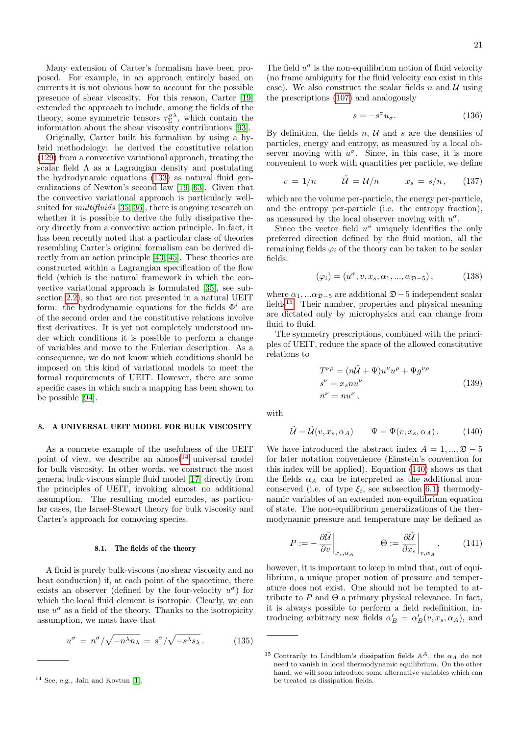Many extension of Carter's formalism have been proposed. For example, in an approach entirely based on currents it is not obvious how to account for the possible presence of shear viscosity. For this reason, Carter [\[19\]](#page-28-18) extended the approach to include, among the fields of the theory, some symmetric tensors  $\tau_{\Sigma}^{\sigma \lambda}$ , which contain the information about the shear viscosity contributions [\[93\]](#page-29-34).

Originally, Carter built his formalism by using a hybrid methodology: he derived the constitutive relation [\(129\)](#page-19-4) from a convective variational approach, treating the scalar field  $\Lambda$  as a Lagrangian density and postulating the hydrodynamic equations [\(133\)](#page-19-7) as natural fluid generalizations of Newton's second law [\[19,](#page-28-18) [63\]](#page-29-4). Given that the convective variational approach is particularly wellsuited for *multifluids* [\[35,](#page-28-34) [36\]](#page-28-35), there is ongoing research on whether it is possible to derive the fully dissipative theory directly from a convective action principle. In fact, it has been recently noted that a particular class of theories resembling Carter's original formalism can be derived directly from an action principle [\[43,](#page-28-55) [45\]](#page-28-41). These theories are constructed within a Lagrangian specification of the flow field (which is the natural framework in which the convective variational approach is formulated [\[35\]](#page-28-34), see subsection [2.2\)](#page-2-9), so that are not presented in a natural UEIT form: the hydrodynamic equations for the fields  $\Phi^i$  are of the second order and the constitutive relations involve first derivatives. It is yet not completely understood under which conditions it is possible to perform a change of variables and move to the Eulerian description. As a consequence, we do not know which conditions should be imposed on this kind of variational models to meet the formal requirements of UEIT. However, there are some specific cases in which such a mapping has been shown to be possible [\[94\]](#page-29-35).

## 8. A UNIVERSAL UEIT MODEL FOR BULK VISCOSITY

As a concrete example of the usefulness of the UEIT point of view, we describe an almost<sup>[14](#page-20-0)</sup> universal model for bulk viscosity. In other words, we construct the most general bulk-viscous simple fluid model [\[17\]](#page-28-16) directly from the principles of UEIT, invoking almost no additional assumption. The resulting model encodes, as particular cases, the Israel-Stewart theory for bulk viscosity and Carter's approach for comoving species.

## <span id="page-20-5"></span>8.1. The fields of the theory

A fluid is purely bulk-viscous (no shear viscosity and no heat conduction) if, at each point of the spacetime, there exists an observer (defined by the four-velocity  $u^{\sigma}$ ) for which the local fluid element is isotropic. Clearly, we can use  $u^{\sigma}$  as a field of the theory. Thanks to the isotropicity assumption, we must have that

$$
u^{\sigma} = n^{\sigma}/\sqrt{-n^{\lambda}n_{\lambda}} = s^{\sigma}/\sqrt{-s^{\lambda}s_{\lambda}}.
$$
 (135)

The field  $u^{\sigma}$  is the non-equilibrium notion of fluid velocity (no frame ambiguity for the fluid velocity can exist in this case). We also construct the scalar fields n and  $\mathcal{U}$  using the prescriptions [\(107\)](#page-17-5) and analogously

$$
s = -s^{\sigma} u_{\sigma}.
$$
 (136)

By definition, the fields  $n, U$  and s are the densities of particles, energy and entropy, as measured by a local observer moving with  $u^{\sigma}$ . Since, in this case, it is more convenient to work with quantities per particle, we define

$$
v = 1/n \qquad \tilde{\mathcal{U}} = \mathcal{U}/n \qquad x_s = s/n, \qquad (137)
$$

which are the volume per-particle, the energy per-particle, and the entropy per-particle (i.e. the entropy fraction), as measured by the local observer moving with  $u^{\sigma}$ .

Since the vector field  $u^{\sigma}$  uniquely identifies the only preferred direction defined by the fluid motion, all the remaining fields  $\varphi_i$  of the theory can be taken to be scalar fields:

<span id="page-20-4"></span>
$$
(\varphi_i) = (u^{\sigma}, v, x_s, \alpha_1, ..., \alpha_{\mathfrak{D} - 5}), \tag{138}
$$

where  $\alpha_1, \ldots \alpha_{\mathfrak{D}-5}$  are additional  $\mathfrak{D}-5$  independent scalar fields[15](#page-20-1). Their number, properties and physical meaning are dictated only by microphysics and can change from fluid to fluid.

The symmetry prescriptions, combined with the principles of UEIT, reduce the space of the allowed constitutive relations to

$$
T^{\nu \rho} = (n\tilde{\mathcal{U}} + \Psi)u^{\nu}u^{\rho} + \Psi g^{\nu \rho}
$$
  
\n
$$
s^{\nu} = x_s n u^{\nu}
$$
  
\n
$$
n^{\nu} = n u^{\nu},
$$
\n(139)

<span id="page-20-6"></span>with

<span id="page-20-2"></span>
$$
\tilde{\mathcal{U}} = \tilde{\mathcal{U}}(v, x_s, \alpha_A) \qquad \Psi = \Psi(v, x_s, \alpha_A). \tag{140}
$$

We have introduced the abstract index  $A = 1, ..., \mathfrak{D} - 5$ for later notation convenience (Einstein's convention for this index will be applied). Equation [\(140\)](#page-20-2) shows us that the fields  $\alpha_A$  can be interpreted as the additional nonconserved (i.e. of type  $\xi_i$ , see subsection [6.1\)](#page-13-5) thermodynamic variables of an extended non-equilibrium equation of state. The non-equilibrium generalizations of the thermodynamic pressure and temperature may be defined as

<span id="page-20-3"></span>
$$
P := -\frac{\partial \tilde{\mathcal{U}}}{\partial v}\Big|_{x_s, \alpha_A} \qquad \Theta := \frac{\partial \tilde{\mathcal{U}}}{\partial x_s}\Big|_{v, \alpha_A}, \qquad (141)
$$

however, it is important to keep in mind that, out of equilibrium, a unique proper notion of pressure and temperature does not exist. One should not be tempted to attribute to P and  $\Theta$  a primary physical relevance. In fact, it is always possible to perform a field redefinition, introducing arbitrary new fields  $\alpha'_B = \alpha'_B(v, x_s, \alpha_A)$ , and

<span id="page-20-0"></span><sup>14</sup> See, e.g., Jain and Kovtun [\[1\]](#page-28-0).

<span id="page-20-1"></span><sup>&</sup>lt;sup>15</sup> Contrarily to Lindblom's dissipation fields  $\mathbb{A}^A$ , the  $\alpha_A$  do not need to vanish in local thermodynamic equilibrium. On the other hand, we will soon introduce some alternative variables which can be treated as dissipation fields.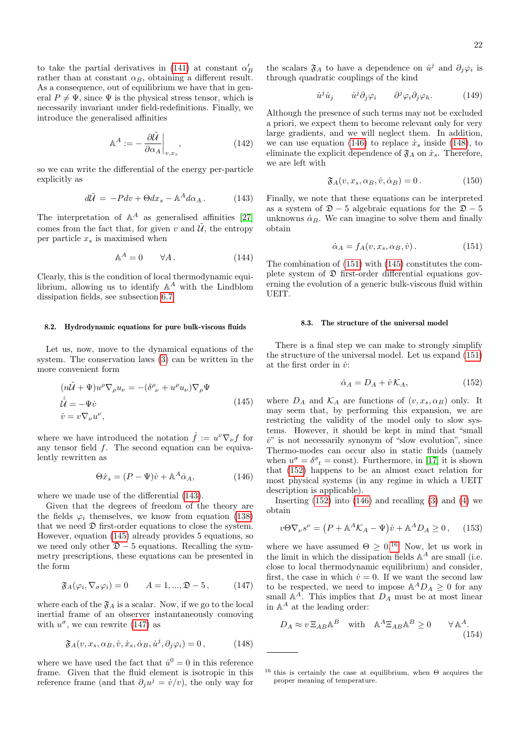to take the partial derivatives in [\(141\)](#page-20-3) at constant  $\alpha'_B$ rather than at constant  $\alpha_B$ , obtaining a different result. As a consequence, out of equilibrium we have that in general  $P \neq \Psi$ , since  $\Psi$  is the physical stress tensor, which is necessarily invariant under field-redefinitions. Finally, we introduce the generalised affinities

<span id="page-21-9"></span>
$$
\mathbb{A}^A := -\left. \frac{\partial \tilde{\mathcal{U}}}{\partial \alpha_A} \right|_{v, x_s}, \tag{142}
$$

so we can write the differential of the energy per-particle explicitly as

<span id="page-21-0"></span>
$$
d\tilde{\mathcal{U}} = -P dv + \Theta dx_s - \mathbb{A}^A d\alpha_A. \tag{143}
$$

The interpretation of  $\mathbb{A}^A$  as generalised affinities [\[27\]](#page-28-26) comes from the fact that, for given v and  $\tilde{U}$ , the entropy per particle  $x_s$  is maximised when

$$
\mathbb{A}^A = 0 \qquad \forall A. \tag{144}
$$

Clearly, this is the condition of local thermodynamic equilibrium, allowing us to identify  $A^A$  with the Lindblom dissipation fields, see subsection [6.7.](#page-17-4)

#### 8.2. Hydrodynamic equations for pure bulk-viscous fluids

Let us, now, move to the dynamical equations of the system. The conservation laws [\(3\)](#page-2-3) can be written in the more convenient form

<span id="page-21-1"></span>
$$
(n\tilde{\mathcal{U}} + \Psi)u^{\rho}\nabla_{\rho}u_{\nu} = -(\delta^{\rho}_{\ \nu} + u^{\rho}u_{\nu})\nabla_{\rho}\Psi
$$
  
\n
$$
\dot{\tilde{\mathcal{U}}} = -\Psi\dot{v}
$$
  
\n
$$
\dot{v} = v\nabla_{\nu}u^{\nu},
$$
\n(145)

where we have introduced the notation  $\dot{f} := u^{\nu} \nabla_{\nu} f$  for any tensor field f. The second equation can be equivalently rewritten as

<span id="page-21-3"></span>
$$
\Theta \dot{x}_s = (P - \Psi)\dot{v} + \mathbb{A}^A \dot{\alpha}_A,\tag{146}
$$

where we made use of the differential [\(143\)](#page-21-0).

Given that the degrees of freedom of the theory are the fields  $\varphi_i$  themselves, we know from equation [\(138\)](#page-20-4) that we need  $\mathfrak D$  first-order equations to close the system. However, equation [\(145\)](#page-21-1) already provides 5 equations, so we need only other  $\mathfrak{D} - 5$  equations. Recalling the symmetry prescriptions, these equations can be presented in the form

<span id="page-21-2"></span>
$$
\mathfrak{F}_A(\varphi_i, \nabla_\sigma \varphi_i) = 0 \qquad A = 1, ..., \mathfrak{D} - 5, \tag{147}
$$

where each of the  $\mathfrak{F}_A$  is a scalar. Now, if we go to the local inertial frame of an observer instantaneously comoving with  $u^{\sigma}$ , we can rewrite [\(147\)](#page-21-2) as

<span id="page-21-4"></span>
$$
\mathfrak{F}_A(v, x_s, \alpha_B, \dot{v}, \dot{x}_s, \dot{\alpha}_B, \dot{u}^j, \partial_j \varphi_i) = 0, \qquad (148)
$$

where we have used the fact that  $\dot{u}^0 = 0$  in this reference frame. Given that the fluid element is isotropic in this reference frame (and that  $\partial_j u^j = \dot{v}/v$ ), the only way for

the scalars  $\mathfrak{F}_A$  to have a dependence on  $\dot{u}^j$  and  $\partial_j \varphi_i$  is through quadratic couplings of the kind

$$
\dot{u}^j \dot{u}_j \qquad \dot{u}^j \partial_j \varphi_i \qquad \partial^j \varphi_i \partial_j \varphi_h. \tag{149}
$$

Although the presence of such terms may not be excluded a priori, we expect them to become relevant only for very large gradients, and we will neglect them. In addition, we can use equation [\(146\)](#page-21-3) to replace  $\dot{x}_s$  inside [\(148\)](#page-21-4), to eliminate the explicit dependence of  $\mathfrak{F}_A$  on  $\dot{x}_s$ . Therefore, we are left with

$$
\mathfrak{F}_A(v, x_s, \alpha_B, \dot{v}, \dot{\alpha}_B) = 0. \tag{150}
$$

Finally, we note that these equations can be interpreted as a system of  $\mathfrak{D} - 5$  algebraic equations for the  $\mathfrak{D} - 5$ unknowns  $\dot{\alpha}_B$ . We can imagine to solve them and finally obtain

<span id="page-21-5"></span>
$$
\dot{\alpha}_A = f_A(v, x_s, \alpha_B, \dot{v}). \tag{151}
$$

The combination of [\(151\)](#page-21-5) with [\(145\)](#page-21-1) constitutes the complete system of  $\mathfrak D$  first-order differential equations governing the evolution of a generic bulk-viscous fluid within UEIT.

#### <span id="page-21-10"></span>8.3. The structure of the universal model

There is a final step we can make to strongly simplify the structure of the universal model. Let us expand [\(151\)](#page-21-5) at the first order in  $\dot{v}$ :

<span id="page-21-6"></span>
$$
\dot{\alpha}_A = D_A + \dot{v} \mathcal{K}_A,\tag{152}
$$

where  $D_A$  and  $\mathcal{K}_A$  are functions of  $(v, x_s, \alpha_B)$  only. It may seem that, by performing this expansion, we are restricting the validity of the model only to slow systems. However, it should be kept in mind that "small  $\dot{v}$ " is not necessarily synonym of "slow evolution", since Thermo-modes can occur also in static fluids (namely when  $u^{\sigma} = \delta^{\sigma}_{t} = \text{const}$ ). Furthermore, in [\[17\]](#page-28-16) it is shown that [\(152\)](#page-21-6) happens to be an almost exact relation for most physical systems (in any regime in which a UEIT description is applicable).

Inserting  $(152)$  into  $(146)$  and recalling  $(3)$  and  $(4)$  we obtain

<span id="page-21-8"></span>
$$
v\Theta\nabla_{\nu}s^{\nu} = (P + \mathbb{A}^{A}\mathcal{K}_{A} - \Psi)\dot{v} + \mathbb{A}^{A}D_{A} \ge 0, \quad (153)
$$

where we have assumed  $\Theta \geq 0^{16}$  $\Theta \geq 0^{16}$  $\Theta \geq 0^{16}$  Now, let us work in the limit in which the dissipation fields  $\mathbb{A}^A$  are small (i.e. close to local thermodynamic equilibrium) and consider, first, the case in which  $\dot{v} = 0$ . If we want the second law to be respected, we need to impose  $\mathbb{A}^A D_A \geq 0$  for any small  $\mathbb{A}^A$ . This implies that  $D_A$  must be at most linear in  $\mathbb{A}^A$  at the leading order:

$$
D_A \approx v \, \Xi_{AB} \mathbb{A}^B \quad \text{with} \quad \mathbb{A}^A \Xi_{AB} \mathbb{A}^B \ge 0 \qquad \forall \mathbb{A}^A. \tag{154}
$$

<span id="page-21-7"></span> $16$  this is certainly the case at equilibrium, when  $\Theta$  acquires the proper meaning of temperature.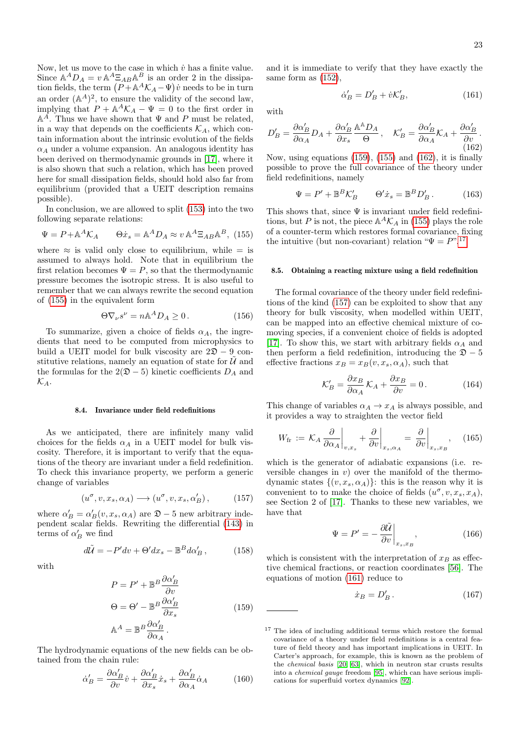Now, let us move to the case in which  $\dot{v}$  has a finite value. Since  $\mathbb{A}^A D_A = v \mathbb{A}^A \Xi_{AB} \mathbb{A}^B$  is an order 2 in the dissipation fields, the term  $(P + A^A \mathcal{K}_A - \Psi)v$  needs to be in turn an order  $(A^A)^2$ , to ensure the validity of the second law, implying that  $P + A^A \mathcal{K}_A - \Psi = 0$  to the first order in  $\mathbb{A}^{\hat{A}}$ . Thus we have shown that  $\Psi$  and  $P$  must be related, in a way that depends on the coefficients  $\mathcal{K}_A$ , which contain information about the intrinsic evolution of the fields  $\alpha_A$  under a volume expansion. An analogous identity has been derived on thermodynamic grounds in [\[17\]](#page-28-16), where it is also shown that such a relation, which has been proved here for small dissipation fields, should hold also far from equilibrium (provided that a UEIT description remains possible).

In conclusion, we are allowed to split [\(153\)](#page-21-8) into the two following separate relations:

<span id="page-22-0"></span>
$$
\Psi = P + \mathbb{A}^A \mathcal{K}_A \qquad \Theta \dot{x}_s = \mathbb{A}^A D_A \approx v \mathbb{A}^A \Xi_{AB} \mathbb{A}^B, (155)
$$

where  $\approx$  is valid only close to equilibrium, while = is assumed to always hold. Note that in equilibrium the first relation becomes  $\Psi = P$ , so that the thermodynamic pressure becomes the isotropic stress. It is also useful to remember that we can always rewrite the second equation of [\(155\)](#page-22-0) in the equivalent form

<span id="page-22-6"></span>
$$
\Theta \nabla_{\nu} s^{\nu} = n \mathbb{A}^A D_A \ge 0. \qquad (156)
$$

To summarize, given a choice of fields  $\alpha_A$ , the ingredients that need to be computed from microphysics to build a UEIT model for bulk viscosity are  $2\mathfrak{D} - 9$  constitutive relations, namely an equation of state for  $\hat{U}$  and the formulas for the  $2(\mathfrak{D} - 5)$  kinetic coefficients  $D_A$  and  $\mathcal{K}_A$ .

#### 8.4. Invariance under field redefinitions

As we anticipated, there are infinitely many valid choices for the fields  $\alpha_A$  in a UEIT model for bulk viscosity. Therefore, it is important to verify that the equations of the theory are invariant under a field redefinition. To check this invariance property, we perform a generic change of variables

<span id="page-22-4"></span>
$$
(u^{\sigma}, v, x_s, \alpha_A) \longrightarrow (u^{\sigma}, v, x_s, \alpha'_B), \qquad (157)
$$

where  $\alpha'_B = \alpha'_B(v, x_s, \alpha_A)$  are  $\mathfrak{D} - 5$  new arbitrary independent scalar fields. Rewriting the differential [\(143\)](#page-21-0) in terms of  $\alpha'_B$  we find

$$
d\tilde{\mathcal{U}} = -P'dv + \Theta'dx_s - \mathbb{B}^B d\alpha'_B, \qquad (158)
$$

<span id="page-22-1"></span>with

$$
P = P' + \mathbb{B}^{B} \frac{\partial \alpha'_{B}}{\partial v}
$$
  
\n
$$
\Theta = \Theta' - \mathbb{B}^{B} \frac{\partial \alpha'_{B}}{\partial x_{s}}
$$
  
\n
$$
\mathbb{A}^{A} = \mathbb{B}^{B} \frac{\partial \alpha'_{B}}{\partial \alpha_{A}}.
$$
\n(159)

The hydrodynamic equations of the new fields can be obtained from the chain rule:

$$
\dot{\alpha}'_B = \frac{\partial \alpha'_B}{\partial v} \dot{v} + \frac{\partial \alpha'_B}{\partial x_s} \dot{x}_s + \frac{\partial \alpha'_B}{\partial \alpha_A} \dot{\alpha}_A \tag{160}
$$

and it is immediate to verify that they have exactly the same form as [\(152\)](#page-21-6),

<span id="page-22-5"></span>
$$
\dot{\alpha}'_B = D'_B + \dot{v} \mathcal{K}'_B,\tag{161}
$$

with

<span id="page-22-2"></span>
$$
D'_B = \frac{\partial \alpha'_B}{\partial \alpha_A} D_A + \frac{\partial \alpha'_B}{\partial x_s} \frac{\mathbb{A}^{\mathbb{A}} D_A}{\Theta} , \quad \mathcal{K}'_B = \frac{\partial \alpha'_B}{\partial \alpha_A} \mathcal{K}_A + \frac{\partial \alpha'_B}{\partial v} .
$$
\n(162)

Now, using equations  $(159)$ ,  $(155)$  and  $(162)$ , it is finally possible to prove the full covariance of the theory under field redefinitions, namely

$$
\Psi = P' + \mathbb{B}^B \mathcal{K}'_B \qquad \Theta' \dot{x}_s = \mathbb{B}^B D'_B. \tag{163}
$$

This shows that, since  $\Psi$  is invariant under field redefinitions, but P is not, the piece  $\mathbb{A}^A \mathcal{K}_A$  in [\(155\)](#page-22-0) plays the role of a counter-term which restores formal covariance, fixing the intuitive (but non-covariant) relation " $\Psi = P$ ".<sup>[17](#page-22-3)</sup>

#### <span id="page-22-7"></span>8.5. Obtaining a reacting mixture using a field redefinition

The formal covariance of the theory under field redefinitions of the kind [\(157\)](#page-22-4) can be exploited to show that any theory for bulk viscosity, when modelled within UEIT, can be mapped into an effective chemical mixture of comoving species, if a convenient choice of fields is adopted [\[17\]](#page-28-16). To show this, we start with arbitrary fields  $\alpha_A$  and then perform a field redefinition, introducing the  $\mathfrak{D} - 5$ effective fractions  $x_B = x_B(v, x_s, \alpha_A)$ , such that

$$
\mathcal{K}'_B = \frac{\partial x_B}{\partial \alpha_A} \mathcal{K}_A + \frac{\partial x_B}{\partial v} = 0.
$$
 (164)

This change of variables  $\alpha_A \rightarrow x_A$  is always possible, and it provides a way to straighten the vector field

$$
W_{\text{fr}} := \mathcal{K}_A \frac{\partial}{\partial \alpha_A} \bigg|_{v,x_s} + \frac{\partial}{\partial v} \bigg|_{x_s,\alpha_A} = \frac{\partial}{\partial v} \bigg|_{x_s,x_B}, \quad (165)
$$

which is the generator of adiabatic expansions (i.e. reversible changes in  $v$ ) over the manifold of the thermodynamic states  $\{(v, x_s, \alpha_A)\}$ : this is the reason why it is convenient to to make the choice of fields  $(u^{\sigma}, v, x_s, x_A)$ , see Section 2 of [\[17\]](#page-28-16). Thanks to these new variables, we have that

$$
\Psi = P' = -\frac{\partial \tilde{\mathcal{U}}}{\partial v}\bigg|_{x_s, x_B},\tag{166}
$$

which is consistent with the interpretation of  $x_B$  as effective chemical fractions, or reaction coordinates [\[56\]](#page-28-51). The equations of motion [\(161\)](#page-22-5) reduce to

$$
\dot{x}_B = D'_B. \tag{167}
$$

<span id="page-22-3"></span> $^{17}$  The idea of including additional terms which restore the formal  $\,$ covariance of a theory under field redefinitions is a central feature of field theory and has important implications in UEIT. In Carter's approach, for example, this is known as the problem of the chemical basis [\[20,](#page-28-19) [63\]](#page-29-4), which in neutron star crusts results into a chemical gauge freedom [\[95\]](#page-29-36), which can have serious implications for superfluid vortex dynamics [\[92\]](#page-29-33).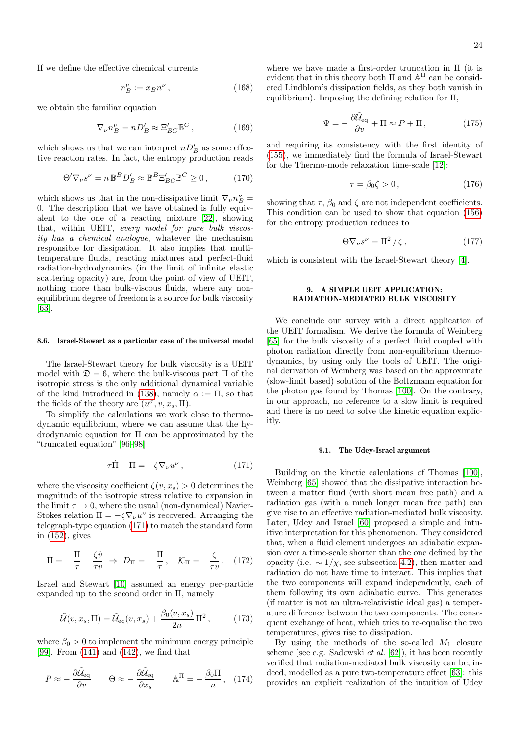If we define the effective chemical currents

$$
n_B^\nu := x_B n^\nu \,,\tag{168}
$$

we obtain the familiar equation

$$
\nabla_{\nu} n_B^{\nu} = n D'_B \approx \Xi'_{BC} \mathbb{B}^C, \qquad (169)
$$

which shows us that we can interpret  $nD'_B$  as some effective reaction rates. In fact, the entropy production reads

$$
\Theta' \nabla_{\nu} s^{\nu} = n \mathbb{B}^{B} D'_{B} \approx \mathbb{B}^{B} \Xi'_{BC} \mathbb{B}^{C} \ge 0, \qquad (170)
$$

which shows us that in the non-dissipative limit  $\nabla_{\nu}n_{B}^{\nu}=$ 0. The description that we have obtained is fully equivalent to the one of a reacting mixture [\[22\]](#page-28-21), showing that, within UEIT, every model for pure bulk viscosity has a chemical analogue, whatever the mechanism responsible for dissipation. It also implies that multitemperature fluids, reacting mixtures and perfect-fluid radiation-hydrodynamics (in the limit of infinite elastic scattering opacity) are, from the point of view of UEIT, nothing more than bulk-viscous fluids, where any nonequilibrium degree of freedom is a source for bulk viscosity [\[63\]](#page-29-4).

## 8.6. Israel-Stewart as a particular case of the universal model

The Israel-Stewart theory for bulk viscosity is a UEIT model with  $\mathfrak{D} = 6$ , where the bulk-viscous part  $\Pi$  of the isotropic stress is the only additional dynamical variable of the kind introduced in [\(138\)](#page-20-4), namely  $\alpha := \Pi$ , so that the fields of the theory are  $(u^{\sigma}, v, x_s, \Pi)$ .

To simplify the calculations we work close to thermodynamic equilibrium, where we can assume that the hydrodynamic equation for Π can be approximated by the "truncated equation" [\[96–](#page-29-37)[98\]](#page-29-38)

<span id="page-23-1"></span>
$$
\tau \dot{\Pi} + \Pi = -\zeta \nabla_{\nu} u^{\nu} , \qquad (171)
$$

where the viscosity coefficient  $\zeta(v, x_s) > 0$  determines the magnitude of the isotropic stress relative to expansion in the limit  $\tau \to 0$ , where the usual (non-dynamical) Navier-Stokes relation  $\Pi = -\zeta \nabla_{\nu} u^{\nu}$  is recovered. Arranging the telegraph-type equation [\(171\)](#page-23-1) to match the standard form in [\(152\)](#page-21-6), gives

$$
\dot{\Pi} = -\frac{\Pi}{\tau} - \frac{\zeta \dot{v}}{\tau v} \Rightarrow D_{\Pi} = -\frac{\Pi}{\tau}, \quad \mathcal{K}_{\Pi} = -\frac{\zeta}{\tau v}. \quad (172)
$$

Israel and Stewart [\[10\]](#page-28-9) assumed an energy per-particle expanded up to the second order in  $\Pi$ , namely

$$
\tilde{\mathcal{U}}(v, x_s, \Pi) = \tilde{\mathcal{U}}_{\text{eq}}(v, x_s) + \frac{\beta_0(v, x_s)}{2n} \Pi^2, \quad (173)
$$

where  $\beta_0 > 0$  to implement the minimum energy principle [\[99\]](#page-29-39). From [\(141\)](#page-20-3) and [\(142\)](#page-21-9), we find that

$$
P \approx -\frac{\partial \tilde{\mathcal{U}}_{\text{eq}}}{\partial v} \qquad \Theta \approx -\frac{\partial \tilde{\mathcal{U}}_{\text{eq}}}{\partial x_s} \qquad \mathbb{A}^{\Pi} = -\frac{\beta_0 \Pi}{n}, \quad (174)
$$

where we have made a first-order truncation in  $\Pi$  (it is evident that in this theory both  $\Pi$  and  $\mathbb{A}^{\Pi}$  can be considered Lindblom's dissipation fields, as they both vanish in equilibrium). Imposing the defining relation for Π,

$$
\Psi = -\frac{\partial \tilde{\mathcal{U}}_{\text{eq}}}{\partial v} + \Pi \approx P + \Pi, \qquad (175)
$$

and requiring its consistency with the first identity of [\(155\)](#page-22-0), we immediately find the formula of Israel-Stewart for the Thermo-mode relaxation time-scale [\[12\]](#page-28-11):

$$
\tau = \beta_0 \zeta > 0, \qquad (176)
$$

showing that  $\tau$ ,  $\beta_0$  and  $\zeta$  are not independent coefficients. This condition can be used to show that equation [\(156\)](#page-22-6) for the entropy production reduces to

<span id="page-23-2"></span>
$$
\Theta \nabla_{\nu} s^{\nu} = \Pi^2 / \zeta, \qquad (177)
$$

which is consistent with the Israel-Stewart theory [\[4\]](#page-28-3).

## <span id="page-23-0"></span>9. A SIMPLE UEIT APPLICATION: RADIATION-MEDIATED BULK VISCOSITY

We conclude our survey with a direct application of the UEIT formalism. We derive the formula of Weinberg [\[65\]](#page-29-6) for the bulk viscosity of a perfect fluid coupled with photon radiation directly from non-equilibrium thermodynamics, by using only the tools of UEIT. The original derivation of Weinberg was based on the approximate (slow-limit based) solution of the Boltzmann equation for the photon gas found by Thomas [\[100\]](#page-29-40). On the contrary, in our approach, no reference to a slow limit is required and there is no need to solve the kinetic equation explicitly.

#### 9.1. The Udey-Israel argument

Building on the kinetic calculations of Thomas [\[100\]](#page-29-40), Weinberg [\[65\]](#page-29-6) showed that the dissipative interaction between a matter fluid (with short mean free path) and a radiation gas (with a much longer mean free path) can give rise to an effective radiation-mediated bulk viscosity. Later, Udey and Israel [\[60\]](#page-29-1) proposed a simple and intuitive interpretation for this phenomenon. They considered that, when a fluid element undergoes an adiabatic expansion over a time-scale shorter than the one defined by the opacity (i.e.  $\sim 1/\chi$ , see subsection [4.2\)](#page-8-10), then matter and radiation do not have time to interact. This implies that the two components will expand independently, each of them following its own adiabatic curve. This generates (if matter is not an ultra-relativistic ideal gas) a temperature difference between the two components. The consequent exchange of heat, which tries to re-equalise the two temperatures, gives rise to dissipation.

By using the methods of the so-called  $M_1$  closure scheme (see e.g. Sadowski et al. [\[62\]](#page-29-3)), it has been recently verified that radiation-mediated bulk viscosity can be, indeed, modelled as a pure two-temperature effect [\[63\]](#page-29-4): this provides an explicit realization of the intuition of Udey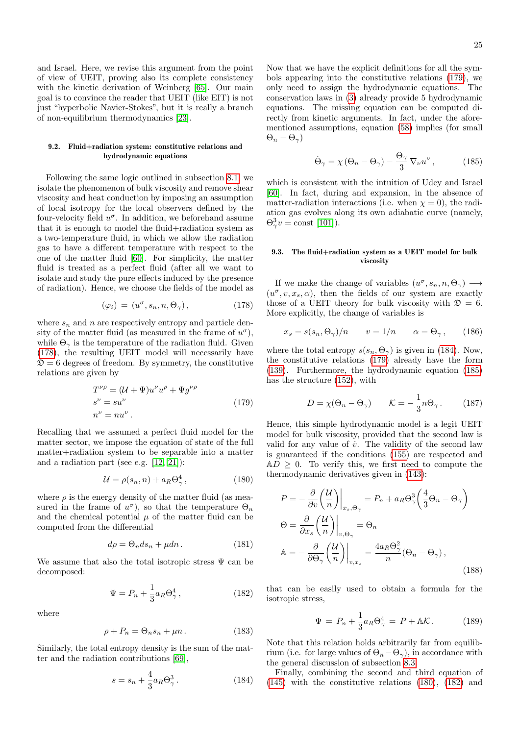and Israel. Here, we revise this argument from the point of view of UEIT, proving also its complete consistency with the kinetic derivation of Weinberg [\[65\]](#page-29-6). Our main goal is to convince the reader that UEIT (like EIT) is not just "hyperbolic Navier-Stokes", but it is really a branch of non-equilibrium thermodynamics [\[23\]](#page-28-22).

## 9.2. Fluid+radiation system: constitutive relations and hydrodynamic equations

Following the same logic outlined in subsection [8.1,](#page-20-5) we isolate the phenomenon of bulk viscosity and remove shear viscosity and heat conduction by imposing an assumption of local isotropy for the local observers defined by the four-velocity field  $u^{\sigma}$ . In addition, we beforehand assume that it is enough to model the fluid+radiation system as a two-temperature fluid, in which we allow the radiation gas to have a different temperature with respect to the one of the matter fluid [\[60\]](#page-29-1). For simplicity, the matter fluid is treated as a perfect fluid (after all we want to isolate and study the pure effects induced by the presence of radiation). Hence, we choose the fields of the model as

<span id="page-24-0"></span>
$$
(\varphi_i) = (u^{\sigma}, s_n, n, \Theta_{\gamma}), \qquad (178)
$$

where  $s_n$  and n are respectively entropy and particle density of the matter fluid (as measured in the frame of  $u^{\sigma}$ ), while  $\Theta_{\gamma}$  is the temperature of the radiation fluid. Given [\(178\)](#page-24-0), the resulting UEIT model will necessarily have  $\mathfrak{D} = 6$  degrees of freedom. By symmetry, the constitutive relations are given by

$$
T^{\nu \rho} = (\mathcal{U} + \Psi) u^{\nu} u^{\rho} + \Psi g^{\nu \rho}
$$
  
\n
$$
s^{\nu} = su^{\nu}
$$
  
\n
$$
n^{\nu} = nu^{\nu}.
$$
\n(179)

<span id="page-24-1"></span>Recalling that we assumed a perfect fluid model for the matter sector, we impose the equation of state of the full matter+radiation system to be separable into a matter and a radiation part (see e.g. [\[12,](#page-28-11) [21\]](#page-28-20)):

<span id="page-24-4"></span>
$$
\mathcal{U} = \rho(s_n, n) + a_R \Theta_\gamma^4, \qquad (180)
$$

where  $\rho$  is the energy density of the matter fluid (as measured in the frame of  $u^{\sigma}$ ), so that the temperature  $\Theta_n$ and the chemical potential  $\mu$  of the matter fluid can be computed from the differential

$$
d\rho = \Theta_n ds_n + \mu dn. \tag{181}
$$

We assume that also the total isotropic stress  $\Psi$  can be decomposed:

<span id="page-24-5"></span>
$$
\Psi = P_n + \frac{1}{3} a_R \Theta_\gamma^4 \,, \tag{182}
$$

where

$$
\rho + P_n = \Theta_n s_n + \mu n. \tag{183}
$$

Similarly, the total entropy density is the sum of the matter and the radiation contributions [\[69\]](#page-29-10),

<span id="page-24-2"></span>
$$
s = s_n + \frac{4}{3} a_R \Theta_\gamma^3. \tag{184}
$$

Now that we have the explicit definitions for all the symbols appearing into the constitutive relations [\(179\)](#page-24-1), we only need to assign the hydrodynamic equations. The conservation laws in [\(3\)](#page-2-3) already provide 5 hydrodynamic equations. The missing equation can be computed directly from kinetic arguments. In fact, under the aforementioned assumptions, equation [\(58\)](#page-8-4) implies (for small  $\Theta_n - \Theta_\gamma$ 

<span id="page-24-3"></span>
$$
\dot{\Theta}_{\gamma} = \chi \left( \Theta_n - \Theta_{\gamma} \right) - \frac{\Theta_{\gamma}}{3} \nabla_{\nu} u^{\nu}, \qquad (185)
$$

which is consistent with the intuition of Udey and Israel [\[60\]](#page-29-1). In fact, during and expansion, in the absence of matter-radiation interactions (i.e. when  $\chi = 0$ ), the radiation gas evolves along its own adiabatic curve (namely,  $\Theta_{\gamma}^3 v = \text{const}$  [\[101\]](#page-29-41)).

## 9.3. The fluid+radiation system as a UEIT model for bulk viscosity

If we make the change of variables  $(u^{\sigma}, s_n, n, \Theta_{\gamma}) \longrightarrow$  $(u^{\sigma}, v, x_s, \alpha)$ , then the fields of our system are exactly those of a UEIT theory for bulk viscosity with  $\mathcal{D} = 6$ . More explicitly, the change of variables is

$$
x_s = s(s_n, \Theta_\gamma)/n \qquad v = 1/n \qquad \alpha = \Theta_\gamma \,, \qquad (186)
$$

where the total entropy  $s(s_n, \Theta_\gamma)$  is given in [\(184\)](#page-24-2). Now, the constitutive relations [\(179\)](#page-24-1) already have the form [\(139\)](#page-20-6). Furthermore, the hydrodynamic equation [\(185\)](#page-24-3) has the structure [\(152\)](#page-21-6), with

$$
D = \chi(\Theta_n - \Theta_\gamma) \qquad \mathcal{K} = -\frac{1}{3}n\Theta_\gamma. \tag{187}
$$

Hence, this simple hydrodynamic model is a legit UEIT model for bulk viscosity, provided that the second law is valid for any value of  $\dot{v}$ . The validity of the second law is guaranteed if the conditions [\(155\)](#page-22-0) are respected and  $AD \geq 0$ . To verify this, we first need to compute the thermodynamic derivatives given in [\(143\)](#page-21-0):

$$
P = -\frac{\partial}{\partial v} \left( \frac{U}{n} \right) \Big|_{x_s, \Theta_\gamma} = P_n + a_R \Theta_\gamma^3 \left( \frac{4}{3} \Theta_n - \Theta_\gamma \right)
$$
  
\n
$$
\Theta = \frac{\partial}{\partial x_s} \left( \frac{U}{n} \right) \Big|_{v, \Theta_\gamma} = \Theta_n
$$
  
\n
$$
\mathbb{A} = -\frac{\partial}{\partial \Theta_\gamma} \left( \frac{U}{n} \right) \Big|_{v, x_s} = \frac{4a_R \Theta_\gamma^2}{n} (\Theta_n - \Theta_\gamma),
$$
\n(188)

that can be easily used to obtain a formula for the isotropic stress,

$$
\Psi = P_n + \frac{1}{3} a_R \Theta_\gamma^4 = P + \mathbb{A} \mathcal{K}.
$$
 (189)

Note that this relation holds arbitrarily far from equilibrium (i.e. for large values of  $\Theta_n-\Theta_\gamma$ ), in accordance with the general discussion of subsection [8.3.](#page-21-10)

Finally, combining the second and third equation of [\(145\)](#page-21-1) with the constitutive relations [\(180\)](#page-24-4), [\(182\)](#page-24-5) and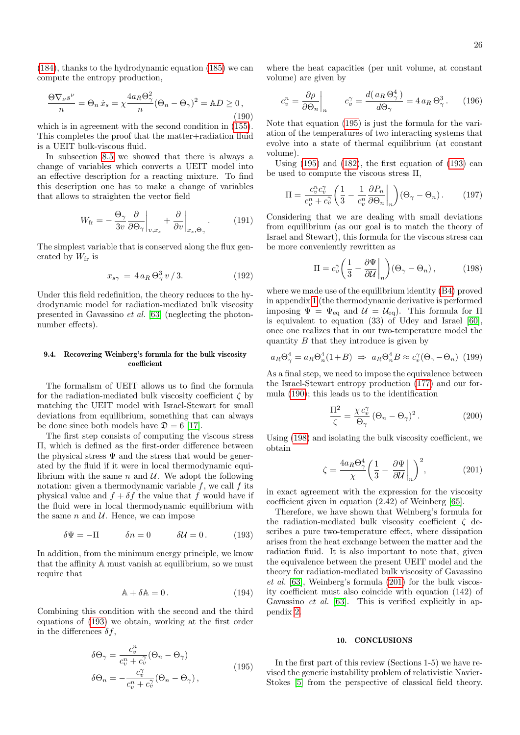[\(184\)](#page-24-2), thanks to the hydrodynamic equation [\(185\)](#page-24-3) we can compute the entropy production,

<span id="page-25-2"></span>
$$
\frac{\Theta \nabla_{\nu} s^{\nu}}{n} = \Theta_n \dot{x}_s = \chi \frac{4a_R \Theta_\gamma^2}{n} (\Theta_n - \Theta_\gamma)^2 = \mathbb{A} D \ge 0,
$$
\n(190)

which is in agreement with the second condition in [\(155\)](#page-22-0). This completes the proof that the matter+radiation fluid is a UEIT bulk-viscous fluid.

In subsection [8.5](#page-22-7) we showed that there is always a change of variables which converts a UEIT model into an effective description for a reacting mixture. To find this description one has to make a change of variables that allows to straighten the vector field

$$
W_{\text{fr}} = -\frac{\Theta_{\gamma}}{3v} \frac{\partial}{\partial \Theta_{\gamma}} \bigg|_{v,x_{s}} + \frac{\partial}{\partial v} \bigg|_{x_{s},\Theta_{\gamma}}.
$$
 (191)

The simplest variable that is conserved along the flux generated by  $W_{\text{fr}}$  is

<span id="page-25-5"></span>
$$
x_{s\gamma} = 4 a_R \Theta_{\gamma}^3 v / 3. \tag{192}
$$

Under this field redefinition, the theory reduces to the hydrodynamic model for radiation-mediated bulk viscosity presented in Gavassino et al. [\[63\]](#page-29-4) (neglecting the photonnumber effects).

## 9.4. Recovering Weinberg's formula for the bulk viscosity coefficient

The formalism of UEIT allows us to find the formula for the radiation-mediated bulk viscosity coefficient  $\zeta$  by matching the UEIT model with Israel-Stewart for small deviations from equilibrium, something that can always be done since both models have  $\mathfrak{D} = 6$  [\[17\]](#page-28-16).

The first step consists of computing the viscous stress Π, which is defined as the first-order difference between the physical stress  $\Psi$  and the stress that would be generated by the fluid if it were in local thermodynamic equilibrium with the same  $n$  and  $U$ . We adopt the following notation: given a thermodynamic variable  $f$ , we call  $f$  its physical value and  $f + \delta f$  the value that f would have if the fluid were in local thermodynamic equilibrium with the same  $n$  and  $U$ . Hence, we can impose

<span id="page-25-0"></span>
$$
\delta \Psi = -\Pi \qquad \delta n = 0 \qquad \delta \mathcal{U} = 0. \qquad (193)
$$

In addition, from the minimum energy principle, we know that the affinity A must vanish at equilibrium, so we must require that

$$
\mathbb{A} + \delta \mathbb{A} = 0. \tag{194}
$$

<span id="page-25-1"></span>Combining this condition with the second and the third equations of [\(193\)](#page-25-0) we obtain, working at the first order in the differences  $\delta f$ ,

$$
\delta \Theta_{\gamma} = \frac{c_v^n}{c_v^n + c_v^{\gamma}} (\Theta_n - \Theta_{\gamma})
$$
  
\n
$$
\delta \Theta_n = -\frac{c_v^{\gamma}}{c_v^n + c_v^{\gamma}} (\Theta_n - \Theta_{\gamma}),
$$
\n(195)

where the heat capacities (per unit volume, at constant volume) are given by

$$
c_v^n = \frac{\partial \rho}{\partial \Theta_n}\bigg|_n \qquad c_v^\gamma = \frac{d(a_R \Theta_\gamma^4)}{d\Theta_\gamma} = 4 a_R \Theta_\gamma^3. \tag{196}
$$

Note that equation [\(195\)](#page-25-1) is just the formula for the variation of the temperatures of two interacting systems that evolve into a state of thermal equilibrium (at constant volume).

Using [\(195\)](#page-25-1) and [\(182\)](#page-24-5), the first equation of [\(193\)](#page-25-0) can be used to compute the viscous stress Π,

$$
\Pi = \frac{c_v^n c_v^n}{c_v^n + c_v^n} \left( \frac{1}{3} - \frac{1}{c_v^n} \frac{\partial P_n}{\partial \Theta_n} \bigg|_n \right) (\Theta_\gamma - \Theta_n). \tag{197}
$$

Considering that we are dealing with small deviations from equilibrium (as our goal is to match the theory of Israel and Stewart), this formula for the viscous stress can be more conveniently rewritten as

<span id="page-25-3"></span>
$$
\Pi = c_v^{\gamma} \left( \frac{1}{3} - \frac{\partial \Psi}{\partial \mathcal{U}} \bigg|_{n} \right) (\Theta_{\gamma} - \Theta_{n}), \tag{198}
$$

where we made use of the equilibrium identity [\(B4\)](#page-27-0) proved in appendix [1](#page-27-1) (the thermodynamic derivative is performed imposing  $\Psi = \Psi_{\text{eq}}$  and  $\mathcal{U} = \mathcal{U}_{\text{eq}}$ . This formula for  $\Pi$ is equivalent to equation (33) of Udey and Israel [\[60\]](#page-29-1), once one realizes that in our two-temperature model the quantity  $B$  that they introduce is given by

$$
a_R \Theta_\gamma^4 = a_R \Theta_n^4 (1 + B) \Rightarrow a_R \Theta_n^4 B \approx c_v^{\gamma} (\Theta_\gamma - \Theta_n) \tag{199}
$$

As a final step, we need to impose the equivalence between the Israel-Stewart entropy production [\(177\)](#page-23-2) and our formula [\(190\)](#page-25-2); this leads us to the identification

$$
\frac{\Pi^2}{\zeta} = \frac{\chi c_v^{\gamma}}{\Theta_{\gamma}} \left(\Theta_n - \Theta_{\gamma}\right)^2.
$$
 (200)

Using [\(198\)](#page-25-3) and isolating the bulk viscosity coefficient, we obtain

<span id="page-25-4"></span>
$$
\zeta = \frac{4a_R \Theta_{\gamma}^4}{\chi} \left( \frac{1}{3} - \frac{\partial \Psi}{\partial \mathcal{U}} \bigg|_{n} \right)^2, \tag{201}
$$

in exact agreement with the expression for the viscosity coefficient given in equation (2.42) of Weinberg [\[65\]](#page-29-6).

Therefore, we have shown that Weinberg's formula for the radiation-mediated bulk viscosity coefficient  $\zeta$  describes a pure two-temperature effect, where dissipation arises from the heat exchange between the matter and the radiation fluid. It is also important to note that, given the equivalence between the present UEIT model and the theory for radiation-mediated bulk viscosity of Gavassino et al. [\[63\]](#page-29-4), Weinberg's formula [\(201\)](#page-25-4) for the bulk viscosity coefficient must also coincide with equation (142) of Gavassino et al. [\[63\]](#page-29-4). This is verified explicitly in appendix [2.](#page-27-2)

### 10. CONCLUSIONS

In the first part of this review (Sections 1-5) we have revised the generic instability problem of relativistic Navier-Stokes [\[5\]](#page-28-4) from the perspective of classical field theory.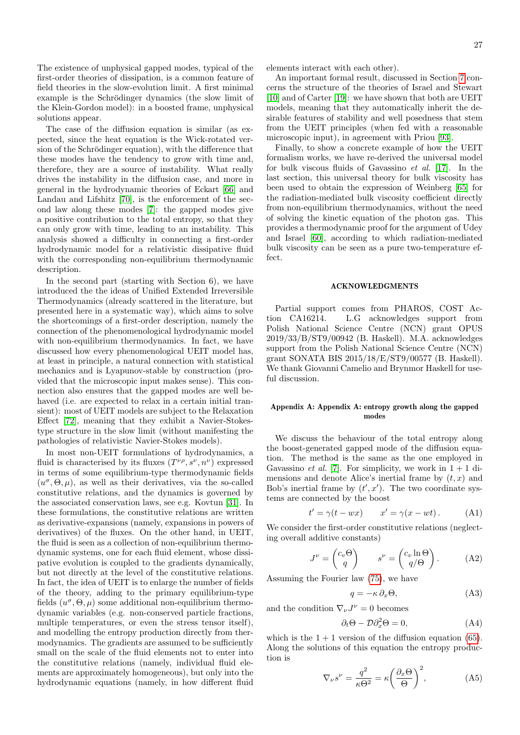The existence of unphysical gapped modes, typical of the first-order theories of dissipation, is a common feature of field theories in the slow-evolution limit. A first minimal example is the Schrödinger dynamics (the slow limit of the Klein-Gordon model): in a boosted frame, unphysical solutions appear.

The case of the diffusion equation is similar (as expected, since the heat equation is the Wick-rotated version of the Schrödinger equation), with the difference that these modes have the tendency to grow with time and, therefore, they are a source of instability. What really drives the instability in the diffusion case, and more in general in the hydrodynamic theories of Eckart [\[66\]](#page-29-7) and Landau and Lifshitz [\[70\]](#page-29-11), is the enforcement of the second law along these modes [\[7\]](#page-28-6): the gapped modes give a positive contribution to the total entropy, so that they can only grow with time, leading to an instability. This analysis showed a difficulty in connecting a first-order hydrodynamic model for a relativistic dissipative fluid with the corresponding non-equilibrium thermodynamic description.

In the second part (starting with Section 6), we have introduced the the ideas of Unified Extended Irreversible Thermodynamics (already scattered in the literature, but presented here in a systematic way), which aims to solve the shortcomings of a first-order description, namely the connection of the phenomenological hydrodynamic model with non-equilibrium thermodynamics. In fact, we have discussed how every phenomenological UEIT model has, at least in principle, a natural connection with statistical mechanics and is Lyapunov-stable by construction (provided that the microscopic input makes sense). This connection also ensures that the gapped modes are well behaved (i.e. are expected to relax in a certain initial transient): most of UEIT models are subject to the Relaxation Effect [\[72\]](#page-29-13), meaning that they exhibit a Navier-Stokestype structure in the slow limit (without manifesting the pathologies of relativistic Navier-Stokes models).

In most non-UEIT formulations of hydrodynamics, a fluid is characterised by its fluxes  $(T^{\nu\rho}, s^{\nu}, n^{\nu})$  expressed in terms of some equilibrium-type thermodynamic fields  $(u^{\sigma}, \Theta, \mu)$ , as well as their derivatives, via the so-called constitutive relations, and the dynamics is governed by the associated conservation laws, see e.g. Kovtun [\[31\]](#page-28-30). In these formulations, the constitutive relations are written as derivative-expansions (namely, expansions in powers of derivatives) of the fluxes. On the other hand, in UEIT, the fluid is seen as a collection of non-equilibrium thermodynamic systems, one for each fluid element, whose dissipative evolution is coupled to the gradients dynamically, but not directly at the level of the constitutive relations. In fact, the idea of UEIT is to enlarge the number of fields of the theory, adding to the primary equilibrium-type fields  $(u^{\sigma}, \Theta, \mu)$  some additional non-equilibrium thermodynamic variables (e.g. non-conserved particle fractions, multiple temperatures, or even the stress tensor itself), and modelling the entropy production directly from thermodynamics. The gradients are assumed to be sufficiently small on the scale of the fluid elements not to enter into the constitutive relations (namely, individual fluid elements are approximately homogeneous), but only into the hydrodynamic equations (namely, in how different fluid

elements interact with each other).

An important formal result, discussed in Section [7](#page-18-7) concerns the structure of the theories of Israel and Stewart [\[10\]](#page-28-9) and of Carter [\[19\]](#page-28-18): we have shown that both are UEIT models, meaning that they automatically inherit the desirable features of stability and well posedness that stem from the UEIT principles (when fed with a reasonable microscopic input), in agreement with Priou [\[93\]](#page-29-34).

Finally, to show a concrete example of how the UEIT formalism works, we have re-derived the universal model for bulk viscous fluids of Gavassino et al. [\[17\]](#page-28-16). In the last section, this universal theory for bulk viscosity has been used to obtain the expression of Weinberg [\[65\]](#page-29-6) for the radiation-mediated bulk viscosity coefficient directly from non-equilibrium thermodynamics, without the need of solving the kinetic equation of the photon gas. This provides a thermodynamic proof for the argument of Udey and Israel [\[60\]](#page-29-1), according to which radiation-mediated bulk viscosity can be seen as a pure two-temperature effect.

#### ACKNOWLEDGMENTS

Partial support comes from PHAROS, COST Action CA16214. L.G acknowledges support from Polish National Science Centre (NCN) grant OPUS 2019/33/B/ST9/00942 (B. Haskell). M.A. acknowledges support from the Polish National Science Centre (NCN) grant SONATA BIS 2015/18/E/ST9/00577 (B. Haskell). We thank Giovanni Camelio and Brynmor Haskell for useful discussion.

## <span id="page-26-0"></span>Appendix A: Appendix A: entropy growth along the gapped modes

We discuss the behaviour of the total entropy along the boost-generated gapped mode of the diffusion equation. The method is the same as the one employed in Gavassino *et al.* [\[7\]](#page-28-6). For simplicity, we work in  $1 + 1$  dimensions and denote Alice's inertial frame by  $(t, x)$  and Bob's inertial frame by  $(t', x')$ . The two coordinate systems are connected by the boost

<span id="page-26-1"></span>
$$
t' = \gamma(t - wx) \qquad x' = \gamma(x - wt). \tag{A1}
$$

We consider the first-order constitutive relations (neglecting overall additive constants)

<span id="page-26-2"></span>
$$
J^{\nu} = \begin{pmatrix} c_v \Theta \\ q \end{pmatrix} \qquad s^{\nu} = \begin{pmatrix} c_v \ln \Theta \\ q/\Theta \end{pmatrix} . \tag{A2}
$$

Assuming the Fourier law [\(75\)](#page-9-8), we have

$$
q = -\kappa \, \partial_x \Theta,\tag{A3}
$$

and the condition  $\nabla_{\nu}J^{\nu}=0$  becomes

$$
\partial_t \Theta - \mathcal{D} \partial_x^2 \Theta = 0, \tag{A4}
$$

which is the  $1 + 1$  version of the diffusion equation [\(65\)](#page-9-2). Along the solutions of this equation the entropy production is

$$
\nabla_{\nu} s^{\nu} = \frac{q^2}{\kappa \Theta^2} = \kappa \left(\frac{\partial_x \Theta}{\Theta}\right)^2, \tag{A5}
$$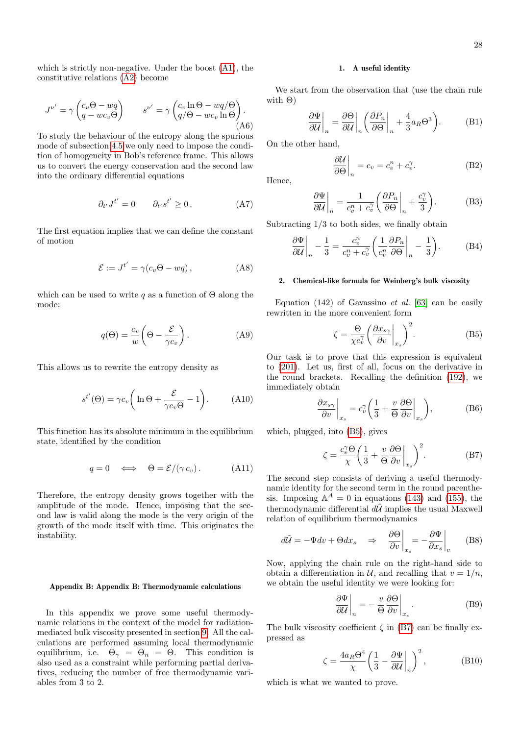which is strictly non-negative. Under the boost [\(A1\)](#page-26-1), the constitutive relations [\(A2\)](#page-26-2) become

$$
J^{\nu'} = \gamma \begin{pmatrix} c_v \Theta - wq \\ q - wc_v \Theta \end{pmatrix} \qquad s^{\nu'} = \gamma \begin{pmatrix} c_v \ln \Theta - wq/\Theta \\ q/\Theta - wc_v \ln \Theta \end{pmatrix} .
$$
  
(A6)

To study the behaviour of the entropy along the spurious mode of subsection [4.5](#page-10-1) we only need to impose the condition of homogeneity in Bob's reference frame. This allows us to convert the energy conservation and the second law into the ordinary differential equations

$$
\partial_{t'} J^{t'} = 0 \qquad \partial_{t'} s^{t'} \ge 0. \tag{A7}
$$

The first equation implies that we can define the constant of motion

$$
\mathcal{E} := J^{t'} = \gamma(c_v \Theta - wq) , \qquad (A8)
$$

which can be used to write q as a function of  $\Theta$  along the mode:

$$
q(\Theta) = \frac{c_v}{w} \left(\Theta - \frac{\mathcal{E}}{\gamma c_v}\right). \tag{A9}
$$

This allows us to rewrite the entropy density as

$$
s^{t'}(\Theta) = \gamma c_v \left( \ln \Theta + \frac{\mathcal{E}}{\gamma c_v \Theta} - 1 \right). \tag{A10}
$$

This function has its absolute minimum in the equilibrium state, identified by the condition

$$
q = 0 \iff \Theta = \mathcal{E}/(\gamma c_v). \tag{A11}
$$

Therefore, the entropy density grows together with the amplitude of the mode. Hence, imposing that the second law is valid along the mode is the very origin of the growth of the mode itself with time. This originates the instability.

## Appendix B: Appendix B: Thermodynamic calculations

In this appendix we prove some useful thermodynamic relations in the context of the model for radiationmediated bulk viscosity presented in section [9.](#page-23-0) All the calculations are performed assuming local thermodynamic equilibrium, i.e.  $\Theta_{\gamma} = \Theta_n = \Theta$ . This condition is also used as a constraint while performing partial derivatives, reducing the number of free thermodynamic variables from 3 to 2.

#### <span id="page-27-1"></span>1. A useful identity

We start from the observation that (use the chain rule with  $\Theta$ )

$$
\left. \frac{\partial \Psi}{\partial \mathcal{U}} \right|_{n} = \left. \frac{\partial \Theta}{\partial \mathcal{U}} \right|_{n} \left( \left. \frac{\partial P_{n}}{\partial \Theta} \right|_{n} + \frac{4}{3} a_{R} \Theta^{3} \right). \tag{B1}
$$

On the other hand,

$$
\left. \frac{\partial \mathcal{U}}{\partial \Theta} \right|_{n} = c_{v} = c_{v}^{n} + c_{v}^{\gamma}.
$$
 (B2)

Hence,

$$
\left. \frac{\partial \Psi}{\partial \mathcal{U}} \right|_{n} = \frac{1}{c_v^n + c_v^n} \left( \frac{\partial P_n}{\partial \Theta} \right|_{n} + \frac{c_v^n}{3} \right). \tag{B3}
$$

Subtracting  $1/3$  to both sides, we finally obtain

<span id="page-27-0"></span>
$$
\left. \frac{\partial \Psi}{\partial \mathcal{U}} \right|_{n} - \frac{1}{3} = \frac{c_v^n}{c_v^n + c_v^n} \left( \frac{1}{c_v^n} \frac{\partial P_n}{\partial \Theta} \right|_{n} - \frac{1}{3} \right). \tag{B4}
$$

## <span id="page-27-2"></span>2. Chemical-like formula for Weinberg's bulk viscosity

Equation  $(142)$  of Gavassino *et al.* [\[63\]](#page-29-4) can be easily rewritten in the more convenient form

<span id="page-27-3"></span>
$$
\zeta = \frac{\Theta}{\chi c_v^{\gamma}} \left( \frac{\partial x_{s\gamma}}{\partial v} \bigg|_{x_s} \right)^2.
$$
 (B5)

Our task is to prove that this expression is equivalent to [\(201\)](#page-25-4). Let us, first of all, focus on the derivative in the round brackets. Recalling the definition [\(192\)](#page-25-5), we immediately obtain

$$
\left. \frac{\partial x_{s\gamma}}{\partial v} \right|_{x_s} = c_v^{\gamma} \left( \frac{1}{3} + \frac{v}{\Theta} \frac{\partial \Theta}{\partial v} \right|_{x_s} \right),\tag{B6}
$$

which, plugged, into [\(B5\)](#page-27-3), gives

<span id="page-27-4"></span>
$$
\zeta = \frac{c_v^{\gamma} \Theta}{\chi} \left( \frac{1}{3} + \frac{v}{\Theta} \frac{\partial \Theta}{\partial v} \bigg|_{x_s} \right)^2.
$$
 (B7)

The second step consists of deriving a useful thermodynamic identity for the second term in the round parenthesis. Imposing  $\mathbb{A}^A = 0$  in equations [\(143\)](#page-21-0) and [\(155\)](#page-22-0), the thermodynamic differential  $d\tilde{U}$  implies the usual Maxwell relation of equilibrium thermodynamics

$$
d\tilde{\mathcal{U}} = -\Psi dv + \Theta dx_s \quad \Rightarrow \quad \frac{\partial \Theta}{\partial v}\bigg|_{x_s} = -\frac{\partial \Psi}{\partial x_s}\bigg|_{v} \tag{B8}
$$

Now, applying the chain rule on the right-hand side to obtain a differentiation in  $\mathcal{U}$ , and recalling that  $v = 1/n$ . we obtain the useful identity we were looking for:

$$
\left. \frac{\partial \Psi}{\partial \mathcal{U}} \right|_{n} = -\left. \frac{v}{\Theta} \frac{\partial \Theta}{\partial v} \right|_{x_{s}}.
$$
 (B9)

The bulk viscosity coefficient  $\zeta$  in [\(B7\)](#page-27-4) can be finally expressed as

$$
\zeta = \frac{4a_R \Theta^4}{\chi} \left( \frac{1}{3} - \frac{\partial \Psi}{\partial \mathcal{U}} \bigg|_{n} \right)^2, \tag{B10}
$$

which is what we wanted to prove.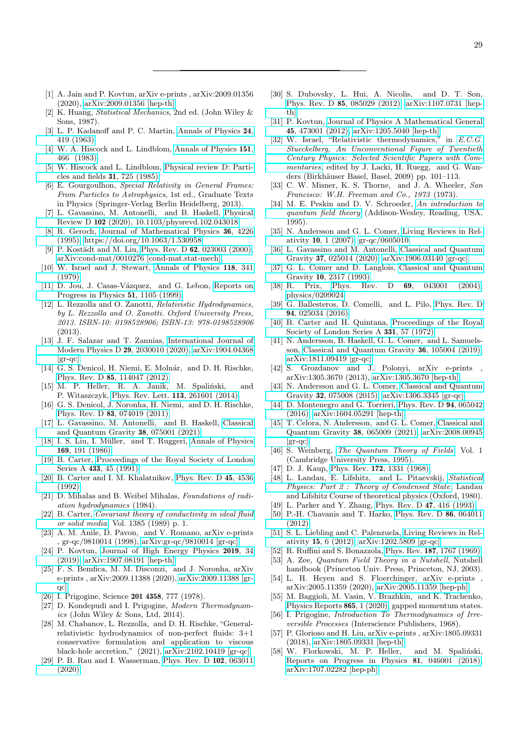- <span id="page-28-0"></span>[1] A. Jain and P. Kovtun, arXiv e-prints , arXiv:2009.01356 (2020), [arXiv:2009.01356 \[hep-th\].](http://arxiv.org/abs/2009.01356)
- <span id="page-28-1"></span>[2] K. Huang, Statistical Mechanics, 2nd ed. (John Wiley & Sons, 1987).
- <span id="page-28-2"></span>[3] L. P. Kadanoff and P. C. Martin, [Annals of Physics](https://doi.org/https://doi.org/10.1016/0003-4916(63)90078-2) 24, [419 \(1963\).](https://doi.org/https://doi.org/10.1016/0003-4916(63)90078-2)
- <span id="page-28-3"></span>[4] W. A. Hiscock and L. Lindblom, [Annals of Physics](https://doi.org/https://doi.org/10.1016/0003-4916(83)90288-9) 151, [466 \(1983\).](https://doi.org/https://doi.org/10.1016/0003-4916(83)90288-9)
- <span id="page-28-4"></span>[5] W. Hiscock and L. Lindblom, [Physical review D: Parti](https://doi.org/10.1103/PhysRevD.31.725)[cles and fields](https://doi.org/10.1103/PhysRevD.31.725) 31, 725 (1985).
- <span id="page-28-5"></span>[6] E. Gourgoulhon, Special Relativity in General Frames: From Particles to Astrophysics, 1st ed., Graduate Texts in Physics (Springer-Verlag Berlin Heidelberg, 2013).
- <span id="page-28-6"></span>[7] L. Gavassino, M. Antonelli, and B. Haskell, [Physical](https://doi.org/10.1103/physrevd.102.043018) Review D 102 [\(2020\), 10.1103/physrevd.102.043018.](https://doi.org/10.1103/physrevd.102.043018)
- <span id="page-28-7"></span>[8] R. Geroch, [Journal of Mathematical Physics](https://doi.org/10.1063/1.530958) 36, 4226 [\(1995\),](https://doi.org/10.1063/1.530958) [https://doi.org/10.1063/1.530958.](http://arxiv.org/abs/https://doi.org/10.1063/1.530958)
- <span id="page-28-8"></span>[9] P. Kostädt and M. Liu, Phys. Rev. D 62[, 023003 \(2000\),](https://doi.org/10.1103/PhysRevD.62.023003) [arXiv:cond-mat/0010276 \[cond-mat.stat-mech\].](http://arxiv.org/abs/cond-mat/0010276)
- <span id="page-28-9"></span>[10] W. Israel and J. Stewart, [Annals of Physics](https://doi.org/https://doi.org/10.1016/0003-4916(79)90130-1) 118, 341 [\(1979\).](https://doi.org/https://doi.org/10.1016/0003-4916(79)90130-1)
- <span id="page-28-10"></span>[11] D. Jou, J. Casas-Vázquez, and G. Lebon, [Reports on](https://doi.org/10.1088/0034-4885/51/8/002) [Progress in Physics](https://doi.org/10.1088/0034-4885/51/8/002) 51, 1105 (1999).
- <span id="page-28-11"></span>[12] L. Rezzolla and O. Zanotti, Relativistic Hydrodynamics, by L. Rezzolla and O. Zanotti. Oxford University Press, 2013. ISBN-10: 0198528906; ISBN-13: 978-0198528906 (2013).
- <span id="page-28-12"></span>[13] J. F. Salazar and T. Zannias, [International Journal of](https://doi.org/10.1142/S0218271820300104) [Modern Physics D](https://doi.org/10.1142/S0218271820300104) 29, 2030010 (2020), [arXiv:1904.04368](http://arxiv.org/abs/1904.04368)  $\left[\text{gr-qc}\right]$ .
- <span id="page-28-13"></span>[14] G. S. Denicol, H. Niemi, E. Molnár, and D. H. Rischke, Phys. Rev. D 85[, 114047 \(2012\).](https://doi.org/10.1103/PhysRevD.85.114047)
- <span id="page-28-14"></span>[15] M. P. Heller, R. A. Janik, M. Spaliński, and P. Witaszczyk, [Phys. Rev. Lett.](https://doi.org/ 10.1103/PhysRevLett.113.261601) 113, 261601 (2014).
- <span id="page-28-15"></span>[16] G. S. Denicol, J. Noronha, H. Niemi, and D. H. Rischke, Phys. Rev. D 83[, 074019 \(2011\).](https://doi.org/ 10.1103/PhysRevD.83.074019)
- <span id="page-28-16"></span>[17] L. Gavassino, M. Antonelli, and B. Haskell, [Classical](https://doi.org/10.1088/1361-6382/abe588) [and Quantum Gravity](https://doi.org/10.1088/1361-6382/abe588) 38, 075001 (2021).
- <span id="page-28-17"></span>[18] I. S. Liu, I. Müller, and T. Ruggeri, [Annals of Physics](https://doi.org/10.1016/0003-4916(86)90164-8) 169[, 191 \(1986\).](https://doi.org/10.1016/0003-4916(86)90164-8)
- <span id="page-28-18"></span>[19] B. Carter, [Proceedings of the Royal Society of London](https://doi.org/10.1098/rspa.1991.0034) Series A 433[, 45 \(1991\).](https://doi.org/10.1098/rspa.1991.0034)
- <span id="page-28-19"></span>[20] B. Carter and I. M. Khalatnikov, [Phys. Rev. D](https://doi.org/10.1103/PhysRevD.45.4536) 45, 4536 [\(1992\).](https://doi.org/10.1103/PhysRevD.45.4536)
- <span id="page-28-20"></span>[21] D. Mihalas and B. Weibel Mihalas, Foundations of radiation hydrodynamics (1984).
- <span id="page-28-21"></span>[22] B. Carter, [Covariant theory of conductivity in ideal fluid](https://doi.org/10.1007/BFb0084028) [or solid media](https://doi.org/10.1007/BFb0084028), Vol. 1385 (1989) p. 1.
- <span id="page-28-22"></span>[23] A. M. Anile, D. Pavon, and V. Romano, arXiv e-prints , gr-qc/9810014 (1998), [arXiv:gr-qc/9810014 \[gr-qc\].](http://arxiv.org/abs/gr-qc/9810014)
- <span id="page-28-23"></span>[24] P. Kovtun, [Journal of High Energy Physics](https://doi.org/10.1007/JHEP10(2019)034) 2019, 34 [\(2019\),](https://doi.org/10.1007/JHEP10(2019)034) [arXiv:1907.08191 \[hep-th\].](http://arxiv.org/abs/1907.08191)
- <span id="page-28-24"></span>[25] F. S. Bemfica, M. M. Disconzi, and J. Noronha, arXiv e-prints , arXiv:2009.11388 (2020), [arXiv:2009.11388 \[gr](http://arxiv.org/abs/2009.11388)[qc\].](http://arxiv.org/abs/2009.11388)
- <span id="page-28-25"></span>[26] I. Prigogine, Science 201 4358, 777 (1978).
- <span id="page-28-26"></span>[27] D. Kondepudi and I. Prigogine, Modern Thermodynamics (John Wiley & Sons, Ltd, 2014).
- <span id="page-28-27"></span>[28] M. Chabanov, L. Rezzolla, and D. H. Rischke, "Generalrelativistic hydrodynamics of non-perfect fluids: 3+1 conservative formulation and application to viscous black-hole accretion," (2021), [arXiv:2102.10419 \[gr-qc\].](http://arxiv.org/abs/2102.10419)
- <span id="page-28-28"></span>[29] P. B. Rau and I. Wasserman, [Phys. Rev. D](https://doi.org/10.1103/PhysRevD.102.063011) 102, 063011 [\(2020\).](https://doi.org/10.1103/PhysRevD.102.063011)
- <span id="page-28-29"></span>[30] S. Dubovsky, L. Hui, A. Nicolis, and D. T. Son, Phys. Rev. D 85[, 085029 \(2012\),](https://doi.org/10.1103/PhysRevD.85.085029) [arXiv:1107.0731 \[hep](http://arxiv.org/abs/1107.0731)[th\].](http://arxiv.org/abs/1107.0731)
- <span id="page-28-30"></span>[31] P. Kovtun, [Journal of Physics A Mathematical General](https://doi.org/10.1088/1751-8113/45/47/473001) 45[, 473001 \(2012\),](https://doi.org/10.1088/1751-8113/45/47/473001) [arXiv:1205.5040 \[hep-th\].](http://arxiv.org/abs/1205.5040)
- <span id="page-28-31"></span>[32] W. Israel, "Relativistic thermodynamics," in [E.C.G.](https://doi.org/10.1007/978-3-7643-8878-2_8) [Stueckelberg, An Unconventional Figure of Twentieth](https://doi.org/10.1007/978-3-7643-8878-2_8) [Century Physics: Selected Scientific Papers with Com](https://doi.org/10.1007/978-3-7643-8878-2_8)[mentaries](https://doi.org/10.1007/978-3-7643-8878-2_8), edited by J. Lacki, H. Ruegg, and G. Wanders (Birkhäuser Basel, Basel, 2009) pp. 101–113.
- <span id="page-28-32"></span>[33] C. W. Misner, K. S. Thorne, and J. A. Wheeler, San Francisco: W.H. Freeman and Co., 1973 (1973).
- <span id="page-28-33"></span>[34] M. E. Peskin and D. V. Schroeder, [An introduction to](http://www.slac.stanford.edu/~mpeskin/QFT.html) [quantum field theory](http://www.slac.stanford.edu/~mpeskin/QFT.html) (Addison-Wesley, Reading, USA, 1995).
- <span id="page-28-34"></span>[35] N. Andersson and G. L. Comer, [Living Reviews in Rel](https://doi.org/10.12942/lrr-2007-1)ativity 10[, 1 \(2007\),](https://doi.org/10.12942/lrr-2007-1) [gr-qc/0605010.](http://arxiv.org/abs/gr-qc/0605010)
- <span id="page-28-35"></span>[36] L. Gavassino and M. Antonelli, [Classical and Quantum](https://doi.org/10.1088/1361-6382/ab5f23) Gravity 37[, 025014 \(2020\),](https://doi.org/10.1088/1361-6382/ab5f23) [arXiv:1906.03140 \[gr-qc\].](http://arxiv.org/abs/1906.03140)
- <span id="page-28-37"></span>[37] G. L. Comer and D. Langlois, [Classical and Quantum](https://doi.org/10.1088/0264-9381/10/11/014) Gravity 10[, 2317 \(1993\).](https://doi.org/10.1088/0264-9381/10/11/014)
- [38] R. Prix, Phys. Rev. D 69[, 043001 \(2004\),](https://doi.org/10.1103/PhysRevD.69.043001) [physics/0209024.](http://arxiv.org/abs/physics/0209024)
- <span id="page-28-36"></span>[39] G. Ballesteros, D. Comelli, and L. Pilo, [Phys. Rev. D](https://doi.org/10.1103/PhysRevD.94.025034) 94[, 025034 \(2016\).](https://doi.org/10.1103/PhysRevD.94.025034)
- <span id="page-28-38"></span>[40] B. Carter and H. Quintana, [Proceedings of the Royal](https://doi.org/10.1098/rspa.1972.0164) [Society of London Series A](https://doi.org/10.1098/rspa.1972.0164) 331, 57 (1972).
- <span id="page-28-39"></span>[41] N. Andersson, B. Haskell, G. L. Comer, and L. Samuelsson, [Classical and Quantum Gravity](https://doi.org/10.1088/1361-6382/ab12a1) 36, 105004 (2019), [arXiv:1811.09419 \[gr-qc\].](http://arxiv.org/abs/1811.09419)
- <span id="page-28-40"></span>[42] S. Grozdanov and J. Polonyi, arXiv e-prints arXiv:1305.3670 (2013), [arXiv:1305.3670 \[hep-th\].](http://arxiv.org/abs/1305.3670)
- <span id="page-28-55"></span>[43] N. Andersson and G. L. Comer, [Classical and Quantum](https://doi.org/10.1088/0264-9381/32/7/075008) Gravity 32[, 075008 \(2015\),](https://doi.org/10.1088/0264-9381/32/7/075008) [arXiv:1306.3345 \[gr-qc\].](http://arxiv.org/abs/1306.3345)
- <span id="page-28-54"></span>[44] D. Montenegro and G. Torrieri, [Phys. Rev. D](https://doi.org/10.1103/PhysRevD.94.065042) 94, 065042 [\(2016\),](https://doi.org/10.1103/PhysRevD.94.065042) [arXiv:1604.05291 \[hep-th\].](http://arxiv.org/abs/1604.05291)
- <span id="page-28-41"></span>[45] T. Celora, N. Andersson, and G. L. Comer, [Classical and](https://doi.org/10.1088/1361-6382/abd7c1) [Quantum Gravity](https://doi.org/10.1088/1361-6382/abd7c1) 38, 065009 (2021), [arXiv:2008.00945](http://arxiv.org/abs/2008.00945)  $\left[\text{gr-qc}\right]$ .
- <span id="page-28-42"></span>[46] S. Weinberg, [The Quantum Theory of Fields](https://doi.org/10.1017/CBO9781139644167), Vol. 1 (Cambridge University Press, 1995).
- <span id="page-28-43"></span>[47] D. J. Kaup, Phys. Rev. **172**[, 1331 \(1968\).](https://doi.org/10.1103/PhysRev.172.1331)
- <span id="page-28-45"></span>[48] L. Landau, E. Lifshitz, and L. Pitaevskij, [Statistical](https://books.google.pl/books?id=dEVtKQEACAAJ) [Physics: Part 2 : Theory of Condensed State](https://books.google.pl/books?id=dEVtKQEACAAJ), Landau and Lifshitz Course of theoretical physics (Oxford, 1980).
- [49] L. Parker and Y. Zhang, [Phys. Rev. D](https://doi.org/10.1103/PhysRevD.47.416) 47, 416 (1993).
- <span id="page-28-46"></span>[50] P.-H. Chavanis and T. Harko, [Phys. Rev. D](https://doi.org/10.1103/PhysRevD.86.064011) 86, 064011 [\(2012\).](https://doi.org/10.1103/PhysRevD.86.064011)
- <span id="page-28-44"></span>[51] S. L. Liebling and C. Palenzuela, [Living Reviews in Rel](https://doi.org/10.12942/lrr-2012-6)ativity 15[, 6 \(2012\),](https://doi.org/10.12942/lrr-2012-6) [arXiv:1202.5809 \[gr-qc\].](http://arxiv.org/abs/1202.5809)
- <span id="page-28-47"></span>[52] R. Ruffini and S. Bonazzola, Phys. Rev. 187[, 1767 \(1969\).](https://doi.org/10.1103/PhysRev.187.1767)
- <span id="page-28-48"></span>[53] A. Zee, Quantum Field Theory in a Nutshell, Nutshell handbook (Princeton Univ. Press, Princeton, NJ, 2003).
- <span id="page-28-49"></span>[54] L. H. Heyen and S. Floerchinger, arXiv e-prints arXiv:2005.11359 (2020), [arXiv:2005.11359 \[hep-ph\].](http://arxiv.org/abs/2005.11359)
- <span id="page-28-50"></span>[55] M. Baggioli, M. Vasin, V. Brazhkin, and K. Trachenko, [Physics Reports](https://doi.org/https://doi.org/10.1016/j.physrep.2020.04.002) 865, 1 (2020), gapped momentum states.
- <span id="page-28-51"></span>[56] I. Prigogine, *Introduction To Thermodynamics of Irre*versible Processes (Interscience Publishers, 1968).
- <span id="page-28-52"></span>[57] P. Glorioso and H. Liu, arXiv e-prints , arXiv:1805.09331 (2018), [arXiv:1805.09331 \[hep-th\].](http://arxiv.org/abs/1805.09331)
- <span id="page-28-53"></span>[58] W. Florkowski, M. P. Heller, and M. Spaliński, [Reports on Progress in Physics](https://doi.org/10.1088/1361-6633/aaa091) 81, 046001 (2018), [arXiv:1707.02282 \[hep-ph\].](http://arxiv.org/abs/1707.02282)